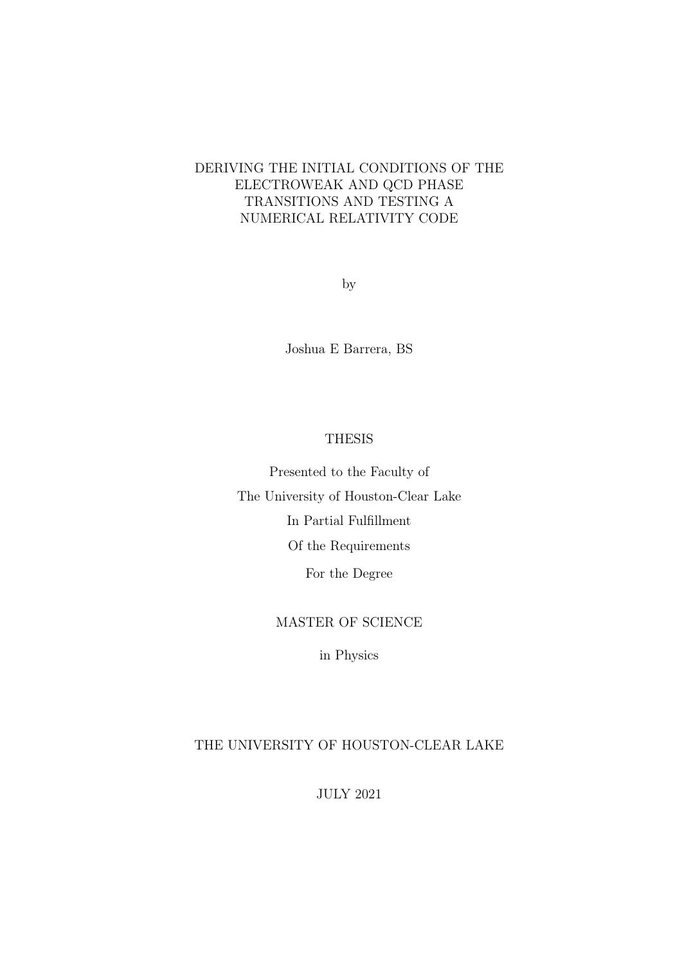# DERIVING THE INITIAL CONDITIONS OF THE ELECTROWEAK AND QCD PHASE TRANSITIONS AND TESTING A NUMERICAL RELATIVITY CODE

by

Joshua E Barrera, BS

## THESIS

Presented to the Faculty of The University of Houston-Clear Lake In Partial Fulfillment Of the Requirements For the Degree

## MASTER OF SCIENCE

in Physics

## THE UNIVERSITY OF HOUSTON-CLEAR LAKE

JULY 2021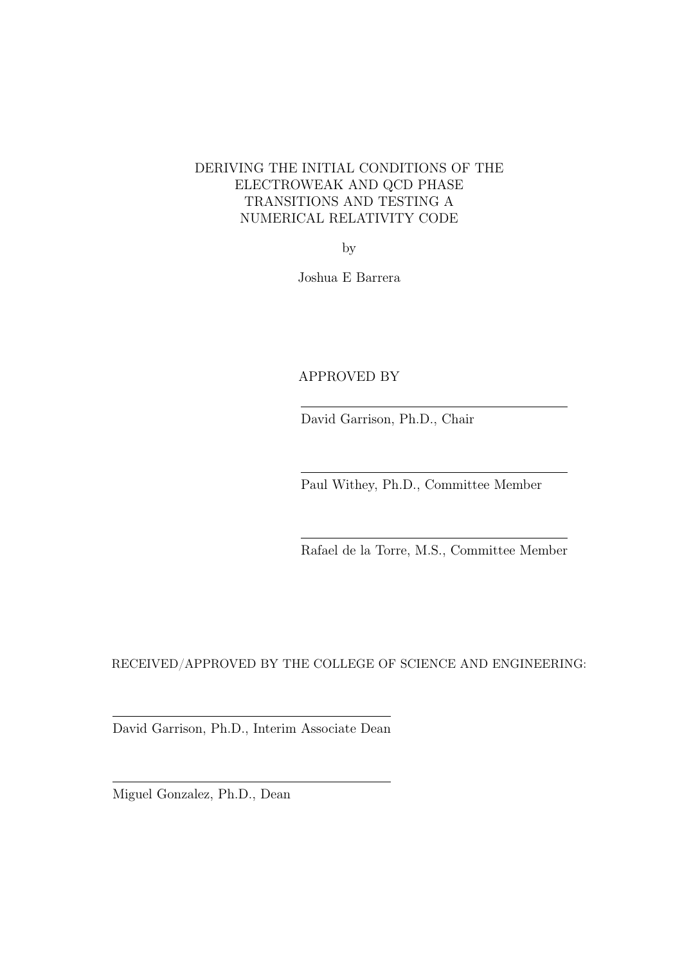# DERIVING THE INITIAL CONDITIONS OF THE ELECTROWEAK AND QCD PHASE TRANSITIONS AND TESTING A NUMERICAL RELATIVITY CODE

by

Joshua E Barrera

# APPROVED BY

David Garrison, Ph.D., Chair

Paul Withey, Ph.D., Committee Member

Rafael de la Torre, M.S., Committee Member

RECEIVED/APPROVED BY THE COLLEGE OF SCIENCE AND ENGINEERING:

David Garrison, Ph.D., Interim Associate Dean

Miguel Gonzalez, Ph.D., Dean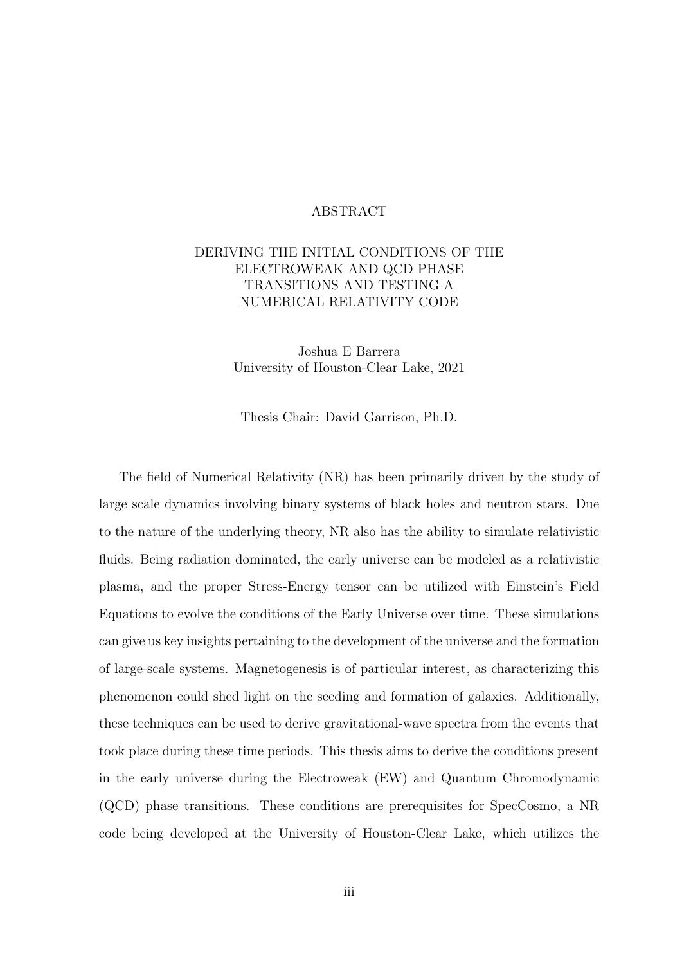## ABSTRACT

# DERIVING THE INITIAL CONDITIONS OF THE ELECTROWEAK AND QCD PHASE TRANSITIONS AND TESTING A NUMERICAL RELATIVITY CODE

Joshua E Barrera University of Houston-Clear Lake, 2021

Thesis Chair: David Garrison, Ph.D.

The field of Numerical Relativity (NR) has been primarily driven by the study of large scale dynamics involving binary systems of black holes and neutron stars. Due to the nature of the underlying theory, NR also has the ability to simulate relativistic fluids. Being radiation dominated, the early universe can be modeled as a relativistic plasma, and the proper Stress-Energy tensor can be utilized with Einstein's Field Equations to evolve the conditions of the Early Universe over time. These simulations can give us key insights pertaining to the development of the universe and the formation of large-scale systems. Magnetogenesis is of particular interest, as characterizing this phenomenon could shed light on the seeding and formation of galaxies. Additionally, these techniques can be used to derive gravitational-wave spectra from the events that took place during these time periods. This thesis aims to derive the conditions present in the early universe during the Electroweak (EW) and Quantum Chromodynamic (QCD) phase transitions. These conditions are prerequisites for SpecCosmo, a NR code being developed at the University of Houston-Clear Lake, which utilizes the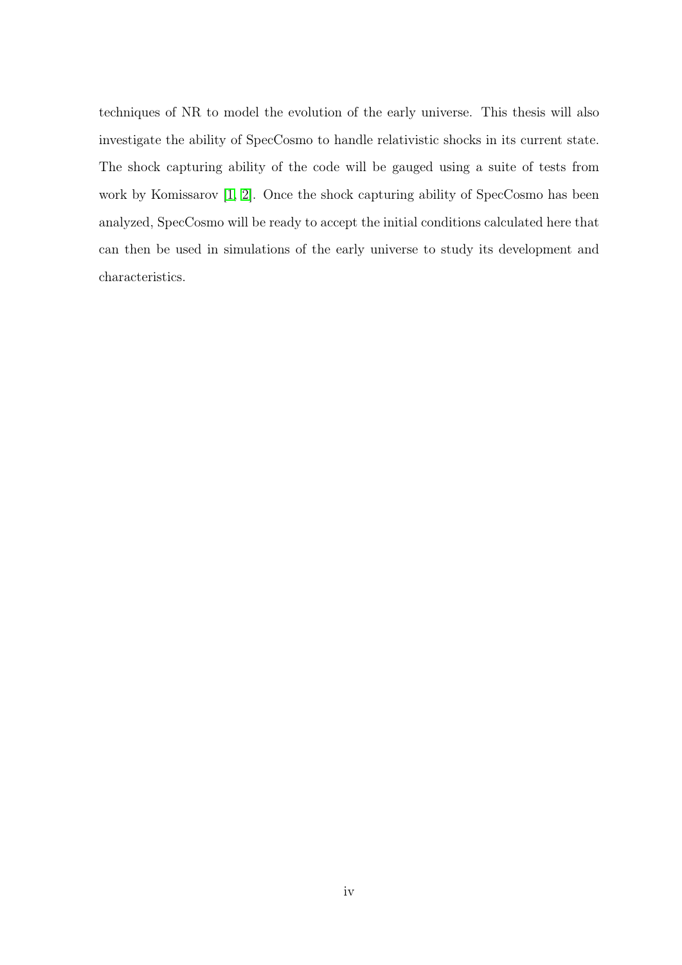techniques of NR to model the evolution of the early universe. This thesis will also investigate the ability of SpecCosmo to handle relativistic shocks in its current state. The shock capturing ability of the code will be gauged using a suite of tests from work by Komissarov [\[1,](#page-50-0) [2\]](#page-50-1). Once the shock capturing ability of SpecCosmo has been analyzed, SpecCosmo will be ready to accept the initial conditions calculated here that can then be used in simulations of the early universe to study its development and characteristics.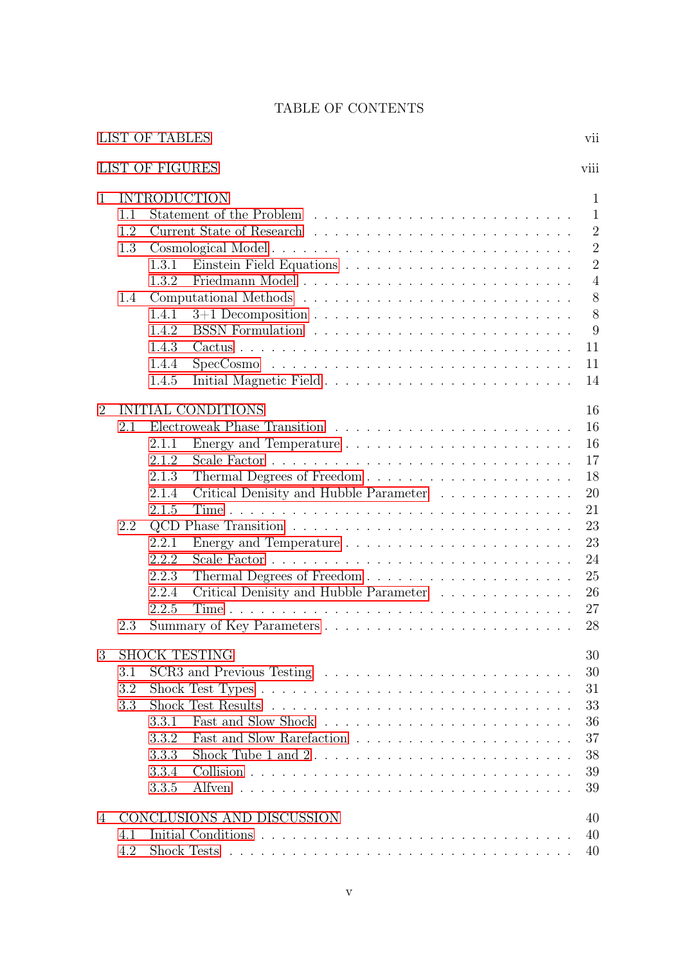# TABLE OF CONTENTS

<span id="page-4-0"></span>

|   | <b>LIST OF TABLES</b>                                                                                                                                                                                                                                     | vii                                                                                                                                   |
|---|-----------------------------------------------------------------------------------------------------------------------------------------------------------------------------------------------------------------------------------------------------------|---------------------------------------------------------------------------------------------------------------------------------------|
|   | <b>LIST OF FIGURES</b>                                                                                                                                                                                                                                    | viii                                                                                                                                  |
| 1 | <b>INTRODUCTION</b><br>1.1<br>1.2<br>1.3<br>1.3.1<br>1.3.2<br>1.4<br>1.4.1<br>1.4.2<br>1.4.3<br>1.4.4<br>SpecCosmo<br>1.4.5                                                                                                                               | $\mathbf{1}$<br>$\mathbf{1}$<br>$\overline{2}$<br>$\overline{2}$<br>$\overline{2}$<br>$\overline{4}$<br>8<br>8<br>9<br>11<br>11<br>14 |
| 2 | <b>INITIAL CONDITIONS</b><br>2.1<br>2.1.1<br>2.1.2<br>2.1.3<br>Critical Denisity and Hubble Parameter<br>2.1.4<br>2.1.5<br>2.2<br>2.2.1<br>2.2.2<br>2.2.3<br>Critical Denisity and Hubble Parameter<br>2.2.4<br>2.2.5<br>Summary of Key Parameters<br>2.3 | 16<br>16<br>16<br>17<br>18<br>20<br>21<br>23<br>23<br>24<br>25<br>26<br>27<br>28                                                      |
| 3 | <b>SHOCK TESTING</b><br>3.1<br>3.2<br>3.3<br>3.3.1<br>3.3.2<br>3.3.3<br>3.3.4<br>3.3.5                                                                                                                                                                    | 30<br>30<br>31<br>33<br>36<br>37<br>38<br>39<br>39                                                                                    |
| 4 | CONCLUSIONS AND DISCUSSION<br>4.1<br>4.2                                                                                                                                                                                                                  | 40<br>40<br>40                                                                                                                        |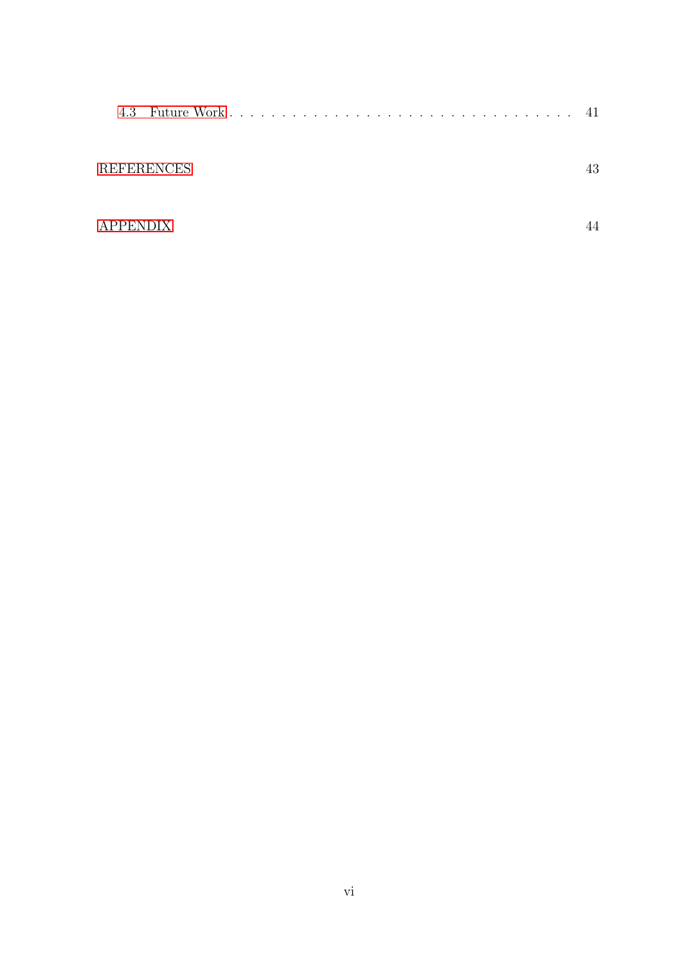|                   | 41 |
|-------------------|----|
| <b>REFERENCES</b> |    |
| <b>APPENDIX</b>   |    |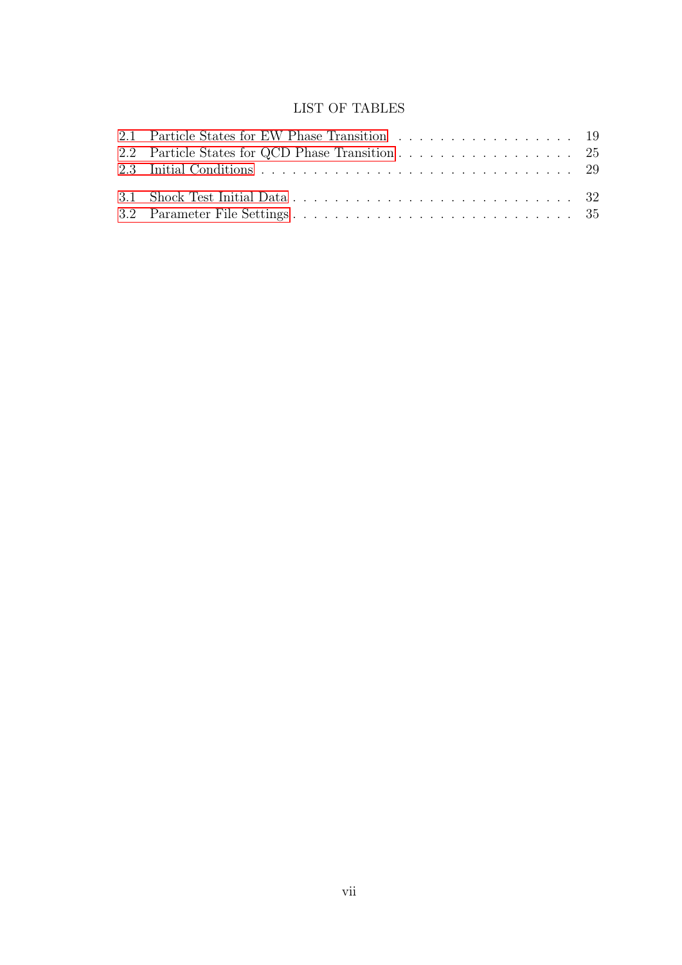# LIST OF TABLES

<span id="page-6-0"></span>

| 2.1 Particle States for EW Phase Transition 19  |  |
|-------------------------------------------------|--|
| 2.2 Particle States for QCD Phase Transition 25 |  |
|                                                 |  |
|                                                 |  |
|                                                 |  |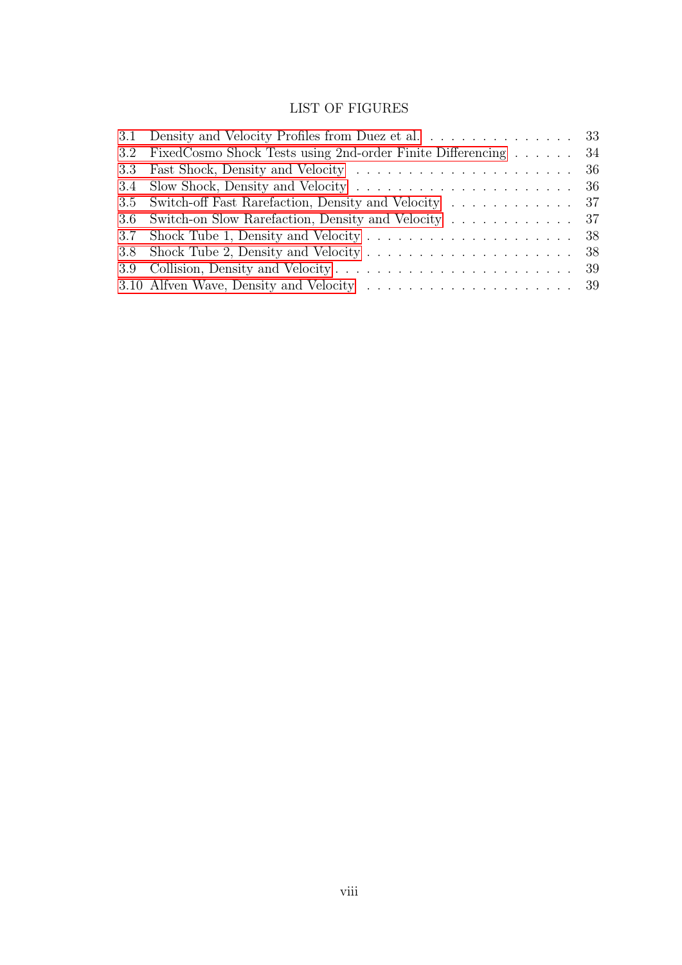# LIST OF FIGURES

| 3.1 Density and Velocity Profiles from Duez et al. 33             |  |
|-------------------------------------------------------------------|--|
| 3.2 FixedCosmo Shock Tests using 2nd-order Finite Differencing 34 |  |
|                                                                   |  |
|                                                                   |  |
| 3.5 Switch-off Fast Rarefaction, Density and Velocity 37          |  |
| 3.6 Switch-on Slow Rarefaction, Density and Velocity 37           |  |
|                                                                   |  |
|                                                                   |  |
|                                                                   |  |
|                                                                   |  |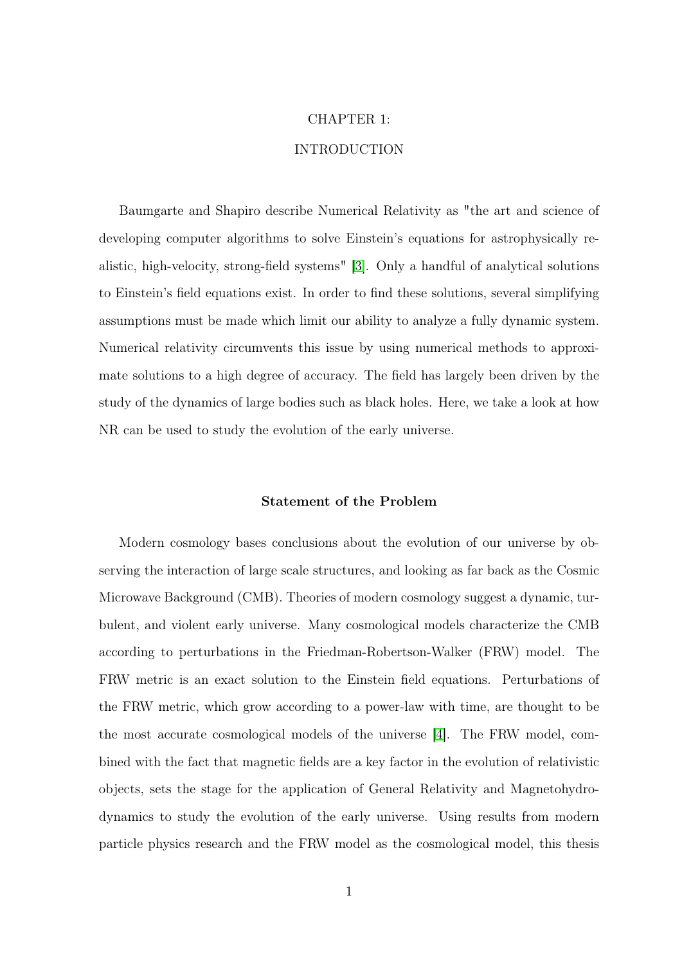### CHAPTER 1:

## INTRODUCTION

<span id="page-8-0"></span>Baumgarte and Shapiro describe Numerical Relativity as "the art and science of developing computer algorithms to solve Einstein's equations for astrophysically realistic, high-velocity, strong-field systems" [\[3\]](#page-50-3). Only a handful of analytical solutions to Einstein's field equations exist. In order to find these solutions, several simplifying assumptions must be made which limit our ability to analyze a fully dynamic system. Numerical relativity circumvents this issue by using numerical methods to approximate solutions to a high degree of accuracy. The field has largely been driven by the study of the dynamics of large bodies such as black holes. Here, we take a look at how NR can be used to study the evolution of the early universe.

#### Statement of the Problem

<span id="page-8-1"></span>Modern cosmology bases conclusions about the evolution of our universe by observing the interaction of large scale structures, and looking as far back as the Cosmic Microwave Background (CMB). Theories of modern cosmology suggest a dynamic, turbulent, and violent early universe. Many cosmological models characterize the CMB according to perturbations in the Friedman-Robertson-Walker (FRW) model. The FRW metric is an exact solution to the Einstein field equations. Perturbations of the FRW metric, which grow according to a power-law with time, are thought to be the most accurate cosmological models of the universe [\[4\]](#page-50-4). The FRW model, combined with the fact that magnetic fields are a key factor in the evolution of relativistic objects, sets the stage for the application of General Relativity and Magnetohydrodynamics to study the evolution of the early universe. Using results from modern particle physics research and the FRW model as the cosmological model, this thesis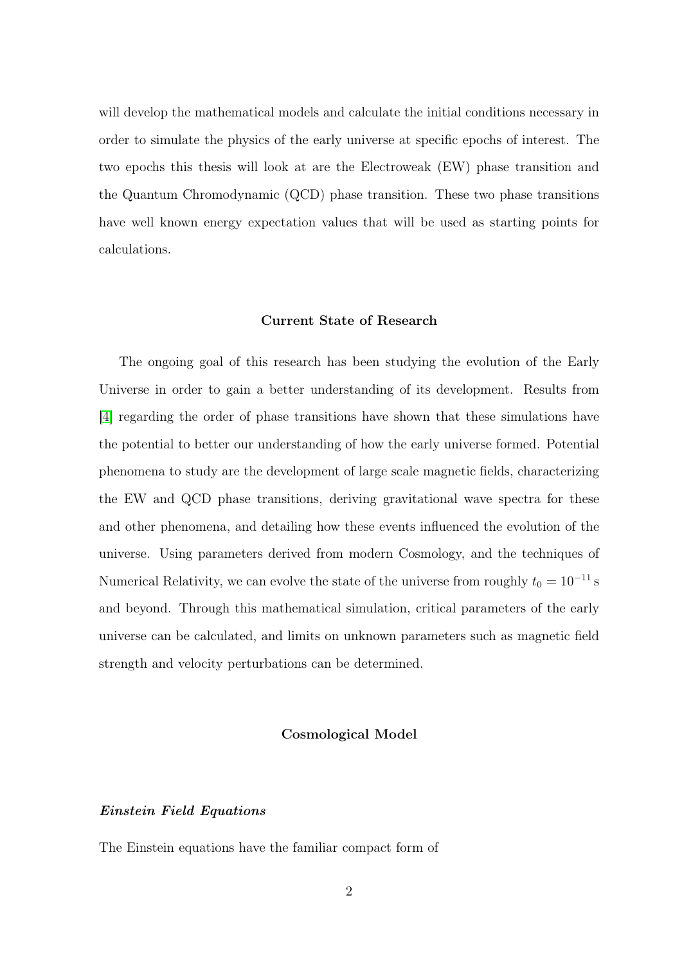will develop the mathematical models and calculate the initial conditions necessary in order to simulate the physics of the early universe at specific epochs of interest. The two epochs this thesis will look at are the Electroweak (EW) phase transition and the Quantum Chromodynamic (QCD) phase transition. These two phase transitions have well known energy expectation values that will be used as starting points for calculations.

#### Current State of Research

<span id="page-9-0"></span>The ongoing goal of this research has been studying the evolution of the Early Universe in order to gain a better understanding of its development. Results from [\[4\]](#page-50-4) regarding the order of phase transitions have shown that these simulations have the potential to better our understanding of how the early universe formed. Potential phenomena to study are the development of large scale magnetic fields, characterizing the EW and QCD phase transitions, deriving gravitational wave spectra for these and other phenomena, and detailing how these events influenced the evolution of the universe. Using parameters derived from modern Cosmology, and the techniques of Numerical Relativity, we can evolve the state of the universe from roughly  $t_0 = 10^{-11}$  s and beyond. Through this mathematical simulation, critical parameters of the early universe can be calculated, and limits on unknown parameters such as magnetic field strength and velocity perturbations can be determined.

### Cosmological Model

### <span id="page-9-2"></span><span id="page-9-1"></span>Einstein Field Equations

The Einstein equations have the familiar compact form of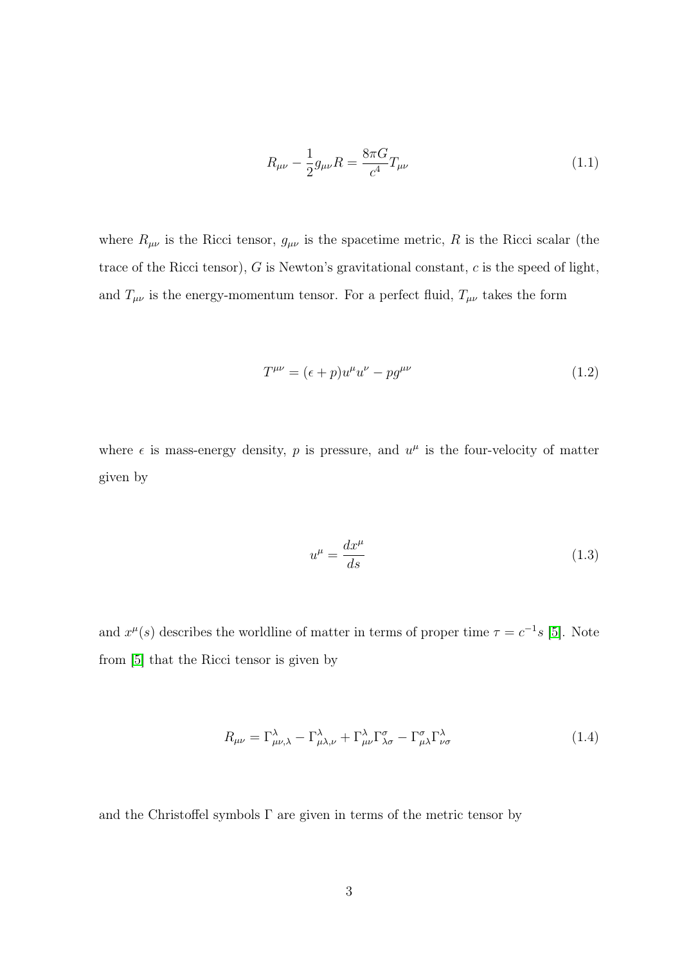$$
R_{\mu\nu} - \frac{1}{2}g_{\mu\nu}R = \frac{8\pi G}{c^4}T_{\mu\nu}
$$
\n(1.1)

where  $R_{\mu\nu}$  is the Ricci tensor,  $g_{\mu\nu}$  is the spacetime metric, R is the Ricci scalar (the trace of the Ricci tensor),  $G$  is Newton's gravitational constant,  $c$  is the speed of light, and  $T_{\mu\nu}$  is the energy-momentum tensor. For a perfect fluid,  $T_{\mu\nu}$  takes the form

$$
T^{\mu\nu} = (\epsilon + p)u^{\mu}u^{\nu} - pg^{\mu\nu} \tag{1.2}
$$

where  $\epsilon$  is mass-energy density, p is pressure, and  $u^{\mu}$  is the four-velocity of matter given by

$$
u^{\mu} = \frac{dx^{\mu}}{ds} \tag{1.3}
$$

and  $x^{\mu}(s)$  describes the worldline of matter in terms of proper time  $\tau = c^{-1}s$  [\[5\]](#page-50-5). Note from [\[5\]](#page-50-5) that the Ricci tensor is given by

$$
R_{\mu\nu} = \Gamma^{\lambda}_{\mu\nu,\lambda} - \Gamma^{\lambda}_{\mu\lambda,\nu} + \Gamma^{\lambda}_{\mu\nu}\Gamma^{\sigma}_{\lambda\sigma} - \Gamma^{\sigma}_{\mu\lambda}\Gamma^{\lambda}_{\nu\sigma}
$$
(1.4)

and the Christoffel symbols  $\Gamma$  are given in terms of the metric tensor by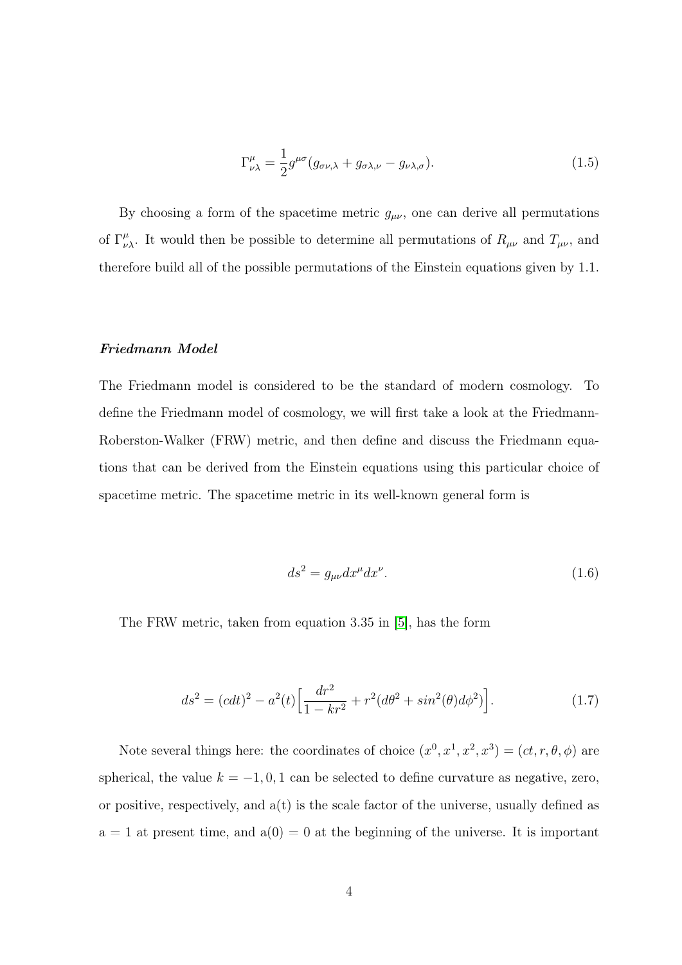$$
\Gamma^{\mu}_{\nu\lambda} = \frac{1}{2} g^{\mu\sigma} (g_{\sigma\nu,\lambda} + g_{\sigma\lambda,\nu} - g_{\nu\lambda,\sigma}).
$$
\n(1.5)

By choosing a form of the spacetime metric  $g_{\mu\nu}$ , one can derive all permutations of  $\Gamma^{\mu}_{\nu\lambda}$ . It would then be possible to determine all permutations of  $R_{\mu\nu}$  and  $T_{\mu\nu}$ , and therefore build all of the possible permutations of the Einstein equations given by 1.1.

#### <span id="page-11-0"></span>Friedmann Model

The Friedmann model is considered to be the standard of modern cosmology. To define the Friedmann model of cosmology, we will first take a look at the Friedmann-Roberston-Walker (FRW) metric, and then define and discuss the Friedmann equations that can be derived from the Einstein equations using this particular choice of spacetime metric. The spacetime metric in its well-known general form is

$$
ds^2 = g_{\mu\nu} dx^{\mu} dx^{\nu}.
$$
\n(1.6)

The FRW metric, taken from equation 3.35 in [\[5\]](#page-50-5), has the form

$$
ds^{2} = (cdt)^{2} - a^{2}(t) \left[ \frac{dr^{2}}{1 - kr^{2}} + r^{2}(d\theta^{2} + sin^{2}(\theta)d\phi^{2}) \right].
$$
 (1.7)

Note several things here: the coordinates of choice  $(x^0, x^1, x^2, x^3) = (ct, r, \theta, \phi)$  are spherical, the value  $k = -1, 0, 1$  can be selected to define curvature as negative, zero, or positive, respectively, and  $a(t)$  is the scale factor of the universe, usually defined as  $a = 1$  at present time, and  $a(0) = 0$  at the beginning of the universe. It is important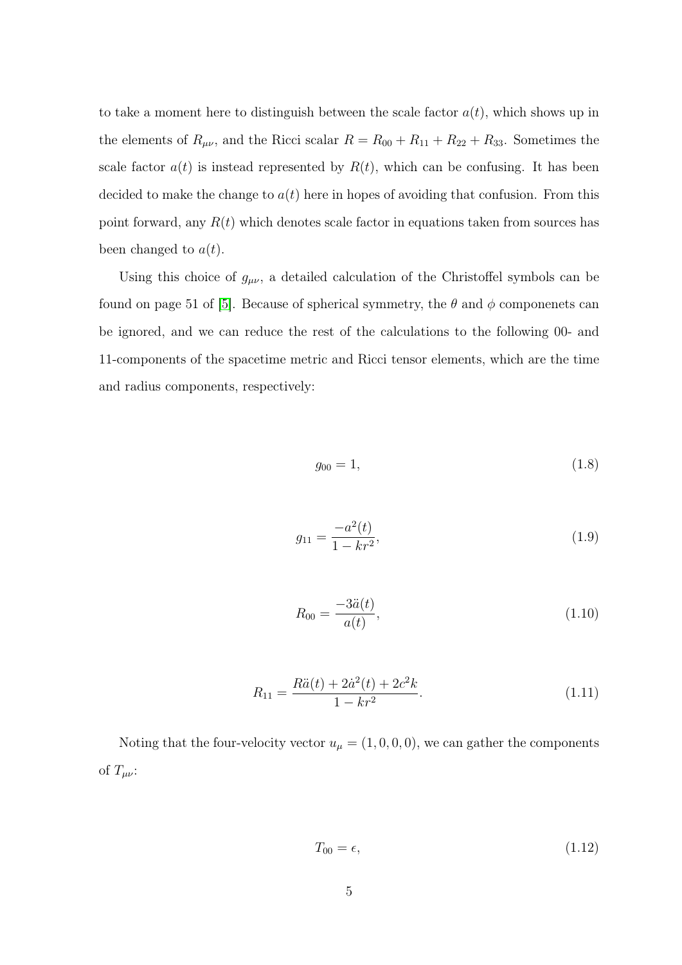to take a moment here to distinguish between the scale factor  $a(t)$ , which shows up in the elements of  $R_{\mu\nu}$ , and the Ricci scalar  $R = R_{00} + R_{11} + R_{22} + R_{33}$ . Sometimes the scale factor  $a(t)$  is instead represented by  $R(t)$ , which can be confusing. It has been decided to make the change to  $a(t)$  here in hopes of avoiding that confusion. From this point forward, any  $R(t)$  which denotes scale factor in equations taken from sources has been changed to  $a(t)$ .

Using this choice of  $g_{\mu\nu}$ , a detailed calculation of the Christoffel symbols can be found on page 51 of [\[5\]](#page-50-5). Because of spherical symmetry, the  $\theta$  and  $\phi$  componenets can be ignored, and we can reduce the rest of the calculations to the following 00- and 11-components of the spacetime metric and Ricci tensor elements, which are the time and radius components, respectively:

$$
g_{00} = 1,\t\t(1.8)
$$

$$
g_{11} = \frac{-a^2(t)}{1 - kr^2},\tag{1.9}
$$

$$
R_{00} = \frac{-3\ddot{a}(t)}{a(t)},\tag{1.10}
$$

$$
R_{11} = \frac{R\ddot{a}(t) + 2\dot{a}^2(t) + 2c^2k}{1 - kr^2}.
$$
\n(1.11)

Noting that the four-velocity vector  $u_{\mu} = (1, 0, 0, 0)$ , we can gather the components of  $T_{\mu\nu}$ :

$$
T_{00} = \epsilon, \tag{1.12}
$$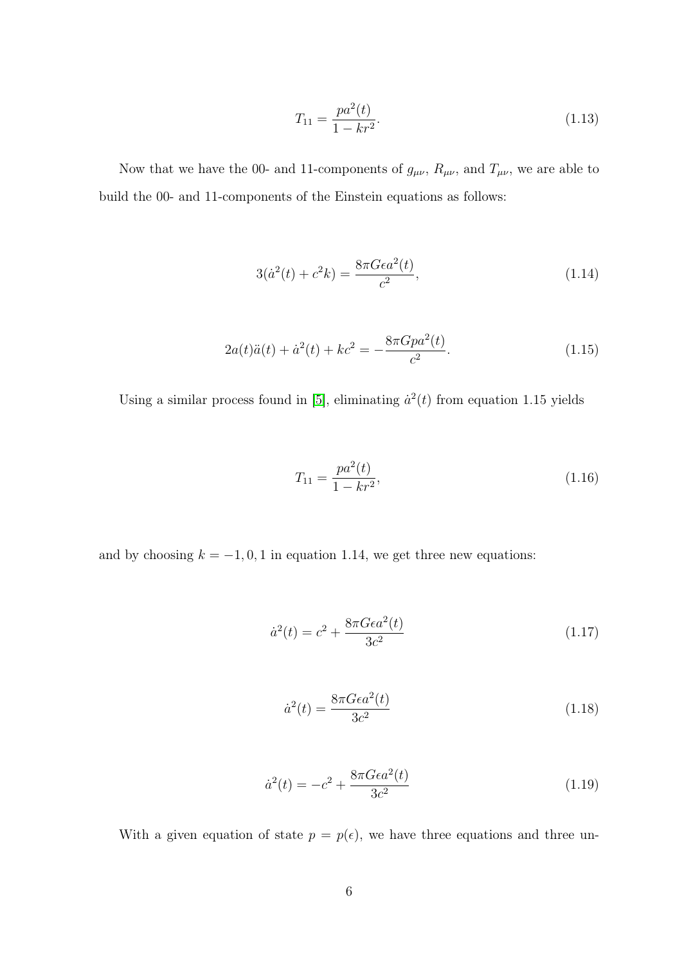$$
T_{11} = \frac{pa^2(t)}{1 - kr^2}.\tag{1.13}
$$

Now that we have the 00- and 11-components of  $g_{\mu\nu}$ ,  $R_{\mu\nu}$ , and  $T_{\mu\nu}$ , we are able to build the 00- and 11-components of the Einstein equations as follows:

$$
3(\dot{a}^2(t) + c^2k) = \frac{8\pi G\epsilon a^2(t)}{c^2},\tag{1.14}
$$

$$
2a(t)\ddot{a}(t) + \dot{a}^{2}(t) + kc^{2} = -\frac{8\pi Gpa^{2}(t)}{c^{2}}.
$$
\n(1.15)

Using a similar process found in [\[5\]](#page-50-5), eliminating  $\dot{a}^2(t)$  from equation 1.15 yields

$$
T_{11} = \frac{pa^2(t)}{1 - kr^2},\tag{1.16}
$$

and by choosing  $k = -1, 0, 1$  in equation 1.14, we get three new equations:

$$
\dot{a}^2(t) = c^2 + \frac{8\pi G\epsilon a^2(t)}{3c^2}
$$
\n(1.17)

$$
\dot{a}^2(t) = \frac{8\pi G\epsilon a^2(t)}{3c^2} \tag{1.18}
$$

$$
\dot{a}^2(t) = -c^2 + \frac{8\pi G\epsilon a^2(t)}{3c^2} \tag{1.19}
$$

With a given equation of state  $p = p(\epsilon)$ , we have three equations and three un-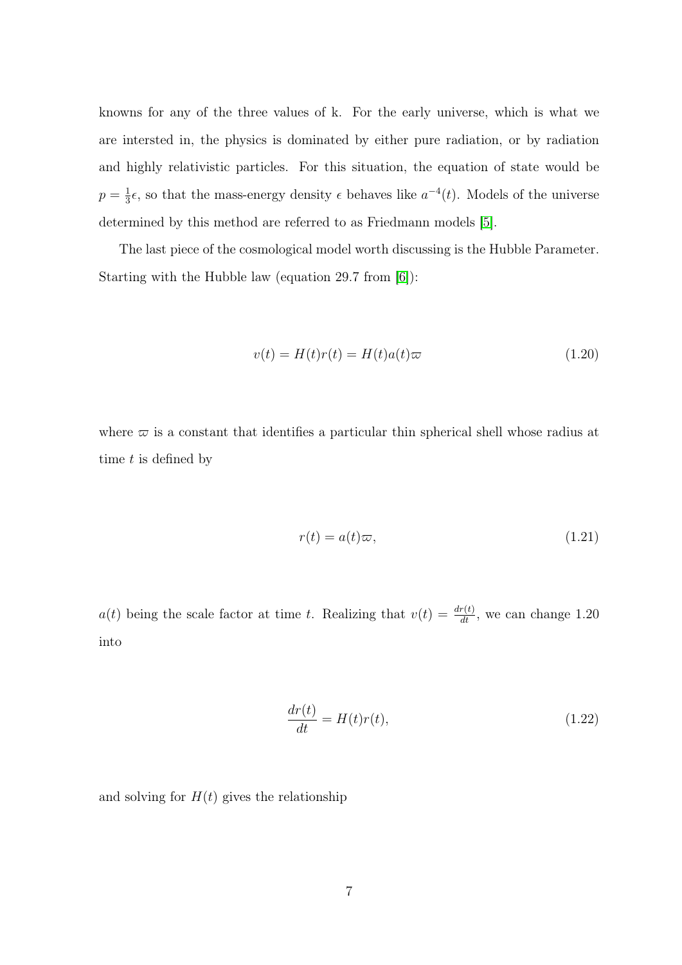knowns for any of the three values of k. For the early universe, which is what we are intersted in, the physics is dominated by either pure radiation, or by radiation and highly relativistic particles. For this situation, the equation of state would be  $p=\frac{1}{3}$  $\frac{1}{3}\epsilon$ , so that the mass-energy density  $\epsilon$  behaves like  $a^{-4}(t)$ . Models of the universe determined by this method are referred to as Friedmann models [\[5\]](#page-50-5).

The last piece of the cosmological model worth discussing is the Hubble Parameter. Starting with the Hubble law (equation 29.7 from [\[6\]](#page-50-6)):

$$
v(t) = H(t)r(t) = H(t)a(t)\varpi
$$
\n(1.20)

where  $\varpi$  is a constant that identifies a particular thin spherical shell whose radius at time  $t$  is defined by

$$
r(t) = a(t)\varpi,\tag{1.21}
$$

 $a(t)$  being the scale factor at time t. Realizing that  $v(t) = \frac{dr(t)}{dt}$ , we can change 1.20 into

$$
\frac{dr(t)}{dt} = H(t)r(t),\tag{1.22}
$$

and solving for  $H(t)$  gives the relationship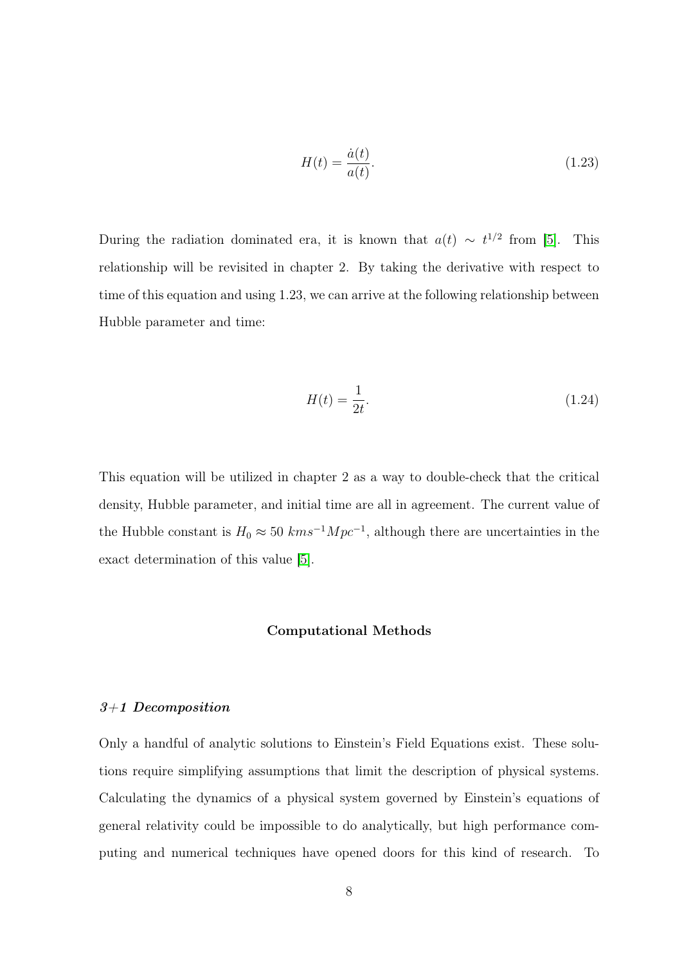$$
H(t) = \frac{\dot{a}(t)}{a(t)}.\t(1.23)
$$

During the radiation dominated era, it is known that  $a(t) \sim t^{1/2}$  from [\[5\]](#page-50-5). This relationship will be revisited in chapter 2. By taking the derivative with respect to time of this equation and using 1.23, we can arrive at the following relationship between Hubble parameter and time:

$$
H(t) = \frac{1}{2t}.\tag{1.24}
$$

<span id="page-15-0"></span>This equation will be utilized in chapter 2 as a way to double-check that the critical density, Hubble parameter, and initial time are all in agreement. The current value of the Hubble constant is  $H_0 \approx 50$  kms<sup>-1</sup> $Mpc^{-1}$ , although there are uncertainties in the exact determination of this value [\[5\]](#page-50-5).

#### Computational Methods

#### <span id="page-15-1"></span>3+1 Decomposition

Only a handful of analytic solutions to Einstein's Field Equations exist. These solutions require simplifying assumptions that limit the description of physical systems. Calculating the dynamics of a physical system governed by Einstein's equations of general relativity could be impossible to do analytically, but high performance computing and numerical techniques have opened doors for this kind of research. To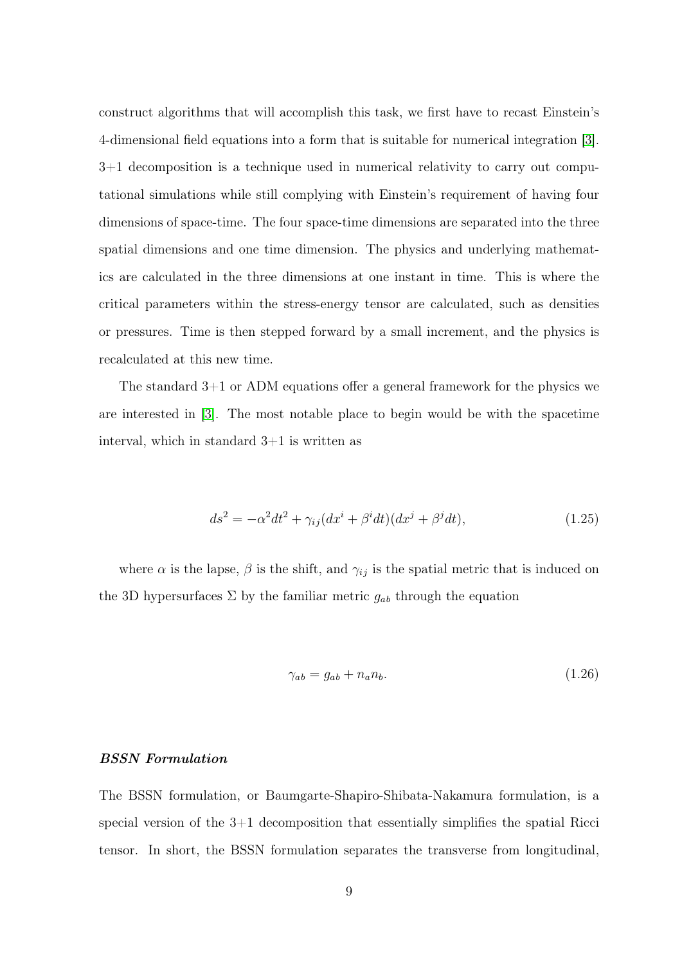construct algorithms that will accomplish this task, we first have to recast Einstein's 4-dimensional field equations into a form that is suitable for numerical integration [\[3\]](#page-50-3). 3+1 decomposition is a technique used in numerical relativity to carry out computational simulations while still complying with Einstein's requirement of having four dimensions of space-time. The four space-time dimensions are separated into the three spatial dimensions and one time dimension. The physics and underlying mathematics are calculated in the three dimensions at one instant in time. This is where the critical parameters within the stress-energy tensor are calculated, such as densities or pressures. Time is then stepped forward by a small increment, and the physics is recalculated at this new time.

The standard  $3+1$  or ADM equations offer a general framework for the physics we are interested in [\[3\]](#page-50-3). The most notable place to begin would be with the spacetime interval, which in standard  $3+1$  is written as

$$
ds^{2} = -\alpha^{2}dt^{2} + \gamma_{ij}(dx^{i} + \beta^{i}dt)(dx^{j} + \beta^{j}dt),
$$
\n(1.25)

where  $\alpha$  is the lapse,  $\beta$  is the shift, and  $\gamma_{ij}$  is the spatial metric that is induced on the 3D hypersurfaces  $\Sigma$  by the familiar metric  $g_{ab}$  through the equation

$$
\gamma_{ab} = g_{ab} + n_a n_b. \tag{1.26}
$$

### <span id="page-16-0"></span>BSSN Formulation

The BSSN formulation, or Baumgarte-Shapiro-Shibata-Nakamura formulation, is a special version of the  $3+1$  decomposition that essentially simplifies the spatial Ricci tensor. In short, the BSSN formulation separates the transverse from longitudinal,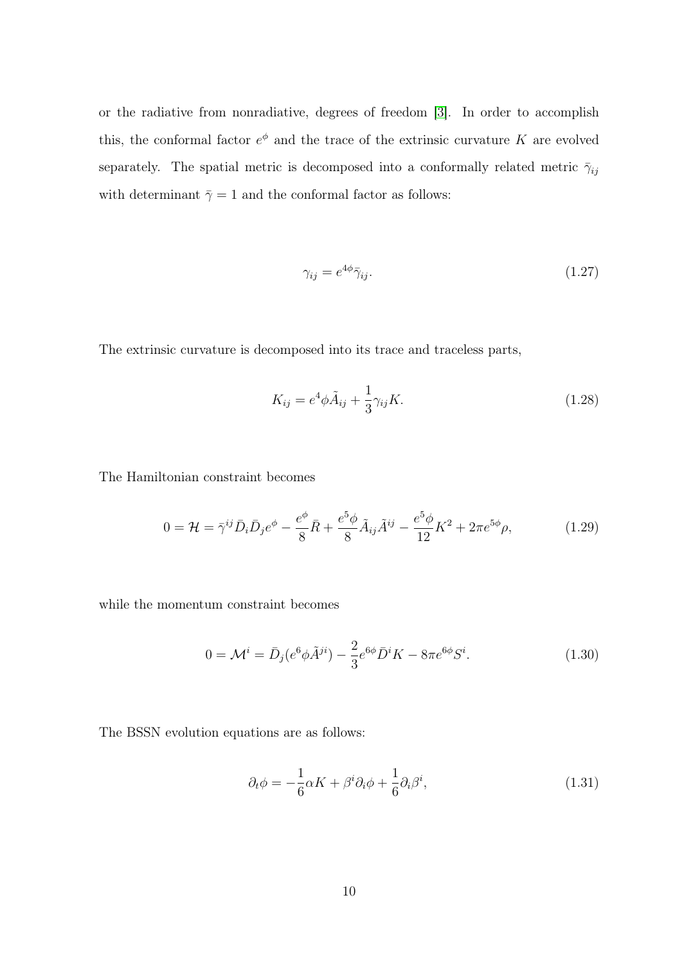or the radiative from nonradiative, degrees of freedom [\[3\]](#page-50-3). In order to accomplish this, the conformal factor  $e^{\phi}$  and the trace of the extrinsic curvature K are evolved separately. The spatial metric is decomposed into a conformally related metric  $\bar{\gamma}_{ij}$ with determinant  $\bar{\gamma} = 1$  and the conformal factor as follows:

$$
\gamma_{ij} = e^{4\phi} \bar{\gamma}_{ij}.
$$
\n(1.27)

The extrinsic curvature is decomposed into its trace and traceless parts,

$$
K_{ij} = e^4 \phi \tilde{A}_{ij} + \frac{1}{3} \gamma_{ij} K. \tag{1.28}
$$

The Hamiltonian constraint becomes

$$
0 = \mathcal{H} = \bar{\gamma}^{ij} \bar{D}_i \bar{D}_j e^{\phi} - \frac{e^{\phi}}{8} \bar{R} + \frac{e^5 \phi}{8} \tilde{A}_{ij} \tilde{A}^{ij} - \frac{e^5 \phi}{12} K^2 + 2\pi e^{5\phi} \rho, \tag{1.29}
$$

while the momentum constraint becomes

$$
0 = \mathcal{M}^i = \bar{D}_j (e^6 \phi \tilde{A}^{ji}) - \frac{2}{3} e^{6\phi} \bar{D}^i K - 8\pi e^{6\phi} S^i.
$$
 (1.30)

The BSSN evolution equations are as follows:

$$
\partial_t \phi = -\frac{1}{6} \alpha K + \beta^i \partial_i \phi + \frac{1}{6} \partial_i \beta^i, \tag{1.31}
$$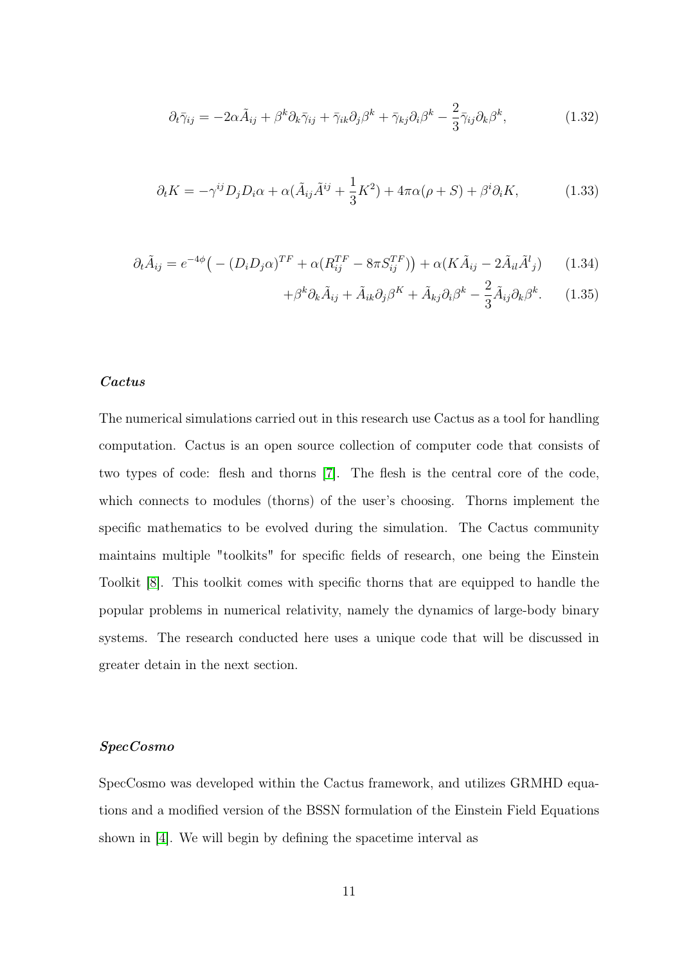$$
\partial_t \bar{\gamma}_{ij} = -2\alpha \tilde{A}_{ij} + \beta^k \partial_k \bar{\gamma}_{ij} + \bar{\gamma}_{ik} \partial_j \beta^k + \bar{\gamma}_{kj} \partial_i \beta^k - \frac{2}{3} \bar{\gamma}_{ij} \partial_k \beta^k, \qquad (1.32)
$$

$$
\partial_t K = -\gamma^{ij} D_j D_i \alpha + \alpha (\tilde{A}_{ij} \tilde{A}^{ij} + \frac{1}{3} K^2) + 4\pi \alpha (\rho + S) + \beta^i \partial_i K, \tag{1.33}
$$

$$
\partial_t \tilde{A}_{ij} = e^{-4\phi} \left( - (D_i D_j \alpha)^{TF} + \alpha (R_{ij}^{TF} - 8\pi S_{ij}^{TF}) \right) + \alpha (K \tilde{A}_{ij} - 2\tilde{A}_{il} \tilde{A}_{j}^l) \tag{1.34}
$$

$$
+\beta^k \partial_k \tilde{A}_{ij} + \tilde{A}_{ik} \partial_j \beta^K + \tilde{A}_{kj} \partial_i \beta^k - \frac{2}{3} \tilde{A}_{ij} \partial_k \beta^k.
$$
 (1.35)

### <span id="page-18-0"></span>Cactus

The numerical simulations carried out in this research use Cactus as a tool for handling computation. Cactus is an open source collection of computer code that consists of two types of code: flesh and thorns [\[7\]](#page-50-7). The flesh is the central core of the code, which connects to modules (thorns) of the user's choosing. Thorns implement the specific mathematics to be evolved during the simulation. The Cactus community maintains multiple "toolkits" for specific fields of research, one being the Einstein Toolkit [\[8\]](#page-50-8). This toolkit comes with specific thorns that are equipped to handle the popular problems in numerical relativity, namely the dynamics of large-body binary systems. The research conducted here uses a unique code that will be discussed in greater detain in the next section.

### <span id="page-18-1"></span>SpecCosmo

SpecCosmo was developed within the Cactus framework, and utilizes GRMHD equations and a modified version of the BSSN formulation of the Einstein Field Equations shown in [\[4\]](#page-50-4). We will begin by defining the spacetime interval as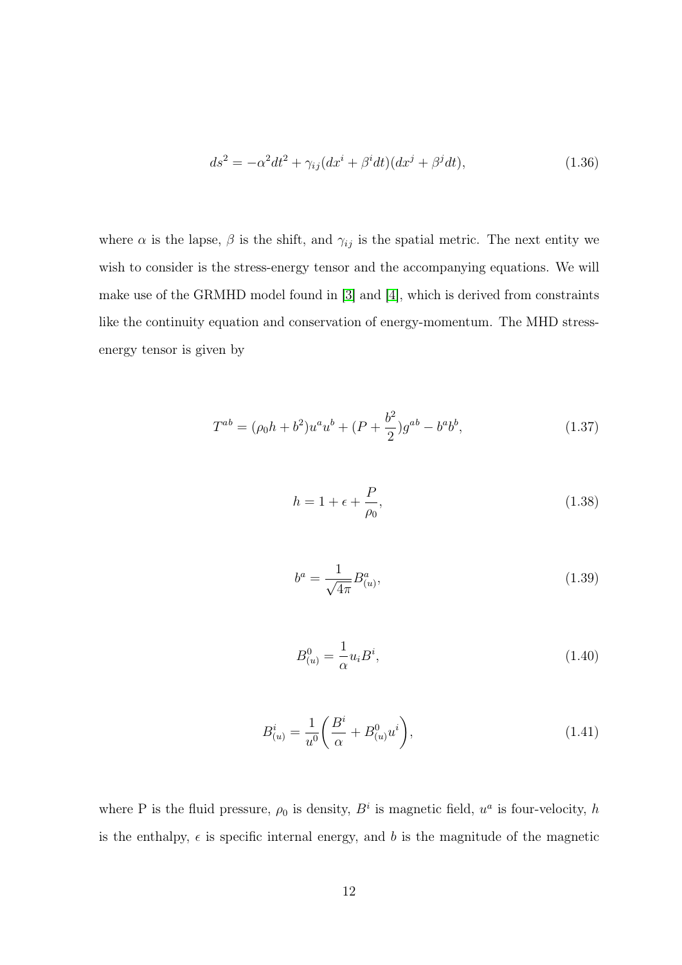$$
ds^{2} = -\alpha^{2}dt^{2} + \gamma_{ij}(dx^{i} + \beta^{i}dt)(dx^{j} + \beta^{j}dt),
$$
\n(1.36)

where  $\alpha$  is the lapse,  $\beta$  is the shift, and  $\gamma_{ij}$  is the spatial metric. The next entity we wish to consider is the stress-energy tensor and the accompanying equations. We will make use of the GRMHD model found in [\[3\]](#page-50-3) and [\[4\]](#page-50-4), which is derived from constraints like the continuity equation and conservation of energy-momentum. The MHD stressenergy tensor is given by

$$
T^{ab} = (\rho_0 h + b^2) u^a u^b + (P + \frac{b^2}{2}) g^{ab} - b^a b^b,
$$
\n(1.37)

$$
h = 1 + \epsilon + \frac{P}{\rho_0},\tag{1.38}
$$

$$
b^{a} = \frac{1}{\sqrt{4\pi}} B^{a}_{(u)},
$$
\n(1.39)

$$
B_{(u)}^{0} = \frac{1}{\alpha} u_i B^i,
$$
\n(1.40)

$$
B_{(u)}^i = \frac{1}{u^0} \left( \frac{B^i}{\alpha} + B_{(u)}^0 u^i \right), \tag{1.41}
$$

where P is the fluid pressure,  $\rho_0$  is density,  $B^i$  is magnetic field,  $u^a$  is four-velocity, h is the enthalpy,  $\epsilon$  is specific internal energy, and b is the magnitude of the magnetic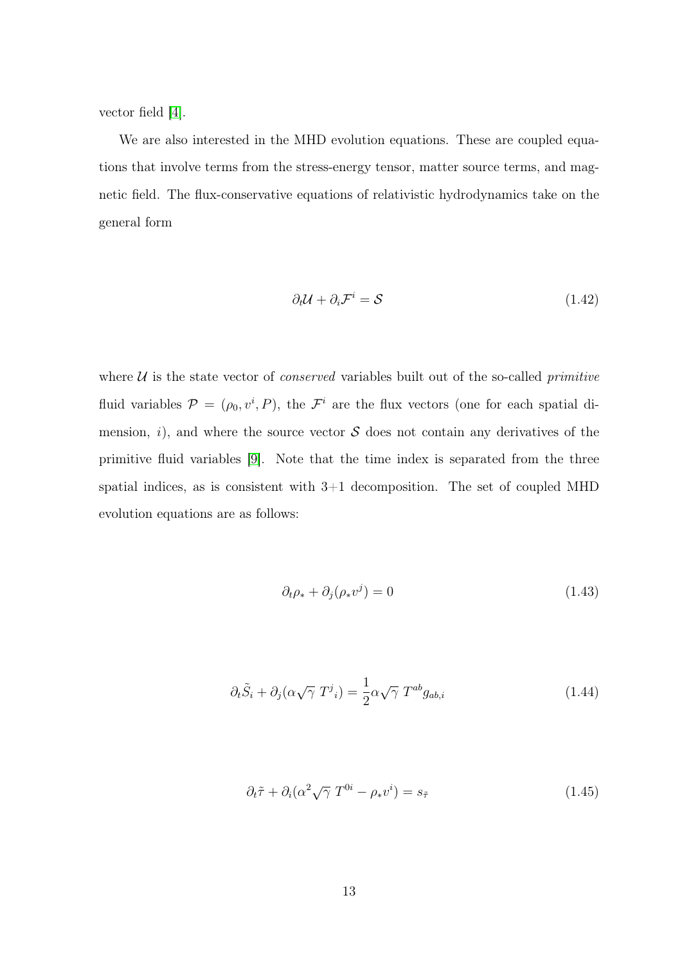vector field [\[4\]](#page-50-4).

We are also interested in the MHD evolution equations. These are coupled equations that involve terms from the stress-energy tensor, matter source terms, and magnetic field. The flux-conservative equations of relativistic hydrodynamics take on the general form

$$
\partial_t \mathcal{U} + \partial_i \mathcal{F}^i = \mathcal{S} \tag{1.42}
$$

where  $U$  is the state vector of *conserved* variables built out of the so-called *primitive* fluid variables  $\mathcal{P} = (\rho_0, v^i, P)$ , the  $\mathcal{F}^i$  are the flux vectors (one for each spatial dimension, i), and where the source vector  $S$  does not contain any derivatives of the primitive fluid variables [\[9\]](#page-50-9). Note that the time index is separated from the three spatial indices, as is consistent with  $3+1$  decomposition. The set of coupled MHD evolution equations are as follows:

$$
\partial_t \rho_* + \partial_j (\rho_* v^j) = 0 \tag{1.43}
$$

$$
\partial_t \tilde{S}_i + \partial_j (\alpha \sqrt{\gamma} T^j{}_i) = \frac{1}{2} \alpha \sqrt{\gamma} T^{ab} g_{ab,i} \tag{1.44}
$$

$$
\partial_t \tilde{\tau} + \partial_i (\alpha^2 \sqrt{\gamma} T^{0i} - \rho_* v^i) = s_{\tilde{\tau}}
$$
\n(1.45)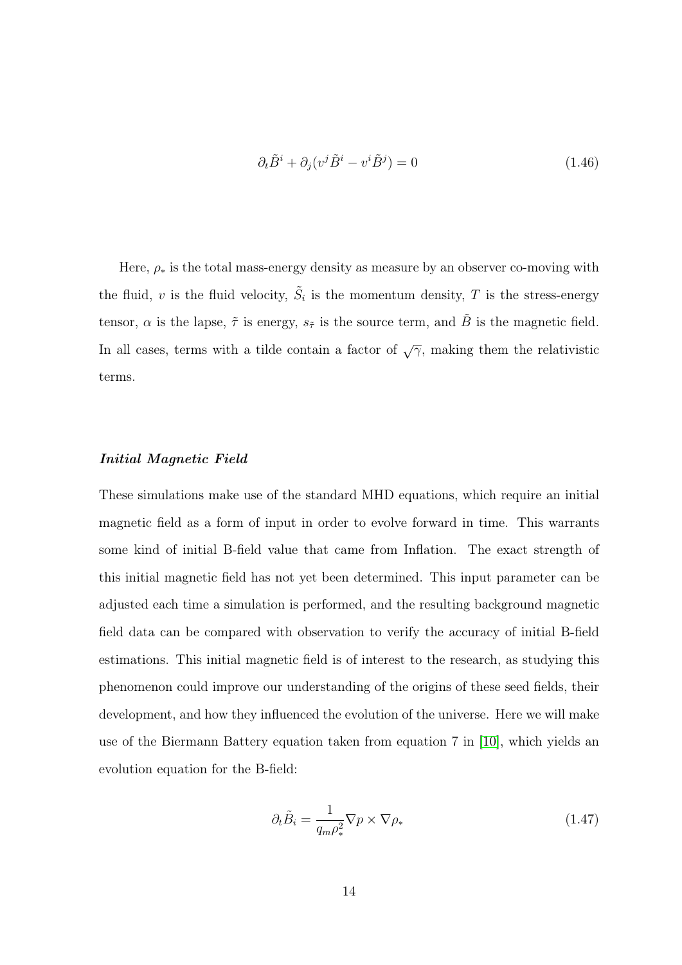$$
\partial_t \tilde{B}^i + \partial_j (v^j \tilde{B}^i - v^i \tilde{B}^j) = 0 \tag{1.46}
$$

Here,  $\rho_*$  is the total mass-energy density as measure by an observer co-moving with the fluid, v is the fluid velocity,  $\tilde{S}_i$  is the momentum density, T is the stress-energy tensor,  $\alpha$  is the lapse,  $\tilde{\tau}$  is energy,  $s_{\tilde{\tau}}$  is the source term, and  $\tilde{B}$  is the magnetic field. In all cases, terms with a tilde contain a factor of  $\sqrt{\gamma}$ , making them the relativistic terms.

#### <span id="page-21-0"></span>Initial Magnetic Field

These simulations make use of the standard MHD equations, which require an initial magnetic field as a form of input in order to evolve forward in time. This warrants some kind of initial B-field value that came from Inflation. The exact strength of this initial magnetic field has not yet been determined. This input parameter can be adjusted each time a simulation is performed, and the resulting background magnetic field data can be compared with observation to verify the accuracy of initial B-field estimations. This initial magnetic field is of interest to the research, as studying this phenomenon could improve our understanding of the origins of these seed fields, their development, and how they influenced the evolution of the universe. Here we will make use of the Biermann Battery equation taken from equation 7 in [\[10\]](#page-50-10), which yields an evolution equation for the B-field:

$$
\partial_t \tilde{B}_i = \frac{1}{q_m \rho_*^2} \nabla p \times \nabla \rho_* \tag{1.47}
$$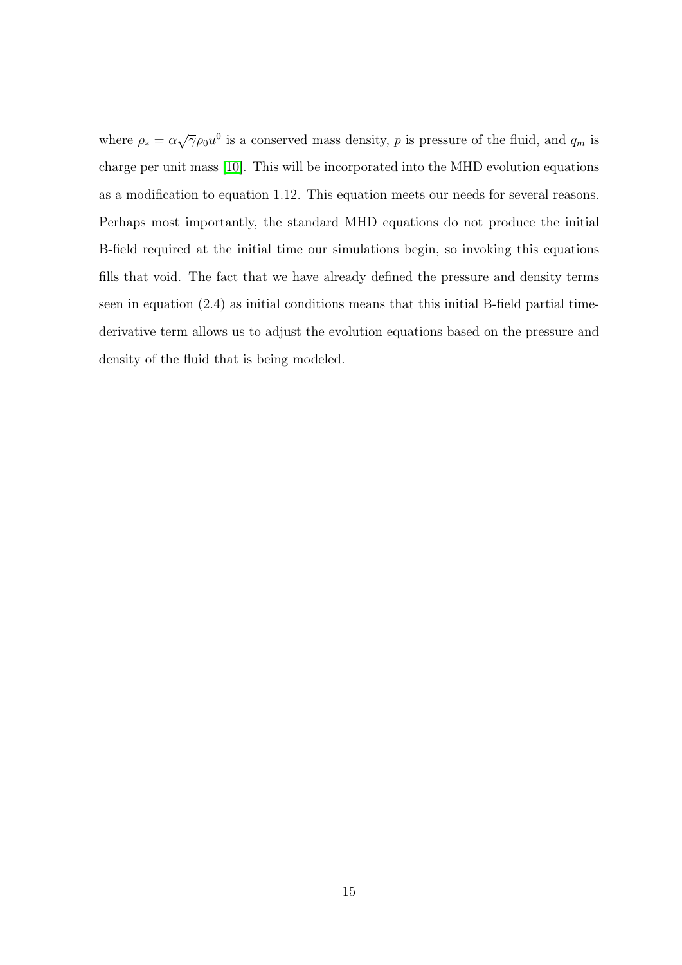where  $\rho_* = \alpha \sqrt{\gamma} \rho_0 u^0$  is a conserved mass density, p is pressure of the fluid, and  $q_m$  is charge per unit mass [\[10\]](#page-50-10). This will be incorporated into the MHD evolution equations as a modification to equation 1.12. This equation meets our needs for several reasons. Perhaps most importantly, the standard MHD equations do not produce the initial B-field required at the initial time our simulations begin, so invoking this equations fills that void. The fact that we have already defined the pressure and density terms seen in equation (2.4) as initial conditions means that this initial B-field partial timederivative term allows us to adjust the evolution equations based on the pressure and density of the fluid that is being modeled.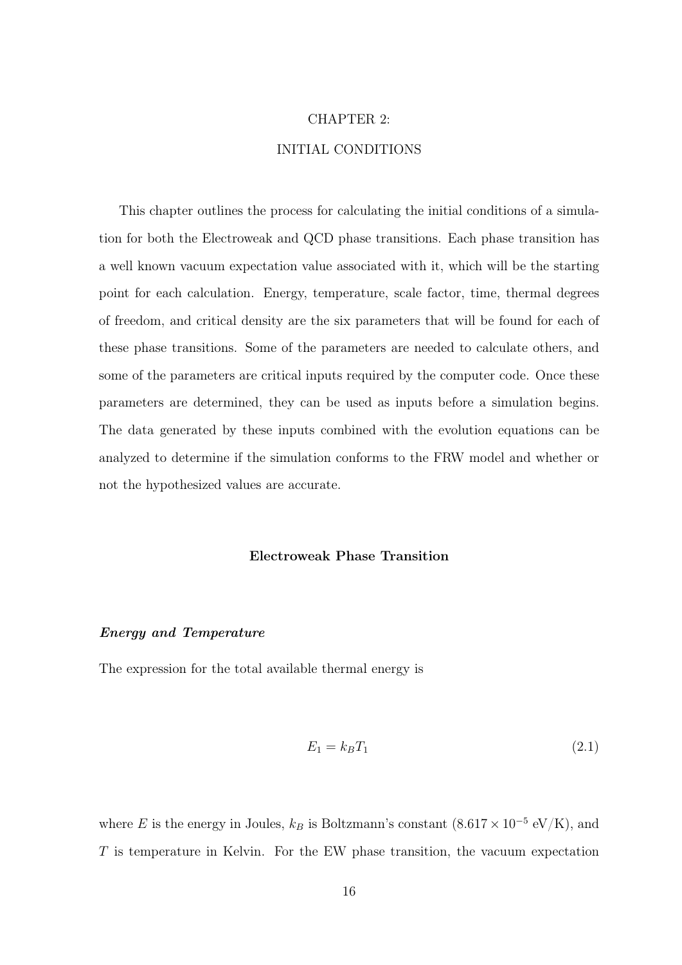### CHAPTER 2:

## INITIAL CONDITIONS

<span id="page-23-0"></span>This chapter outlines the process for calculating the initial conditions of a simulation for both the Electroweak and QCD phase transitions. Each phase transition has a well known vacuum expectation value associated with it, which will be the starting point for each calculation. Energy, temperature, scale factor, time, thermal degrees of freedom, and critical density are the six parameters that will be found for each of these phase transitions. Some of the parameters are needed to calculate others, and some of the parameters are critical inputs required by the computer code. Once these parameters are determined, they can be used as inputs before a simulation begins. The data generated by these inputs combined with the evolution equations can be analyzed to determine if the simulation conforms to the FRW model and whether or not the hypothesized values are accurate.

#### Electroweak Phase Transition

#### <span id="page-23-2"></span><span id="page-23-1"></span>Energy and Temperature

The expression for the total available thermal energy is

$$
E_1 = k_B T_1 \tag{2.1}
$$

where E is the energy in Joules,  $k_B$  is Boltzmann's constant  $(8.617 \times 10^{-5} \text{ eV/K})$ , and  $T$  is temperature in Kelvin. For the EW phase transition, the vacuum expectation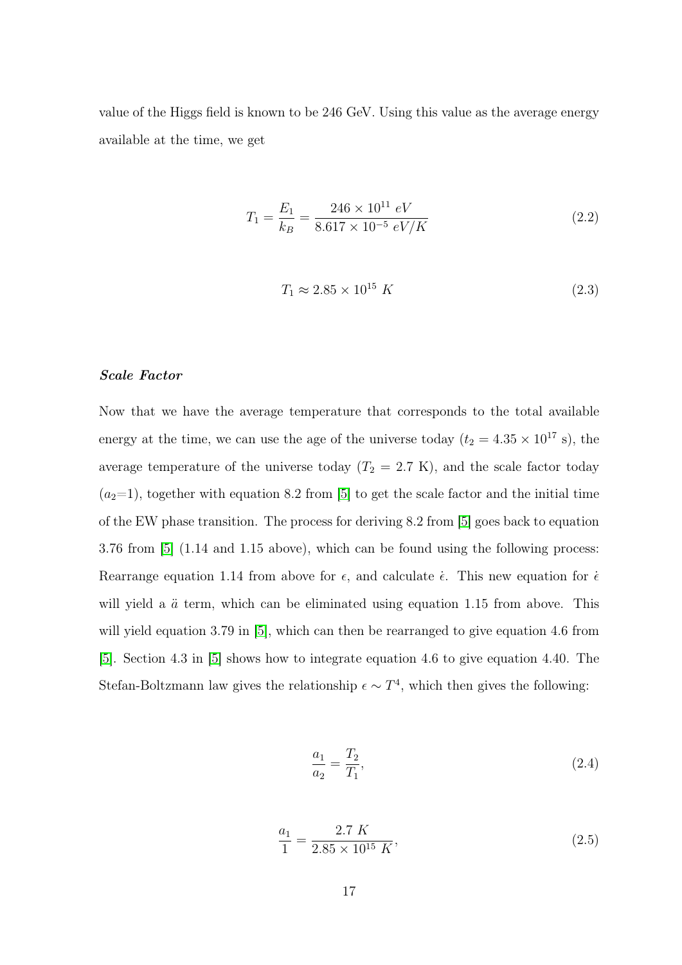value of the Higgs field is known to be 246 GeV. Using this value as the average energy available at the time, we get

$$
T_1 = \frac{E_1}{k_B} = \frac{246 \times 10^{11} \text{ eV}}{8.617 \times 10^{-5} \text{ eV}/K}
$$
\n(2.2)

$$
T_1 \approx 2.85 \times 10^{15} \ K \tag{2.3}
$$

#### <span id="page-24-0"></span>Scale Factor

Now that we have the average temperature that corresponds to the total available energy at the time, we can use the age of the universe today ( $t_2 = 4.35 \times 10^{17}$  s), the average temperature of the universe today  $(T_2 = 2.7 \text{ K})$ , and the scale factor today  $(a<sub>2</sub>=1)$ , together with equation 8.2 from [\[5\]](#page-50-5) to get the scale factor and the initial time of the EW phase transition. The process for deriving 8.2 from [\[5\]](#page-50-5) goes back to equation 3.76 from [\[5\]](#page-50-5) (1.14 and 1.15 above), which can be found using the following process: Rearrange equation 1.14 from above for  $\epsilon$ , and calculate  $\dot{\epsilon}$ . This new equation for  $\dot{\epsilon}$ will yield a  $\ddot{a}$  term, which can be eliminated using equation 1.15 from above. This will yield equation 3.79 in [\[5\]](#page-50-5), which can then be rearranged to give equation 4.6 from [\[5\]](#page-50-5). Section 4.3 in [\[5\]](#page-50-5) shows how to integrate equation 4.6 to give equation 4.40. The Stefan-Boltzmann law gives the relationship  $\epsilon \sim T^4$ , which then gives the following:

$$
\frac{a_1}{a_2} = \frac{T_2}{T_1},\tag{2.4}
$$

$$
\frac{a_1}{1} = \frac{2.7 \ K}{2.85 \times 10^{15} \ K},\tag{2.5}
$$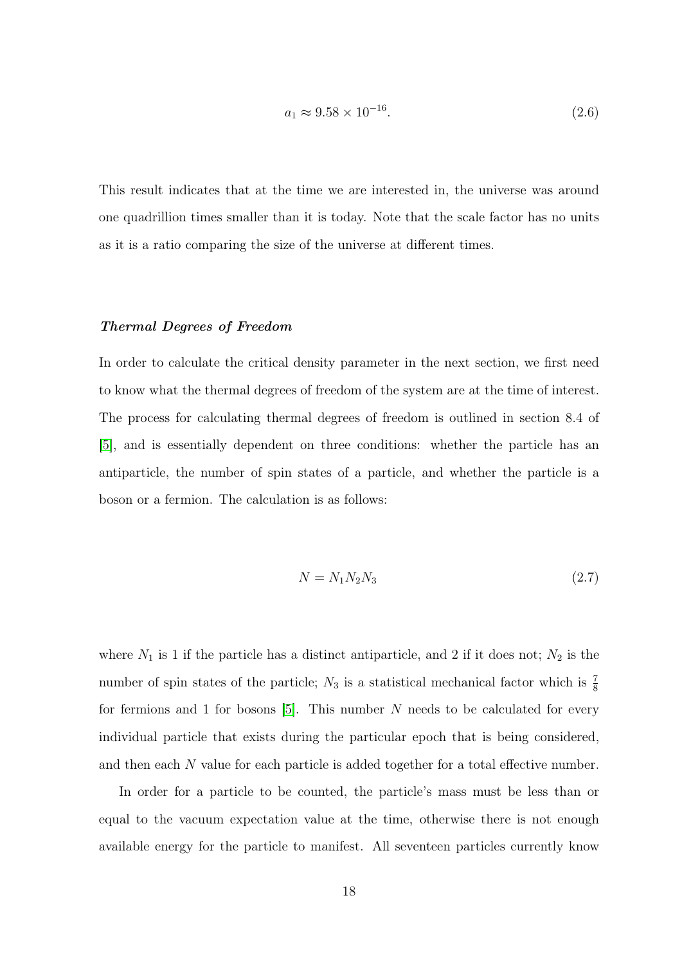$$
a_1 \approx 9.58 \times 10^{-16}.\tag{2.6}
$$

This result indicates that at the time we are interested in, the universe was around one quadrillion times smaller than it is today. Note that the scale factor has no units as it is a ratio comparing the size of the universe at different times.

#### <span id="page-25-0"></span>Thermal Degrees of Freedom

In order to calculate the critical density parameter in the next section, we first need to know what the thermal degrees of freedom of the system are at the time of interest. The process for calculating thermal degrees of freedom is outlined in section 8.4 of [\[5\]](#page-50-5), and is essentially dependent on three conditions: whether the particle has an antiparticle, the number of spin states of a particle, and whether the particle is a boson or a fermion. The calculation is as follows:

$$
N = N_1 N_2 N_3 \tag{2.7}
$$

where  $N_1$  is 1 if the particle has a distinct antiparticle, and 2 if it does not;  $N_2$  is the number of spin states of the particle;  $N_3$  is a statistical mechanical factor which is  $\frac{7}{8}$ for fermions and 1 for bosons [\[5\]](#page-50-5). This number N needs to be calculated for every individual particle that exists during the particular epoch that is being considered, and then each N value for each particle is added together for a total effective number.

In order for a particle to be counted, the particle's mass must be less than or equal to the vacuum expectation value at the time, otherwise there is not enough available energy for the particle to manifest. All seventeen particles currently know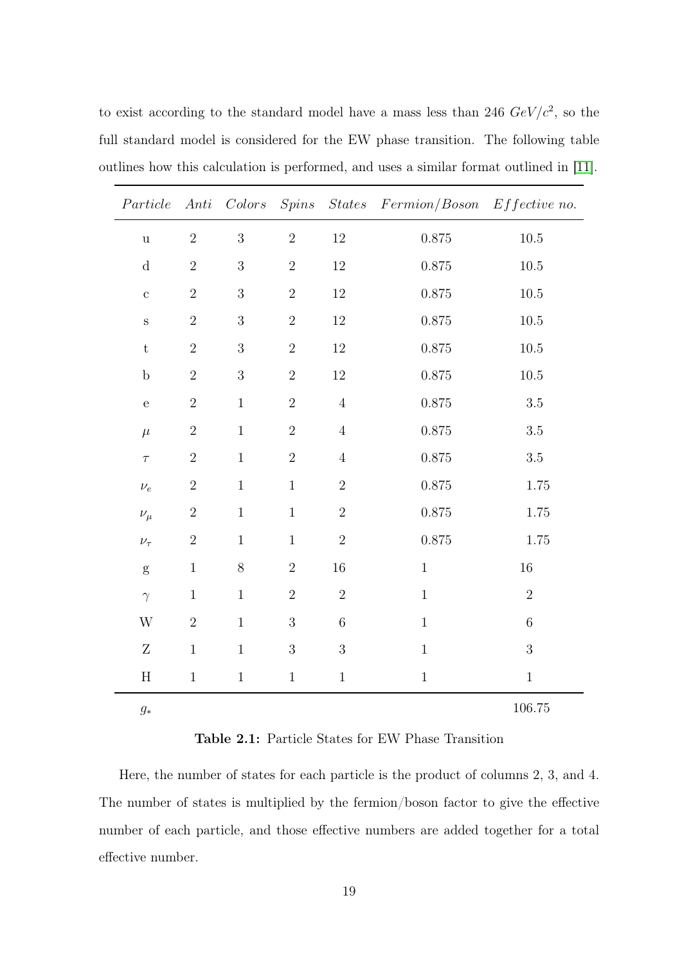to exist according to the standard model have a mass less than 246  $GeV/c^2$ , so the full standard model is considered for the EW phase transition. The following table outlines how this calculation is performed, and uses a similar format outlined in [\[11\]](#page-50-11).

| Particle                  |            |            |              |            | Anti Colors Spins States Fermion/Boson Effective no. |                |
|---------------------------|------------|------------|--------------|------------|------------------------------------------------------|----------------|
| $\mathbf u$               | $\sqrt{2}$ | 3          | $\sqrt{2}$   | $12\,$     | $0.875\,$                                            | $10.5\,$       |
| ${\rm d}$                 | $\sqrt{2}$ | $\sqrt{3}$ | $\sqrt{2}$   | $12\,$     | $0.875\,$                                            | $10.5\,$       |
| $\mathbf c$               | $\sqrt{2}$ | $\sqrt{3}$ | $\sqrt{2}$   | $12\,$     | 0.875                                                | $10.5\,$       |
| $\rm S$                   | $\sqrt{2}$ | $\sqrt{3}$ | $\sqrt{2}$   | $12\,$     | $0.875\,$                                            | $10.5\,$       |
| $\mathbf t$               | $\sqrt{2}$ | $\sqrt{3}$ | $\sqrt{2}$   | $12\,$     | $0.875\,$                                            | $10.5\,$       |
| $\mathbf b$               | $\sqrt{2}$ | $\sqrt{3}$ | $\sqrt{2}$   | 12         | $0.875\,$                                            | $10.5\,$       |
| $\mathbf e$               | $\sqrt{2}$ | $\,1\,$    | $\sqrt{2}$   | $\sqrt{4}$ | $0.875\,$                                            | $3.5\,$        |
| $\mu$                     | $\sqrt{2}$ | $\,1\,$    | $\sqrt{2}$   | $\sqrt{4}$ | $0.875\,$                                            | $3.5\,$        |
| $\tau$                    | $\sqrt{2}$ | $\,1$      | $\sqrt{2}$   | $\sqrt{4}$ | $0.875\,$                                            | $3.5\,$        |
| $\nu_e$                   | $\sqrt{2}$ | $\,1$      | $1\,$        | $\sqrt{2}$ | 0.875                                                | $1.75\,$       |
| $\nu_\mu$                 | $\sqrt{2}$ | $\,1$      | $\,1$        | $\sqrt{2}$ | $0.875\,$                                            | $1.75\,$       |
| $\nu_\tau$                | $\sqrt{2}$ | $\,1$      | $\,1$        | $\sqrt{2}$ | $0.875\,$                                            | $1.75\,$       |
| ${\rm g}$                 | $\,1$      | $8\,$      | $\sqrt{2}$   | $16\,$     | $\,1$                                                | $16\,$         |
| $\gamma$                  | $\,1\,$    | $\,1\,$    | $\sqrt{2}$   | $\sqrt{2}$ | $\,1$                                                | $\overline{2}$ |
| W                         | $\sqrt{2}$ | $\,1\,$    | $\sqrt{3}$   | $\,6\,$    | $1\,$                                                | $\,6$          |
| Ζ                         | $\,1$      | $\,1\,$    | $\sqrt{3}$   | $\sqrt{3}$ | $\,1\,$                                              | $\overline{3}$ |
| $\boldsymbol{\mathrm{H}}$ | $\,1$      | $\,1$      | $\mathbf{1}$ | $\,1$      | $\,1$                                                | $\,1$          |
| $g_\ast$                  |            |            |              |            |                                                      | $106.75\,$     |

<span id="page-26-0"></span>Table 2.1: Particle States for EW Phase Transition

Here, the number of states for each particle is the product of columns 2, 3, and 4. The number of states is multiplied by the fermion/boson factor to give the effective number of each particle, and those effective numbers are added together for a total effective number.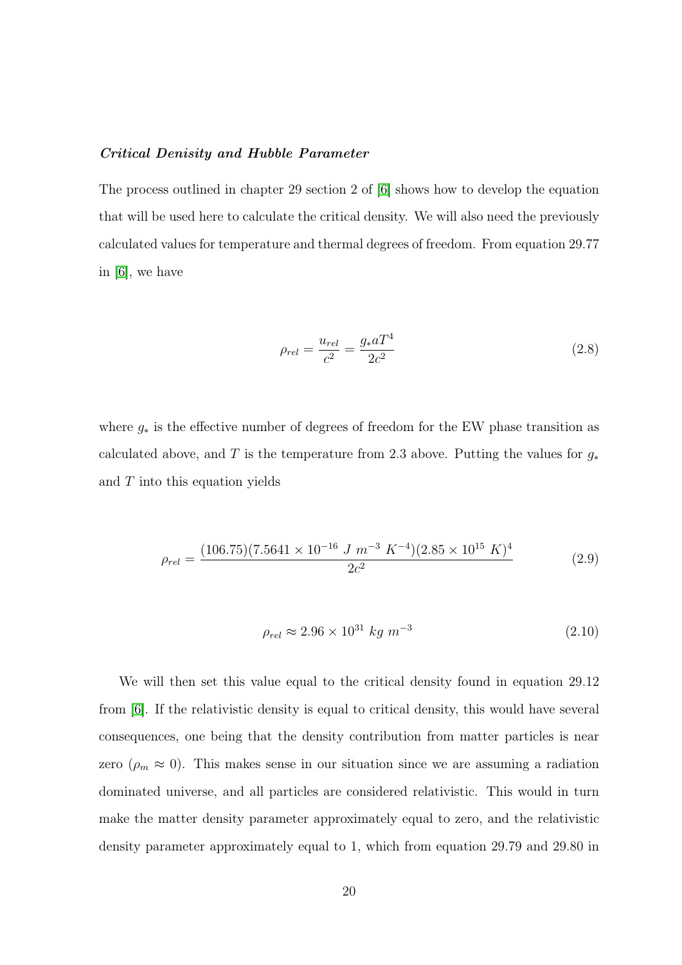#### <span id="page-27-0"></span>Critical Denisity and Hubble Parameter

The process outlined in chapter 29 section 2 of [\[6\]](#page-50-6) shows how to develop the equation that will be used here to calculate the critical density. We will also need the previously calculated values for temperature and thermal degrees of freedom. From equation 29.77 in [\[6\]](#page-50-6), we have

$$
\rho_{rel} = \frac{u_{rel}}{c^2} = \frac{g_* a T^4}{2c^2} \tag{2.8}
$$

where  $g_*$  is the effective number of degrees of freedom for the EW phase transition as calculated above, and T is the temperature from 2.3 above. Putting the values for  $g_*$ and  $T$  into this equation yields

$$
\rho_{rel} = \frac{(106.75)(7.5641 \times 10^{-16} \text{ J m}^{-3} \text{ K}^{-4})(2.85 \times 10^{15} \text{ K})^4}{2c^2} \tag{2.9}
$$

$$
\rho_{rel} \approx 2.96 \times 10^{31} \ kg \ m^{-3} \tag{2.10}
$$

We will then set this value equal to the critical density found in equation 29.12 from [\[6\]](#page-50-6). If the relativistic density is equal to critical density, this would have several consequences, one being that the density contribution from matter particles is near zero ( $\rho_m \approx 0$ ). This makes sense in our situation since we are assuming a radiation dominated universe, and all particles are considered relativistic. This would in turn make the matter density parameter approximately equal to zero, and the relativistic density parameter approximately equal to 1, which from equation 29.79 and 29.80 in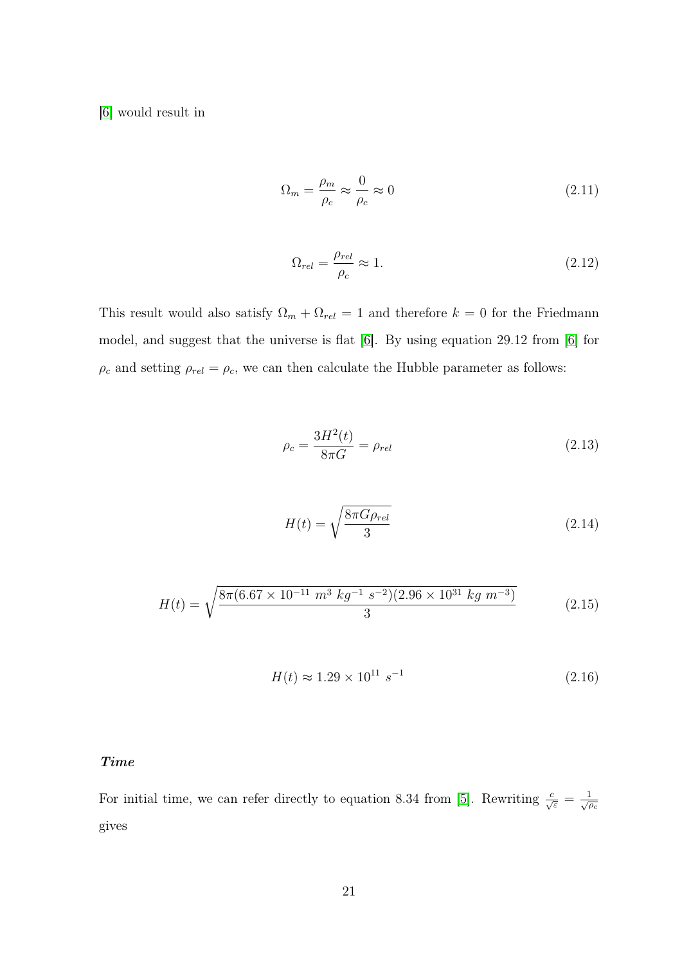[\[6\]](#page-50-6) would result in

$$
\Omega_m = \frac{\rho_m}{\rho_c} \approx \frac{0}{\rho_c} \approx 0 \tag{2.11}
$$

$$
\Omega_{rel} = \frac{\rho_{rel}}{\rho_c} \approx 1. \tag{2.12}
$$

This result would also satisfy  $\Omega_m + \Omega_{rel} = 1$  and therefore  $k = 0$  for the Friedmann model, and suggest that the universe is flat [\[6\]](#page-50-6). By using equation 29.12 from [\[6\]](#page-50-6) for  $\rho_c$  and setting  $\rho_{rel} = \rho_c$ , we can then calculate the Hubble parameter as follows:

$$
\rho_c = \frac{3H^2(t)}{8\pi G} = \rho_{rel} \tag{2.13}
$$

$$
H(t) = \sqrt{\frac{8\pi G\rho_{rel}}{3}}\tag{2.14}
$$

$$
H(t) = \sqrt{\frac{8\pi (6.67 \times 10^{-11} \, m^3 \, kg^{-1} \, s^{-2})(2.96 \times 10^{31} \, kg \, m^{-3})}{3}} \tag{2.15}
$$

$$
H(t) \approx 1.29 \times 10^{11} \, s^{-1} \tag{2.16}
$$

## <span id="page-28-0"></span>Time

For initial time, we can refer directly to equation 8.34 from [\[5\]](#page-50-5). Rewriting  $\frac{c}{\sqrt{\varepsilon}} = \frac{1}{\sqrt{\rho_c}}$ gives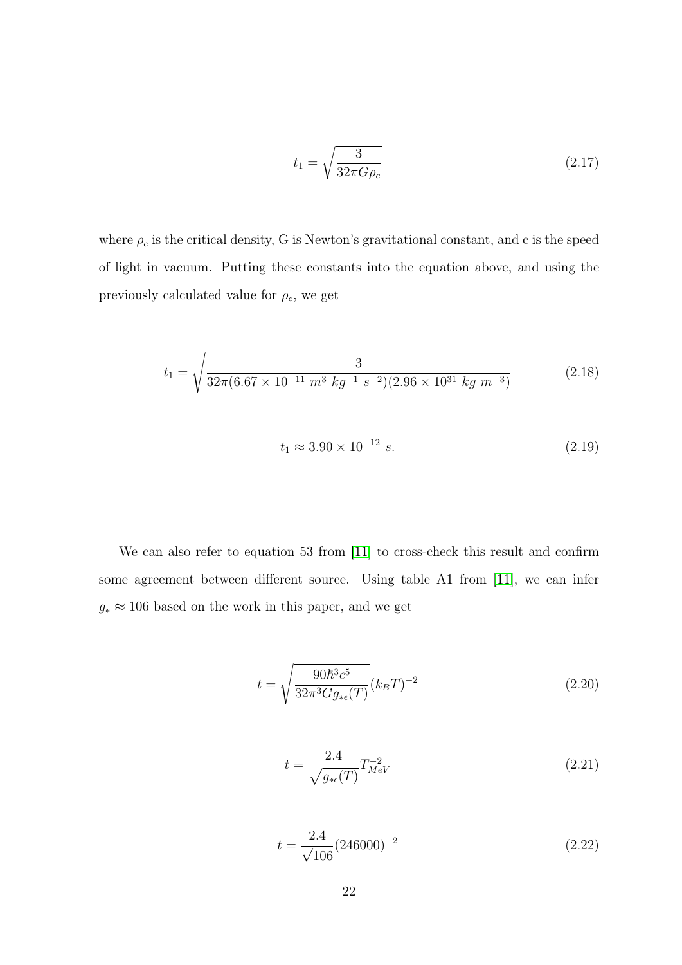$$
t_1 = \sqrt{\frac{3}{32\pi G\rho_c}}\tag{2.17}
$$

where  $\rho_c$  is the critical density, G is Newton's gravitational constant, and c is the speed of light in vacuum. Putting these constants into the equation above, and using the previously calculated value for  $\rho_c$ , we get

$$
t_1 = \sqrt{\frac{3}{32\pi (6.67 \times 10^{-11} \ m^3 \ kg^{-1} \ s^{-2})(2.96 \times 10^{31} \ kg \ m^{-3})}}
$$
(2.18)

$$
t_1 \approx 3.90 \times 10^{-12} \text{ s.}
$$
\n
$$
(2.19)
$$

We can also refer to equation 53 from [\[11\]](#page-50-11) to cross-check this result and confirm some agreement between different source. Using table A1 from [\[11\]](#page-50-11), we can infer  $g_* \approx 106$  based on the work in this paper, and we get

$$
t = \sqrt{\frac{90\hbar^3 c^5}{32\pi^3 G g_{* \epsilon}(T)}} (k_B T)^{-2}
$$
\n(2.20)

$$
t = \frac{2.4}{\sqrt{g_{*}\epsilon(T)}} T_{MeV}^{-2}
$$
\n(2.21)

$$
t = \frac{2.4}{\sqrt{106}} (246000)^{-2}
$$
 (2.22)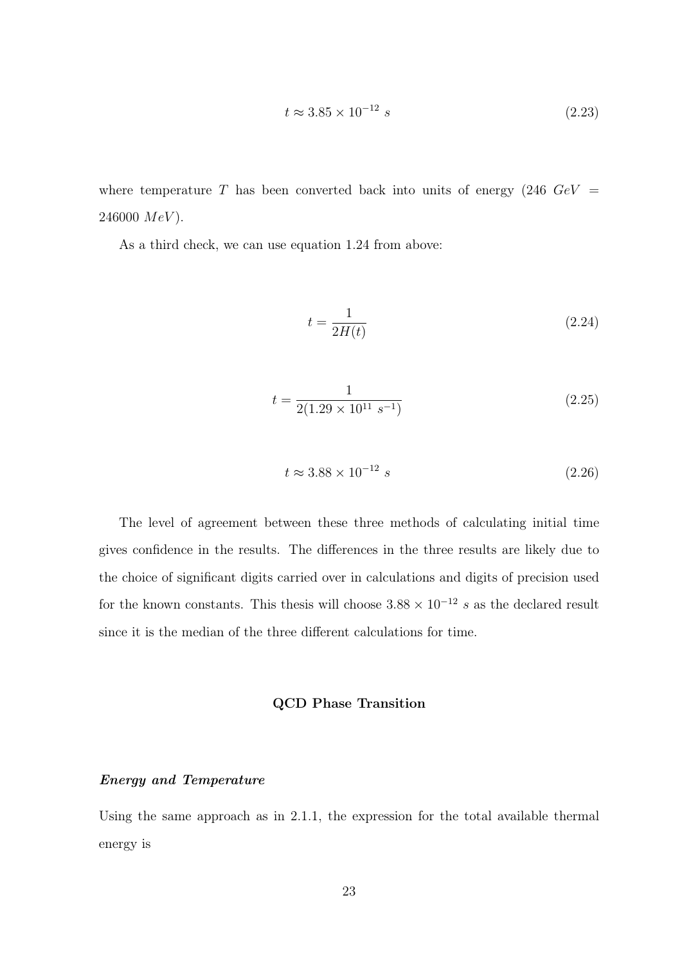$$
t \approx 3.85 \times 10^{-12} \text{ s} \tag{2.23}
$$

where temperature T has been converted back into units of energy (246  $GeV =$ 246000  $MeV$ ).

As a third check, we can use equation 1.24 from above:

$$
t = \frac{1}{2H(t)}\tag{2.24}
$$

$$
t = \frac{1}{2(1.29 \times 10^{11} \text{ s}^{-1})}
$$
\n(2.25)

$$
t \approx 3.88 \times 10^{-12} \text{ s} \tag{2.26}
$$

<span id="page-30-0"></span>The level of agreement between these three methods of calculating initial time gives confidence in the results. The differences in the three results are likely due to the choice of significant digits carried over in calculations and digits of precision used for the known constants. This thesis will choose  $3.88 \times 10^{-12}$  s as the declared result since it is the median of the three different calculations for time.

### QCD Phase Transition

#### <span id="page-30-1"></span>Energy and Temperature

Using the same approach as in 2.1.1, the expression for the total available thermal energy is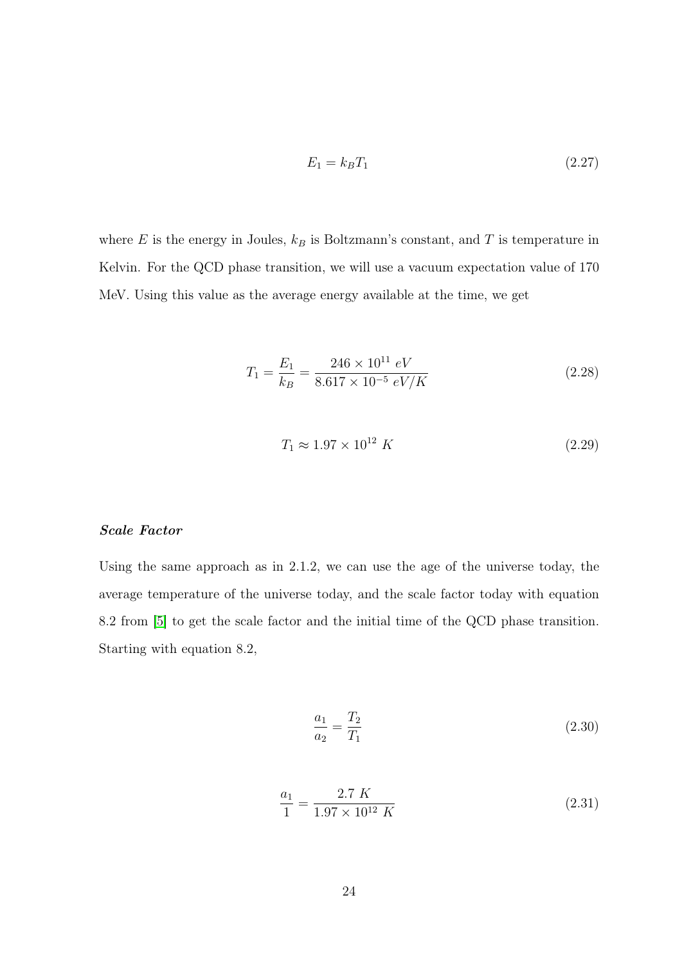$$
E_1 = k_B T_1 \tag{2.27}
$$

where  $E$  is the energy in Joules,  $k_B$  is Boltzmann's constant, and  $T$  is temperature in Kelvin. For the QCD phase transition, we will use a vacuum expectation value of 170 MeV. Using this value as the average energy available at the time, we get

$$
T_1 = \frac{E_1}{k_B} = \frac{246 \times 10^{11} \text{ eV}}{8.617 \times 10^{-5} \text{ eV/K}}\tag{2.28}
$$

$$
T_1 \approx 1.97 \times 10^{12} \ K \tag{2.29}
$$

### <span id="page-31-0"></span>Scale Factor

Using the same approach as in 2.1.2, we can use the age of the universe today, the average temperature of the universe today, and the scale factor today with equation 8.2 from [\[5\]](#page-50-5) to get the scale factor and the initial time of the QCD phase transition. Starting with equation 8.2,

$$
\frac{a_1}{a_2} = \frac{T_2}{T_1} \tag{2.30}
$$

$$
\frac{a_1}{1} = \frac{2.7 \ K}{1.97 \times 10^{12} \ K} \tag{2.31}
$$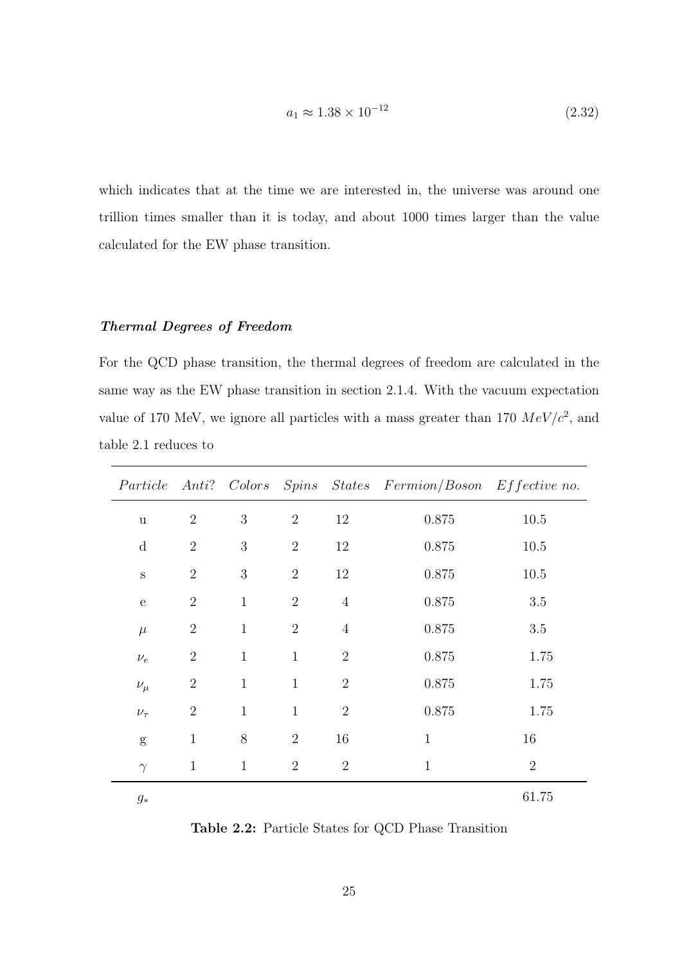$$
a_1 \approx 1.38 \times 10^{-12} \tag{2.32}
$$

which indicates that at the time we are interested in, the universe was around one trillion times smaller than it is today, and about 1000 times larger than the value calculated for the EW phase transition.

### <span id="page-32-0"></span>Thermal Degrees of Freedom

For the QCD phase transition, the thermal degrees of freedom are calculated in the same way as the EW phase transition in section 2.1.4. With the vacuum expectation value of 170 MeV, we ignore all particles with a mass greater than 170  $MeV/c^2$ , and table 2.1 reduces to

|              |                |              |                |                | Particle Anti? Colors Spins States Fermion/Boson Effective no. |                |
|--------------|----------------|--------------|----------------|----------------|----------------------------------------------------------------|----------------|
| $\mathbf u$  | $\overline{2}$ | 3            | $\overline{2}$ | 12             | 0.875                                                          | 10.5           |
| d            | $\overline{2}$ | 3            | $\overline{2}$ | 12             | 0.875                                                          | $10.5\,$       |
| $\rm S$      | $\overline{2}$ | 3            | $\overline{2}$ | 12             | 0.875                                                          | $10.5\,$       |
| $\mathbf{e}$ | $\overline{2}$ | $\mathbf{1}$ | $\overline{2}$ | $\overline{4}$ | $0.875\,$                                                      | $3.5\,$        |
| $\mu$        | $\sqrt{2}$     | $\mathbf{1}$ | $\overline{2}$ | $\overline{4}$ | 0.875                                                          | 3.5            |
| $\nu_e$      | $\overline{2}$ | $\mathbf{1}$ | $\mathbf{1}$   | $\overline{2}$ | $0.875\,$                                                      | 1.75           |
| $\nu_\mu$    | $\overline{2}$ | $\mathbf{1}$ | $\mathbf{1}$   | $\overline{2}$ | $0.875\,$                                                      | 1.75           |
| $\nu_\tau$   | $\overline{2}$ | $\mathbf{1}$ | $\mathbf{1}$   | $\overline{2}$ | 0.875                                                          | 1.75           |
| g            | $\mathbf{1}$   | $8\,$        | $\overline{2}$ | 16             | $\mathbf{1}$                                                   | 16             |
| $\gamma$     | $\mathbf{1}$   | $\mathbf{1}$ | $\overline{2}$ | $\overline{2}$ | $\mathbf{1}$                                                   | $\overline{2}$ |
| $g_\ast$     |                |              |                |                |                                                                | 61.75          |

<span id="page-32-1"></span>Table 2.2: Particle States for QCD Phase Transition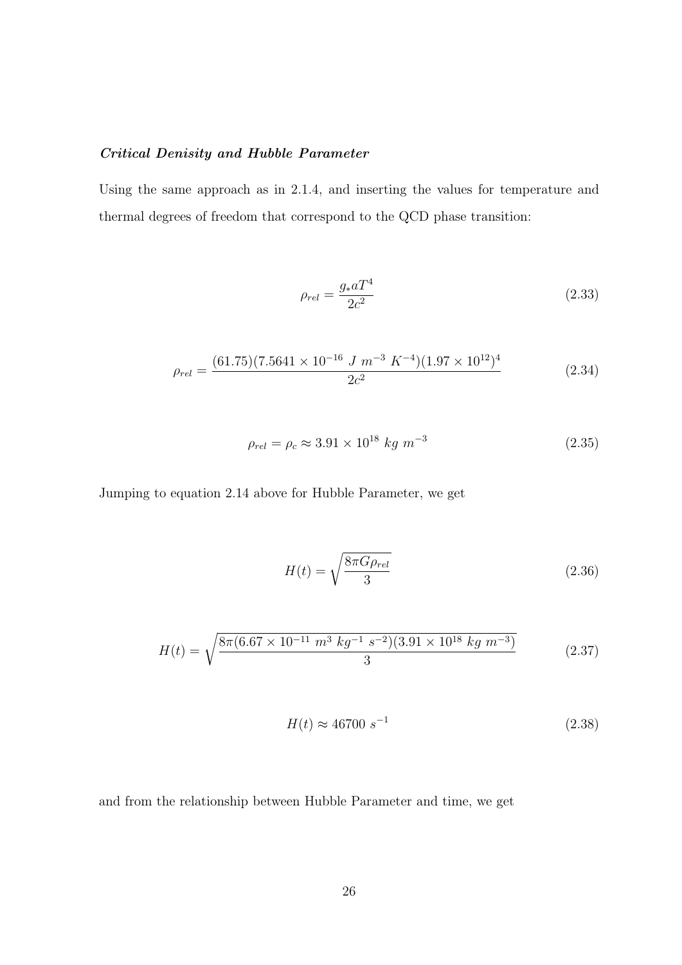# <span id="page-33-0"></span>Critical Denisity and Hubble Parameter

Using the same approach as in 2.1.4, and inserting the values for temperature and thermal degrees of freedom that correspond to the QCD phase transition:

$$
\rho_{rel} = \frac{g_* a T^4}{2c^2} \tag{2.33}
$$

$$
\rho_{rel} = \frac{(61.75)(7.5641 \times 10^{-16} \text{ J m}^{-3} \text{ K}^{-4})(1.97 \times 10^{12})^4}{2c^2} \tag{2.34}
$$

$$
\rho_{rel} = \rho_c \approx 3.91 \times 10^{18} \text{ kg m}^{-3} \tag{2.35}
$$

Jumping to equation 2.14 above for Hubble Parameter, we get

$$
H(t) = \sqrt{\frac{8\pi G \rho_{rel}}{3}}\tag{2.36}
$$

$$
H(t) = \sqrt{\frac{8\pi (6.67 \times 10^{-11} \ m^3 \ kg^{-1} \ s^{-2})(3.91 \times 10^{18} \ kg \ m^{-3})}{3}} \tag{2.37}
$$

$$
H(t) \approx 46700 \, s^{-1} \tag{2.38}
$$

and from the relationship between Hubble Parameter and time, we get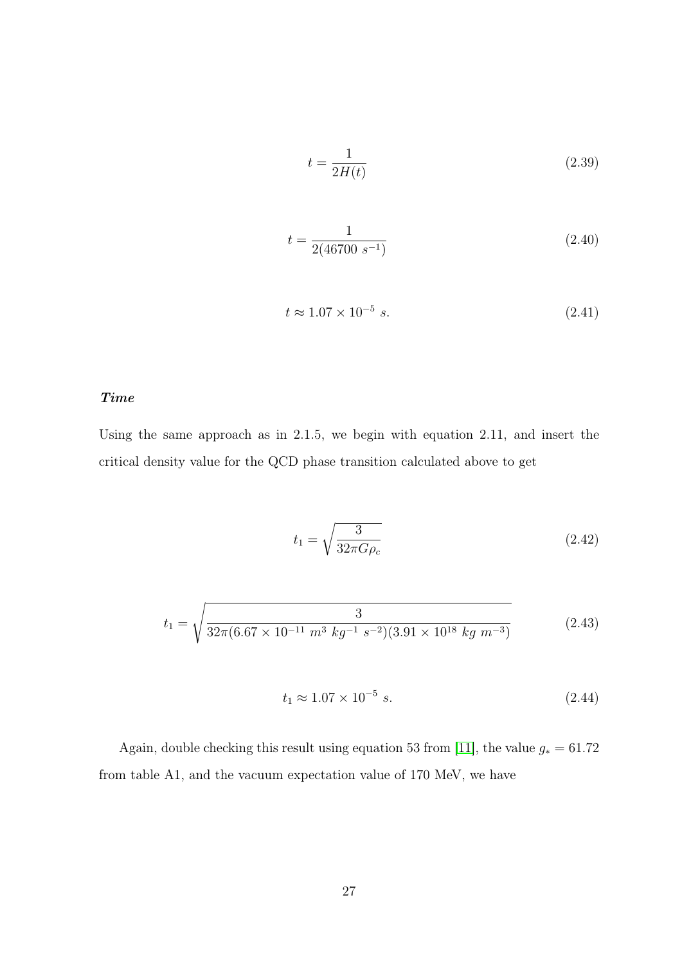$$
t = \frac{1}{2H(t)}\tag{2.39}
$$

$$
t = \frac{1}{2(46700 \ s^{-1})} \tag{2.40}
$$

$$
t \approx 1.07 \times 10^{-5} \text{ s.} \tag{2.41}
$$

## <span id="page-34-0"></span>Time

Using the same approach as in 2.1.5, we begin with equation 2.11, and insert the critical density value for the QCD phase transition calculated above to get

$$
t_1 = \sqrt{\frac{3}{32\pi G\rho_c}}\tag{2.42}
$$

$$
t_1 = \sqrt{\frac{3}{32\pi (6.67 \times 10^{-11} \ m^3 \ kg^{-1} \ s^{-2})(3.91 \times 10^{18} \ kg \ m^{-3})}}
$$
(2.43)

$$
t_1 \approx 1.07 \times 10^{-5} \text{ s.}
$$
 (2.44)

Again, double checking this result using equation 53 from [\[11\]](#page-50-11), the value  $g_* = 61.72$ from table A1, and the vacuum expectation value of 170 MeV, we have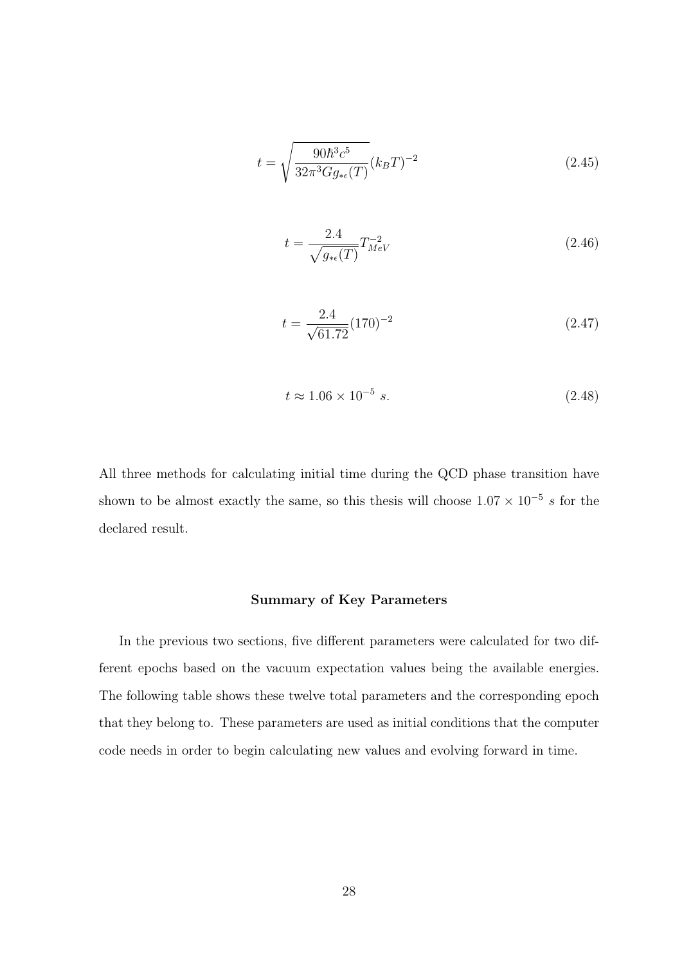$$
t = \sqrt{\frac{90\hbar^3 c^5}{32\pi^3 G g_{* \epsilon}(T)}} (k_B T)^{-2}
$$
\n(2.45)

$$
t = \frac{2.4}{\sqrt{g_{*e}(T)}} T_{MeV}^{-2}
$$
 (2.46)

$$
t = \frac{2.4}{\sqrt{61.72}} (170)^{-2}
$$
 (2.47)

$$
t \approx 1.06 \times 10^{-5} \text{ s.}
$$
 (2.48)

<span id="page-35-0"></span>All three methods for calculating initial time during the QCD phase transition have shown to be almost exactly the same, so this thesis will choose  $1.07 \times 10^{-5}$  s for the declared result.

## Summary of Key Parameters

In the previous two sections, five different parameters were calculated for two different epochs based on the vacuum expectation values being the available energies. The following table shows these twelve total parameters and the corresponding epoch that they belong to. These parameters are used as initial conditions that the computer code needs in order to begin calculating new values and evolving forward in time.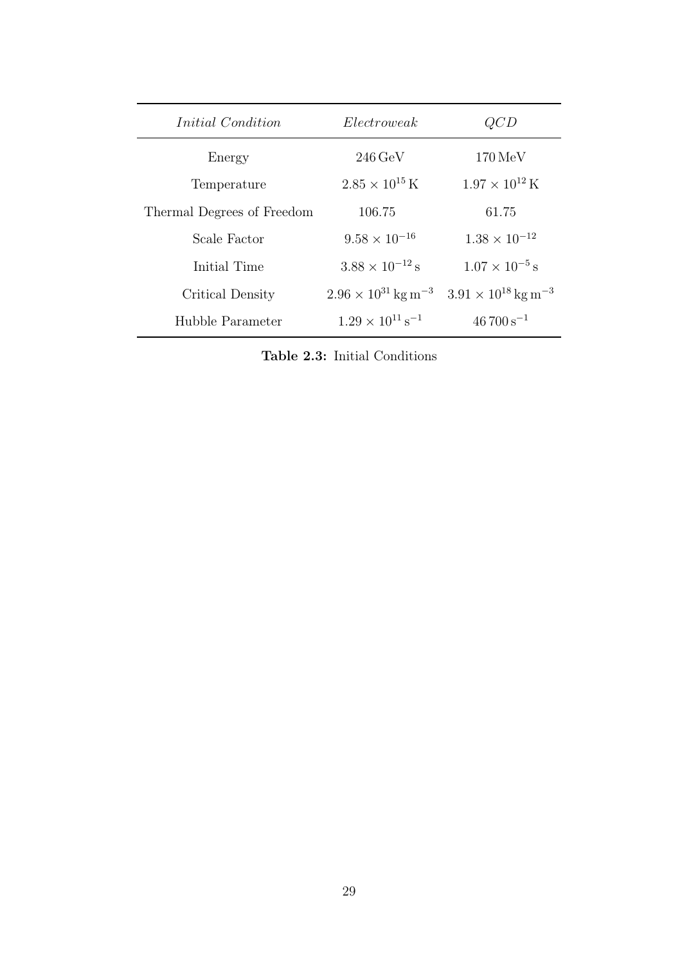| <i>Initial Condition</i>   | Electroweak                              | QCD                                      |
|----------------------------|------------------------------------------|------------------------------------------|
| Energy                     | $246 \,\mathrm{GeV}$                     | $170 \,\mathrm{MeV}$                     |
| Temperature                | $2.85 \times 10^{15}$ K                  | $1.97 \times 10^{12}$ K                  |
| Thermal Degrees of Freedom | 106.75                                   | 61.75                                    |
| Scale Factor               | $9.58 \times 10^{-16}$                   | $1.38 \times 10^{-12}$                   |
| Initial Time               | $3.88 \times 10^{-12}$ s                 | $1.07 \times 10^{-5}$ s                  |
| Critical Density           | $2.96 \times 10^{31}$ kg m <sup>-3</sup> | $3.91 \times 10^{18}$ kg m <sup>-3</sup> |
| Hubble Parameter           | $1.29 \times 10^{11}$ s <sup>-1</sup>    | $46700 s^{-1}$                           |

Table 2.3: Initial Conditions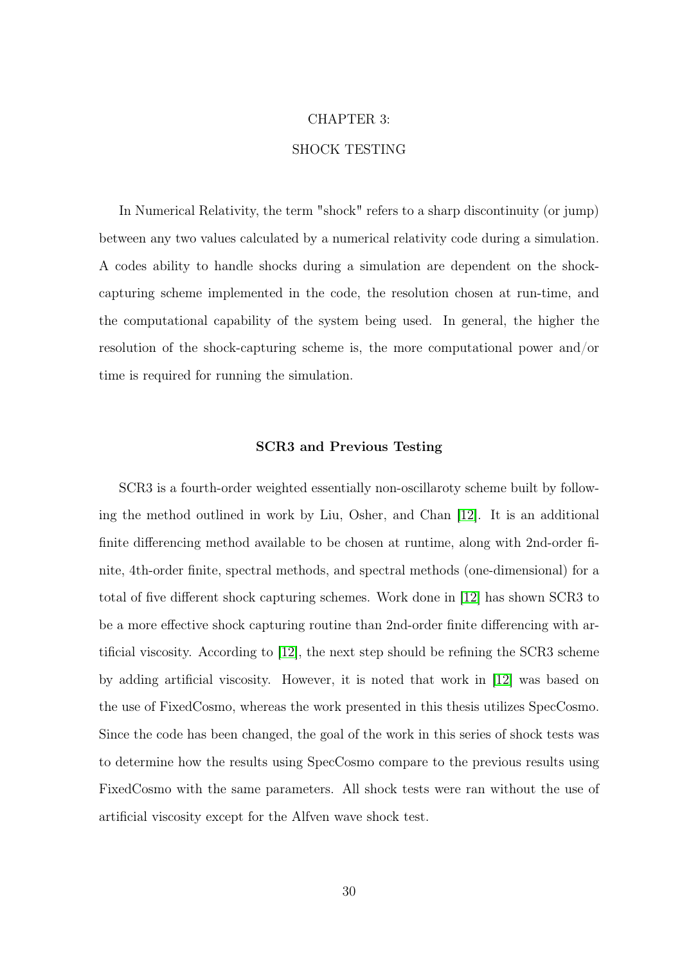#### CHAPTER 3:

## SHOCK TESTING

In Numerical Relativity, the term "shock" refers to a sharp discontinuity (or jump) between any two values calculated by a numerical relativity code during a simulation. A codes ability to handle shocks during a simulation are dependent on the shockcapturing scheme implemented in the code, the resolution chosen at run-time, and the computational capability of the system being used. In general, the higher the resolution of the shock-capturing scheme is, the more computational power and/or time is required for running the simulation.

#### SCR3 and Previous Testing

SCR3 is a fourth-order weighted essentially non-oscillaroty scheme built by following the method outlined in work by Liu, Osher, and Chan [\[12\]](#page-50-0). It is an additional finite differencing method available to be chosen at runtime, along with 2nd-order finite, 4th-order finite, spectral methods, and spectral methods (one-dimensional) for a total of five different shock capturing schemes. Work done in [\[12\]](#page-50-0) has shown SCR3 to be a more effective shock capturing routine than 2nd-order finite differencing with artificial viscosity. According to [\[12\]](#page-50-0), the next step should be refining the SCR3 scheme by adding artificial viscosity. However, it is noted that work in [\[12\]](#page-50-0) was based on the use of FixedCosmo, whereas the work presented in this thesis utilizes SpecCosmo. Since the code has been changed, the goal of the work in this series of shock tests was to determine how the results using SpecCosmo compare to the previous results using FixedCosmo with the same parameters. All shock tests were ran without the use of artificial viscosity except for the Alfven wave shock test.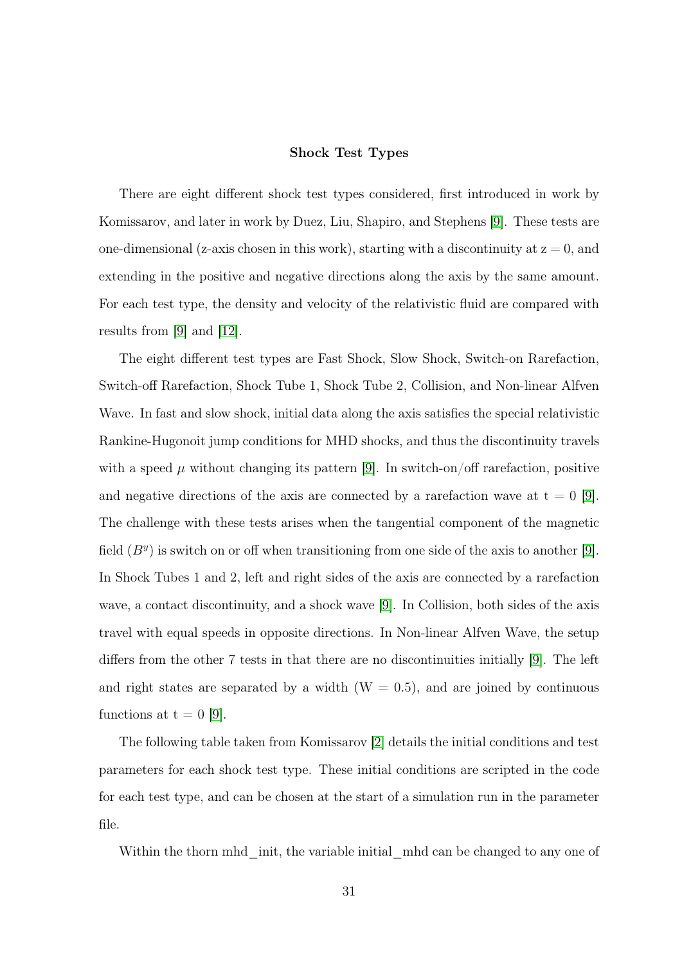#### Shock Test Types

There are eight different shock test types considered, first introduced in work by Komissarov, and later in work by Duez, Liu, Shapiro, and Stephens [\[9\]](#page-50-1). These tests are one-dimensional (z-axis chosen in this work), starting with a discontinuity at  $z = 0$ , and extending in the positive and negative directions along the axis by the same amount. For each test type, the density and velocity of the relativistic fluid are compared with results from [\[9\]](#page-50-1) and [\[12\]](#page-50-0).

The eight different test types are Fast Shock, Slow Shock, Switch-on Rarefaction, Switch-off Rarefaction, Shock Tube 1, Shock Tube 2, Collision, and Non-linear Alfven Wave. In fast and slow shock, initial data along the axis satisfies the special relativistic Rankine-Hugonoit jump conditions for MHD shocks, and thus the discontinuity travels with a speed  $\mu$  without changing its pattern [\[9\]](#page-50-1). In switch-on/off rarefaction, positive and negative directions of the axis are connected by a rarefaction wave at  $t = 0$  [\[9\]](#page-50-1). The challenge with these tests arises when the tangential component of the magnetic field  $(B<sup>y</sup>)$  is switch on or off when transitioning from one side of the axis to another [\[9\]](#page-50-1). In Shock Tubes 1 and 2, left and right sides of the axis are connected by a rarefaction wave, a contact discontinuity, and a shock wave [\[9\]](#page-50-1). In Collision, both sides of the axis travel with equal speeds in opposite directions. In Non-linear Alfven Wave, the setup differs from the other 7 tests in that there are no discontinuities initially [\[9\]](#page-50-1). The left and right states are separated by a width  $(W = 0.5)$ , and are joined by continuous functions at  $t = 0$  [\[9\]](#page-50-1).

The following table taken from Komissarov [\[2\]](#page-50-2) details the initial conditions and test parameters for each shock test type. These initial conditions are scripted in the code for each test type, and can be chosen at the start of a simulation run in the parameter file.

Within the thorn mhd init, the variable initial mhd can be changed to any one of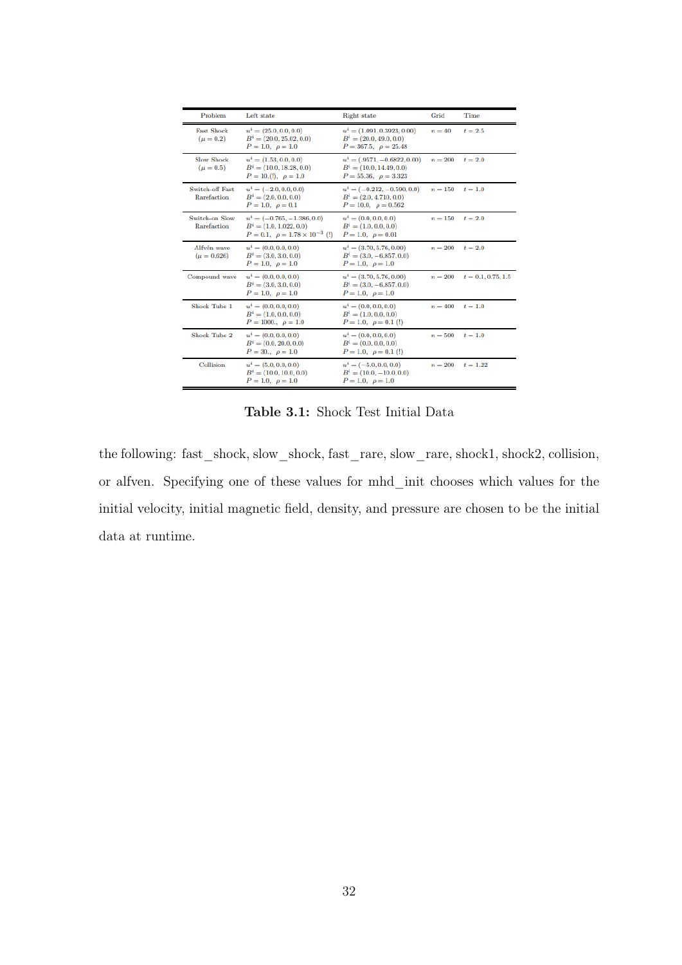| Problem                            | Left state                                                                                                | <b>Right</b> state                                                                        | Grid      | Time                 |
|------------------------------------|-----------------------------------------------------------------------------------------------------------|-------------------------------------------------------------------------------------------|-----------|----------------------|
| <b>Fast Shock</b><br>$(\mu = 0.2)$ | $u^i = (25.0, 0.0, 0.0)$<br>$B^i = (20.0, 25.02, 0.0)$<br>$P = 1.0, \rho = 1.0$                           | $u^i = (1.091, 0.3923, 0.00)$<br>$B^i = (20.0, 49.0, 0.0)$<br>$P = 367.5, \rho = 25.48$   | $n = 40$  | $t=2.5$              |
| <b>Slow Shock</b><br>$(\mu = 0.5)$ | $u^i = (1.53, 0.0, 0.0)$<br>$B^i = (10.0, 18.28, 0.0)$<br>$P = 10(!)$ , $\rho = 1.0$                      | $u^i = (.9571, -0.6822, 0.00)$<br>$B^i = (10.0, 14.49, 0.0)$<br>$P = 55.36, \rho = 3.323$ | $n=200$   | $t=2.0$              |
| Switch-off Fast<br>Rarefaction     | $u^i = (-2.0, 0.0, 0.0)$<br>$B^i = (2.0, 0.0, 0.0)$<br>$P = 1.0, \rho = 0.1$                              | $u^i = (-0.212, -0.590, 0.0)$<br>$B^i = (2.0, 4.710, 0.0)$<br>$P = 10.0, \rho = 0.562$    | $n=150$   | $t=1.0$              |
| Switch-on Slow<br>Rarefaction      | $u^i = (-0.765, -1.386, 0.0)$<br>$B^i = (1.0, 1.022, 0.0)$<br>$P = 0.1, \ \rho = 1.78 \times 10^{-3}$ (!) | $u^i = (0.0, 0.0, 0.0)$<br>$B^i = (1.0, 0.0, 0.0)$<br>$P = 1.0, \rho = 0.01$              | $n = 150$ | $t=2.0$              |
| Alfvén wave<br>$(\mu = 0.626)$     | $u^i = (0.0, 0.0, 0.0)$<br>$B^i = (3.0, 3.0, 0.0)$<br>$P = 1.0, \rho = 1.0$                               | $u^i = (3.70, 5.76, 0.00)$<br>$B^i = (3.0, -6.857, 0.0)$<br>$P = 1.0, \rho = 1.0$         | $n=200$   | $t=2.0$              |
| Compound wave                      | $u^i = (0.0, 0.0, 0.0)$<br>$B^i = (3.0, 3.0, 0.0)$<br>$P = 1.0, \rho = 1.0$                               | $u^i = (3.70, 5.76, 0.00)$<br>$B^i = (3.0, -6.857, 0.0)$<br>$P = 1.0, \rho = 1.0$         | $n=200$   | $t = 0.1, 0.75, 1.5$ |
| <b>Shock Tube 1</b>                | $u^i = (0.0, 0.0, 0.0)$<br>$B^i = (1.0, 0.0, 0.0)$<br>$P = 1000., \rho = 1.0$                             | $u^i = (0.0, 0.0, 0.0)$<br>$B^i = (1.0, 0.0, 0.0)$<br>$P = 1.0, \rho = 0.1$ (!)           | $n = 400$ | $t=1.0$              |
| Shock Tube 2                       | $u^i = (0.0, 0.0, 0.0)$<br>$B^i = (0.0, 20.0, 0.0)$<br>$P = 30, \rho = 1.0$                               | $u^i = (0.0, 0.0, 0.0)$<br>$B^i = (0.0, 0.0, 0.0)$<br>$P = 1.0, \rho = 0.1$ (!)           | $n = 500$ | $t=1.0$              |
| Collision                          | $u^i = (5.0, 0.0, 0.0)$<br>$B^i = (10.0, 10.0, 0.0)$<br>$P = 1.0, \rho = 1.0$                             | $u^i = (-5.0, 0.0, 0.0)$<br>$B^i = (10.0, -10.0, 0.0)$<br>$P = 1.0, \rho = 1.0$           | $n = 200$ | $t = 1.22$           |

Table 3.1: Shock Test Initial Data

the following: fast\_shock, slow\_shock, fast\_rare, slow\_rare, shock1, shock2, collision, or alfven. Specifying one of these values for mhd\_init chooses which values for the initial velocity, initial magnetic field, density, and pressure are chosen to be the initial data at runtime.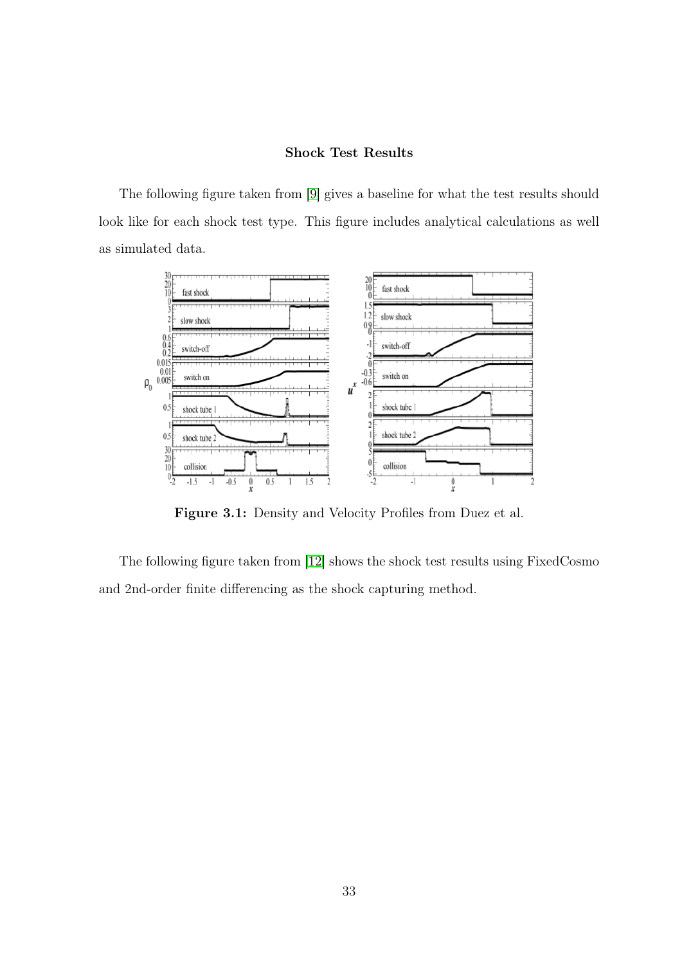#### Shock Test Results

The following figure taken from [\[9\]](#page-50-1) gives a baseline for what the test results should look like for each shock test type. This figure includes analytical calculations as well as simulated data.



Figure 3.1: Density and Velocity Profiles from Duez et al.

The following figure taken from [\[12\]](#page-50-0) shows the shock test results using FixedCosmo and 2nd-order finite differencing as the shock capturing method.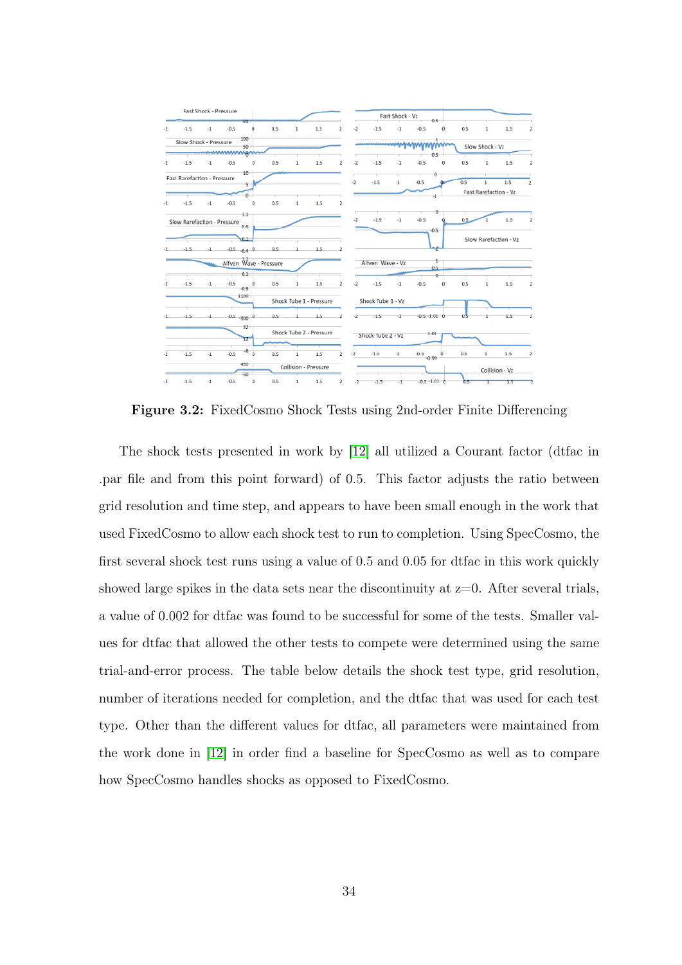

Figure 3.2: FixedCosmo Shock Tests using 2nd-order Finite Differencing

The shock tests presented in work by [\[12\]](#page-50-0) all utilized a Courant factor (dtfac in .par file and from this point forward) of 0.5. This factor adjusts the ratio between grid resolution and time step, and appears to have been small enough in the work that used FixedCosmo to allow each shock test to run to completion. Using SpecCosmo, the first several shock test runs using a value of 0.5 and 0.05 for dtfac in this work quickly showed large spikes in the data sets near the discontinuity at  $z=0$ . After several trials, a value of 0.002 for dtfac was found to be successful for some of the tests. Smaller values for dtfac that allowed the other tests to compete were determined using the same trial-and-error process. The table below details the shock test type, grid resolution, number of iterations needed for completion, and the dtfac that was used for each test type. Other than the different values for dtfac, all parameters were maintained from the work done in [\[12\]](#page-50-0) in order find a baseline for SpecCosmo as well as to compare how SpecCosmo handles shocks as opposed to FixedCosmo.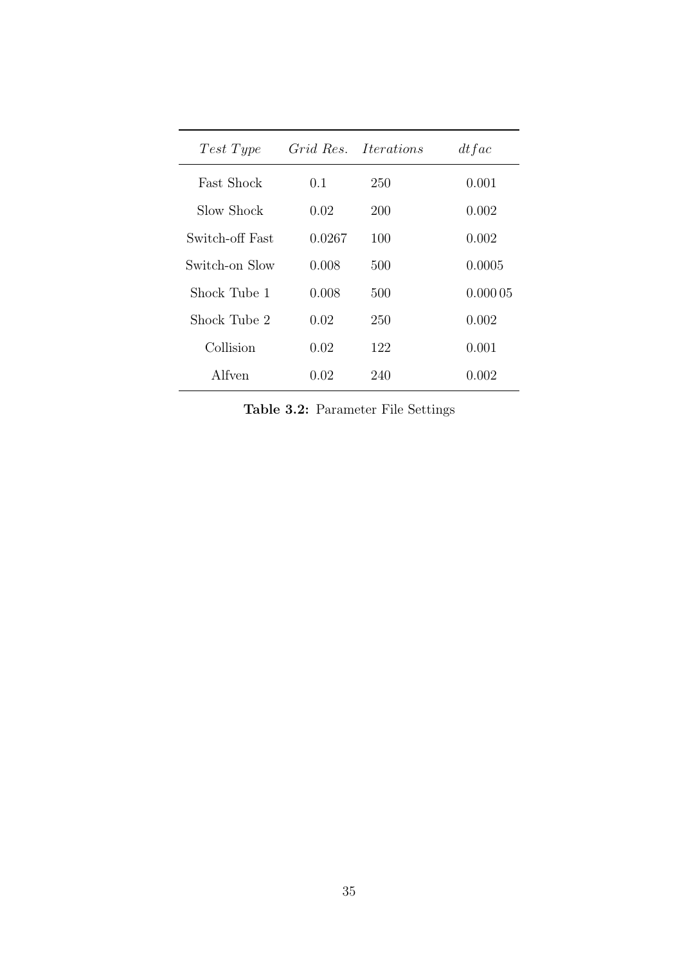| Test Type         |        | Grid Res. Iterations | dt fac  |
|-------------------|--------|----------------------|---------|
| <b>Fast Shock</b> | 0.1    | 250                  | 0.001   |
| Slow Shock        | 0.02   | 200                  | 0.002   |
| Switch-off Fast   | 0.0267 | 100                  | 0.002   |
| Switch-on Slow    | 0.008  | 500                  | 0.0005  |
| Shock Tube 1      | 0.008  | 500                  | 0.00005 |
| Shock Tube 2      | 0.02   | 250                  | 0.002   |
| Collision         | 0.02   | 122                  | 0.001   |
| Alfven            | 0.02   | 240                  | 0.002   |

Table 3.2: Parameter File Settings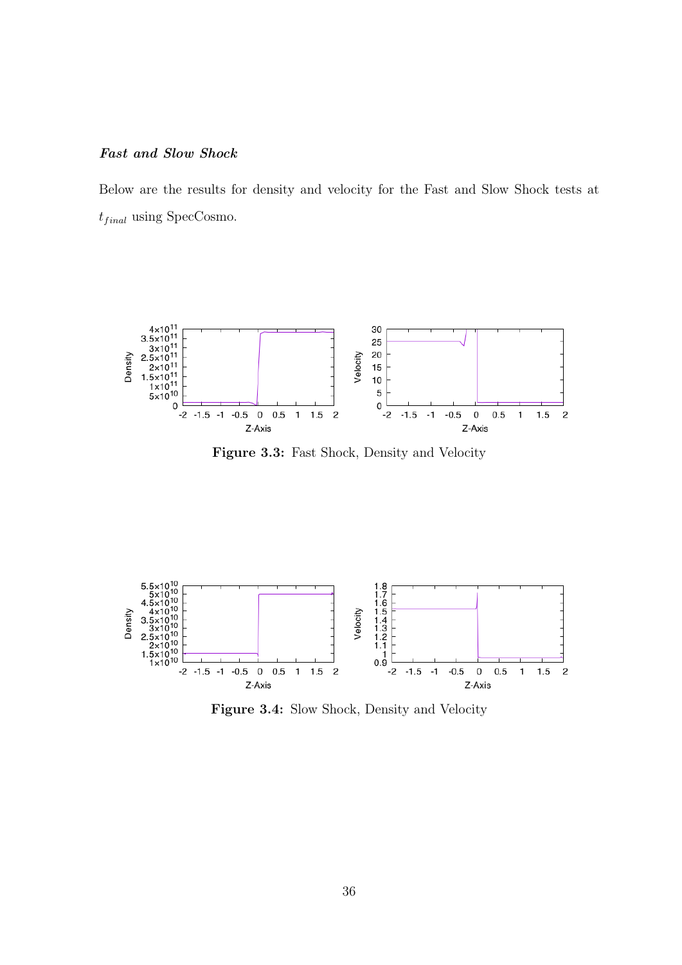## Fast and Slow Shock

Below are the results for density and velocity for the Fast and Slow Shock tests at  $t_{final}$  using SpecCosmo.



Figure 3.3: Fast Shock, Density and Velocity



Figure 3.4: Slow Shock, Density and Velocity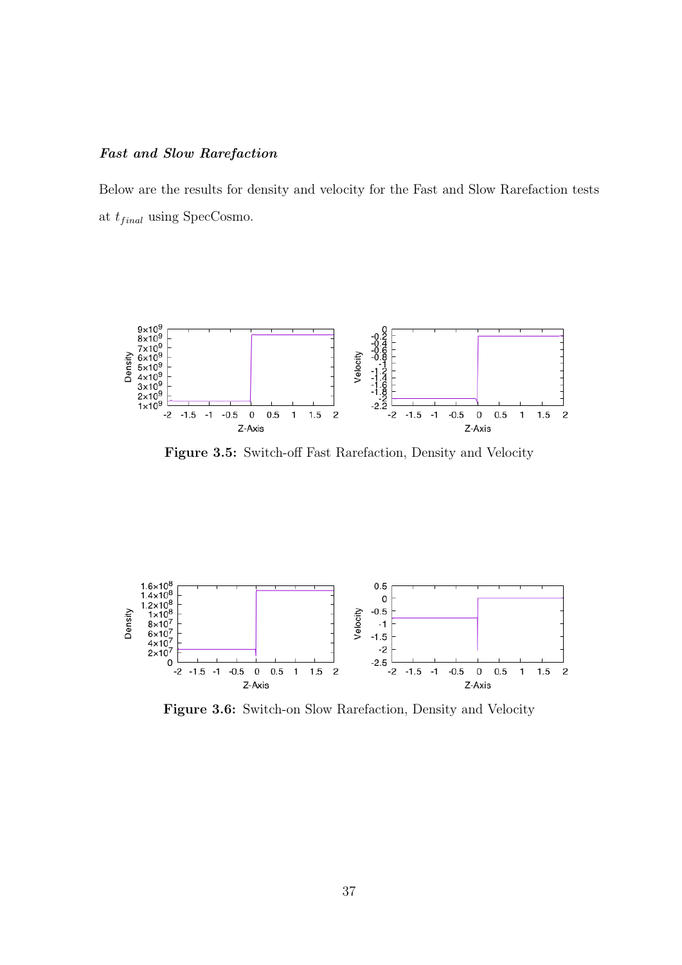## Fast and Slow Rarefaction

Below are the results for density and velocity for the Fast and Slow Rarefaction tests at  $t_{final}$  using SpecCosmo.



Figure 3.5: Switch-off Fast Rarefaction, Density and Velocity



Figure 3.6: Switch-on Slow Rarefaction, Density and Velocity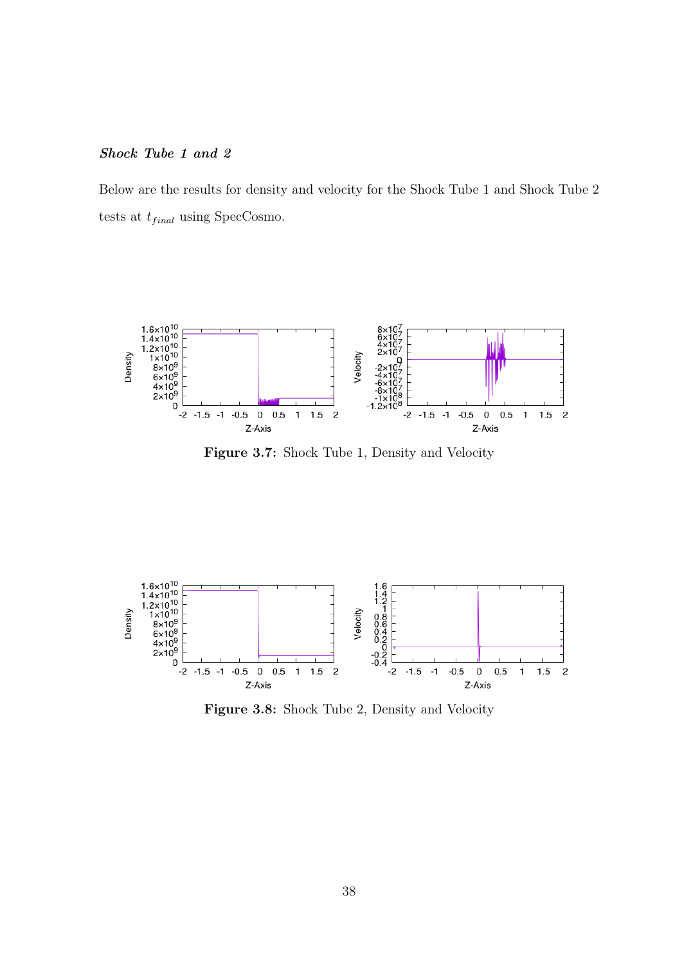## Shock Tube 1 and 2

Below are the results for density and velocity for the Shock Tube 1 and Shock Tube 2 tests at  $t_{final}$  using SpecCosmo.



Figure 3.7: Shock Tube 1, Density and Velocity



Figure 3.8: Shock Tube 2, Density and Velocity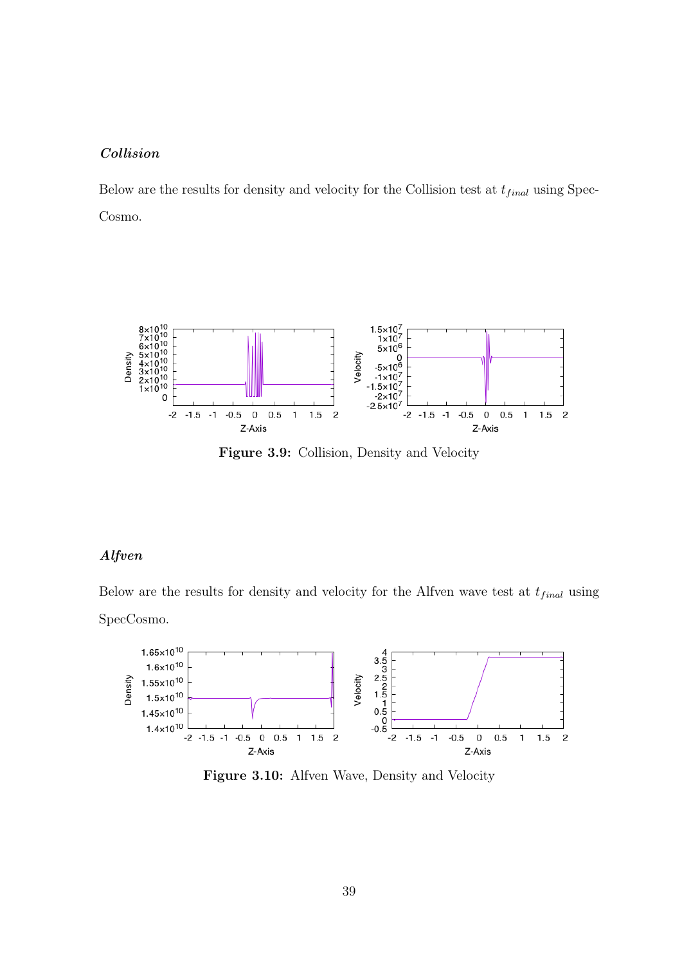## Collision

Below are the results for density and velocity for the Collision test at  $t_{final}$  using Spec-Cosmo.



Figure 3.9: Collision, Density and Velocity

## Alfven

Below are the results for density and velocity for the Alfven wave test at  $t_{final}$  using SpecCosmo.



Figure 3.10: Alfven Wave, Density and Velocity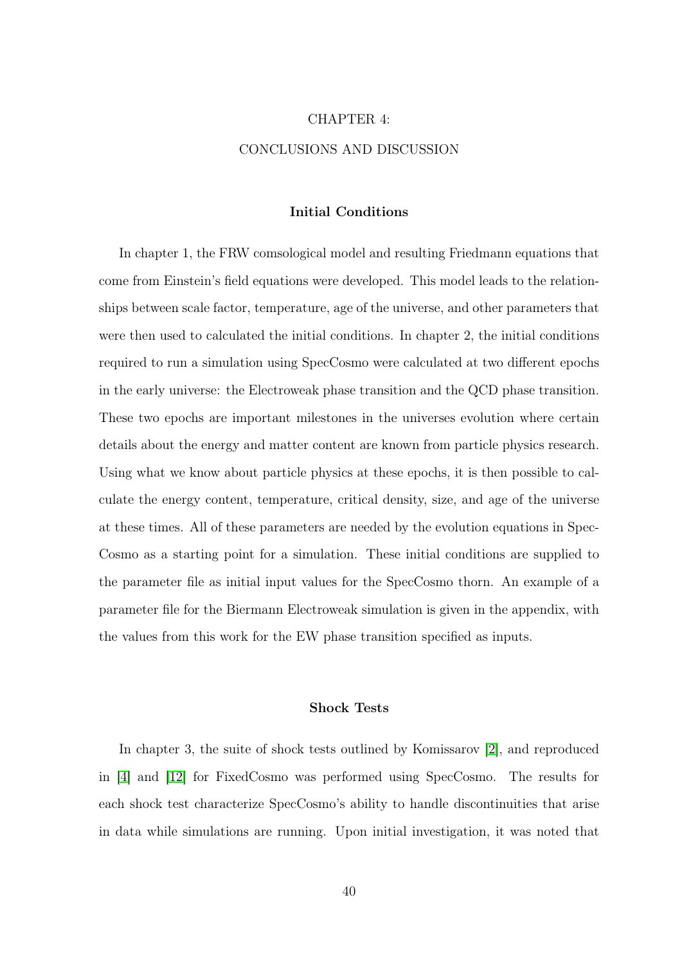# CHAPTER 4: CONCLUSIONS AND DISCUSSION

#### Initial Conditions

In chapter 1, the FRW comsological model and resulting Friedmann equations that come from Einstein's field equations were developed. This model leads to the relationships between scale factor, temperature, age of the universe, and other parameters that were then used to calculated the initial conditions. In chapter 2, the initial conditions required to run a simulation using SpecCosmo were calculated at two different epochs in the early universe: the Electroweak phase transition and the QCD phase transition. These two epochs are important milestones in the universes evolution where certain details about the energy and matter content are known from particle physics research. Using what we know about particle physics at these epochs, it is then possible to calculate the energy content, temperature, critical density, size, and age of the universe at these times. All of these parameters are needed by the evolution equations in Spec-Cosmo as a starting point for a simulation. These initial conditions are supplied to the parameter file as initial input values for the SpecCosmo thorn. An example of a parameter file for the Biermann Electroweak simulation is given in the appendix, with the values from this work for the EW phase transition specified as inputs.

## Shock Tests

In chapter 3, the suite of shock tests outlined by Komissarov [\[2\]](#page-50-2), and reproduced in [\[4\]](#page-50-3) and [\[12\]](#page-50-0) for FixedCosmo was performed using SpecCosmo. The results for each shock test characterize SpecCosmo's ability to handle discontinuities that arise in data while simulations are running. Upon initial investigation, it was noted that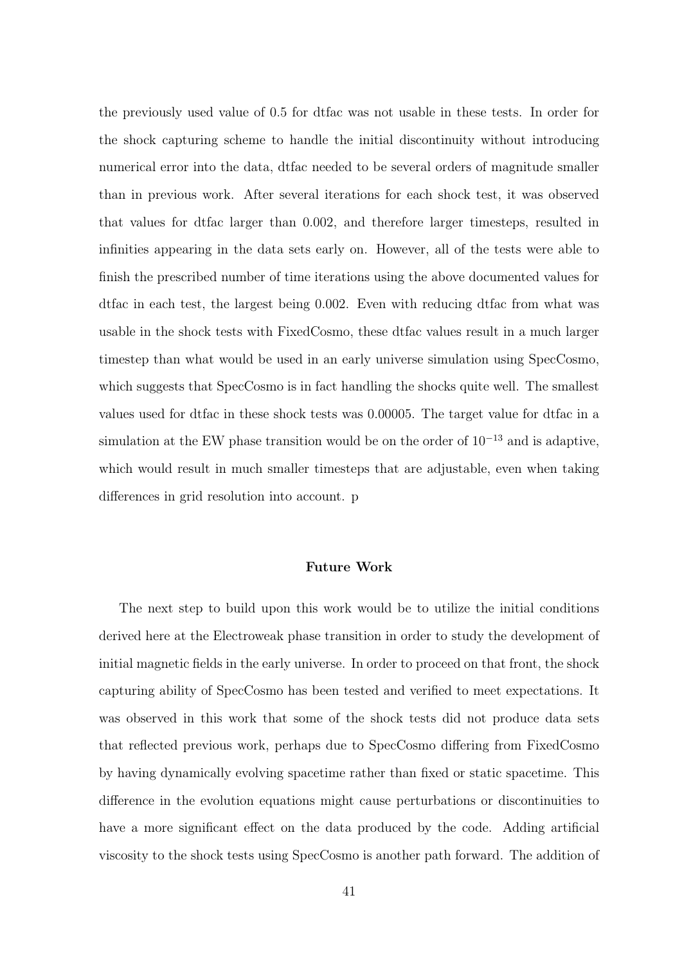the previously used value of 0.5 for dtfac was not usable in these tests. In order for the shock capturing scheme to handle the initial discontinuity without introducing numerical error into the data, dtfac needed to be several orders of magnitude smaller than in previous work. After several iterations for each shock test, it was observed that values for dtfac larger than 0.002, and therefore larger timesteps, resulted in infinities appearing in the data sets early on. However, all of the tests were able to finish the prescribed number of time iterations using the above documented values for dtfac in each test, the largest being 0.002. Even with reducing dtfac from what was usable in the shock tests with FixedCosmo, these dtfac values result in a much larger timestep than what would be used in an early universe simulation using SpecCosmo, which suggests that SpecCosmo is in fact handling the shocks quite well. The smallest values used for dtfac in these shock tests was 0.00005. The target value for dtfac in a simulation at the EW phase transition would be on the order of  $10^{-13}$  and is adaptive, which would result in much smaller timesteps that are adjustable, even when taking differences in grid resolution into account. p

#### Future Work

The next step to build upon this work would be to utilize the initial conditions derived here at the Electroweak phase transition in order to study the development of initial magnetic fields in the early universe. In order to proceed on that front, the shock capturing ability of SpecCosmo has been tested and verified to meet expectations. It was observed in this work that some of the shock tests did not produce data sets that reflected previous work, perhaps due to SpecCosmo differing from FixedCosmo by having dynamically evolving spacetime rather than fixed or static spacetime. This difference in the evolution equations might cause perturbations or discontinuities to have a more significant effect on the data produced by the code. Adding artificial viscosity to the shock tests using SpecCosmo is another path forward. The addition of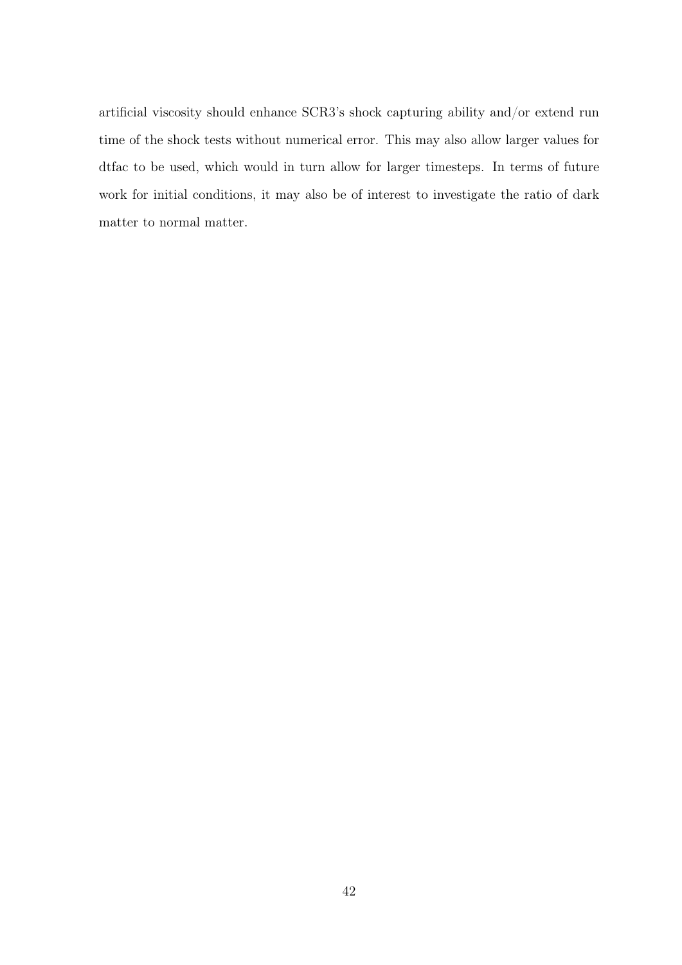artificial viscosity should enhance SCR3's shock capturing ability and/or extend run time of the shock tests without numerical error. This may also allow larger values for dtfac to be used, which would in turn allow for larger timesteps. In terms of future work for initial conditions, it may also be of interest to investigate the ratio of dark matter to normal matter.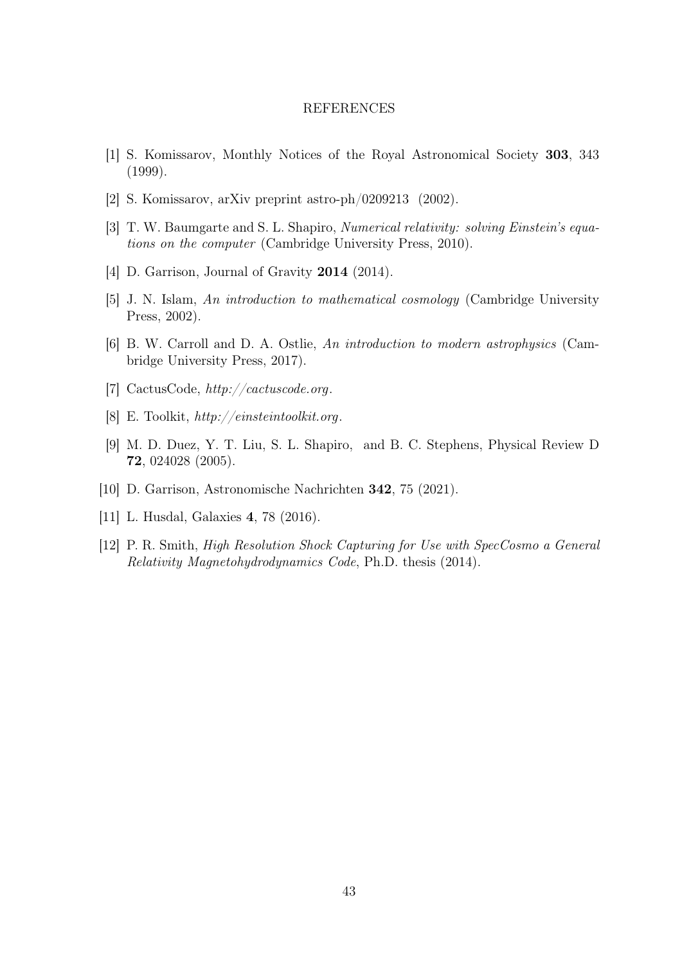#### REFERENCES

- [1] S. Komissarov, Monthly Notices of the Royal Astronomical Society 303, 343 (1999).
- <span id="page-50-2"></span>[2] S. Komissarov, arXiv preprint astro-ph/0209213 (2002).
- [3] T. W. Baumgarte and S. L. Shapiro, Numerical relativity: solving Einstein's equations on the computer (Cambridge University Press, 2010).
- <span id="page-50-3"></span>[4] D. Garrison, Journal of Gravity **2014** (2014).
- [5] J. N. Islam, An introduction to mathematical cosmology (Cambridge University Press, 2002).
- [6] B. W. Carroll and D. A. Ostlie, An introduction to modern astrophysics (Cambridge University Press, 2017).
- [7] CactusCode, http://cactuscode.org.
- [8] E. Toolkit, http://einsteintoolkit.org.
- <span id="page-50-1"></span>[9] M. D. Duez, Y. T. Liu, S. L. Shapiro, and B. C. Stephens, Physical Review D 72, 024028 (2005).
- [10] D. Garrison, Astronomische Nachrichten 342, 75 (2021).
- [11] L. Husdal, Galaxies 4, 78 (2016).
- <span id="page-50-0"></span>[12] P. R. Smith, High Resolution Shock Capturing for Use with SpecCosmo a General Relativity Magnetohydrodynamics Code, Ph.D. thesis (2014).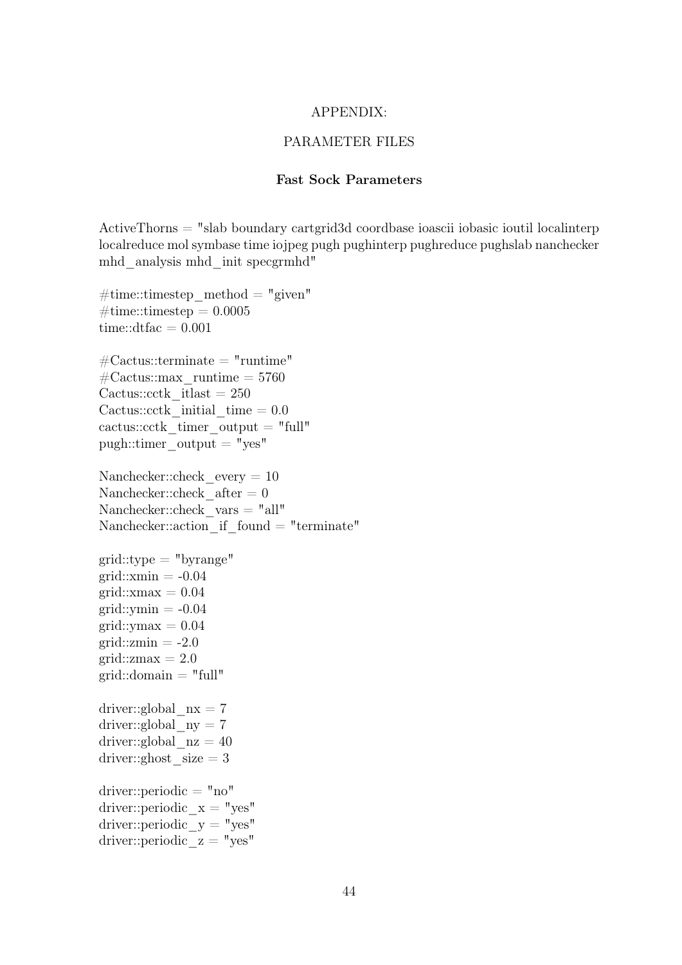#### APPENDIX:

### PARAMETER FILES

#### Fast Sock Parameters

ActiveThorns = "slab boundary cartgrid3d coordbase ioascii iobasic ioutil localinterp localreduce mol symbase time iojpeg pugh pughinterp pughreduce pughslab nanchecker mhd\_analysis mhd\_init specgrmhd"

#time::timestep method = "given"  $\#\text{time::times} = 0.0005$ time:: $dtfac = 0.001$  $\#\text{Cactus::terminate} = "runtime"$  $\text{\#Cactus::max}$  runtime = 5760 Cactus:: $\text{cctk}$  itlast = 250 Cactus::cctk initial time  $= 0.0$ cactus::cctk timer output  $=$  "full" pugh::timer\_output = "yes" Nanchecker::check every  $= 10$ Nanchecker::check  $after = 0$ Nanchecker::check  $vars = "all"$ Nanchecker::action if found = "terminate"  $grid::type = "byrange"$ grid:: $xmin = -0.04$  $grid::xmax = 0.04$ grid:: $ymin = -0.04$ grid:: $ymax = 0.04$ grid: $zmin = -2.0$ grid:: $zmax = 2.0$ grid:: $domain = "full"$ driver::global  $nx = 7$ driver::global  $ny = 7$ driver::global  $nz = 40$ driver::ghost  $size = 3$  $\text{driver::periodic} = "no"$ driver::periodic  $x = "yes"$ driver::periodic  $y = "yes"$ driver::periodic  $z = "yes"$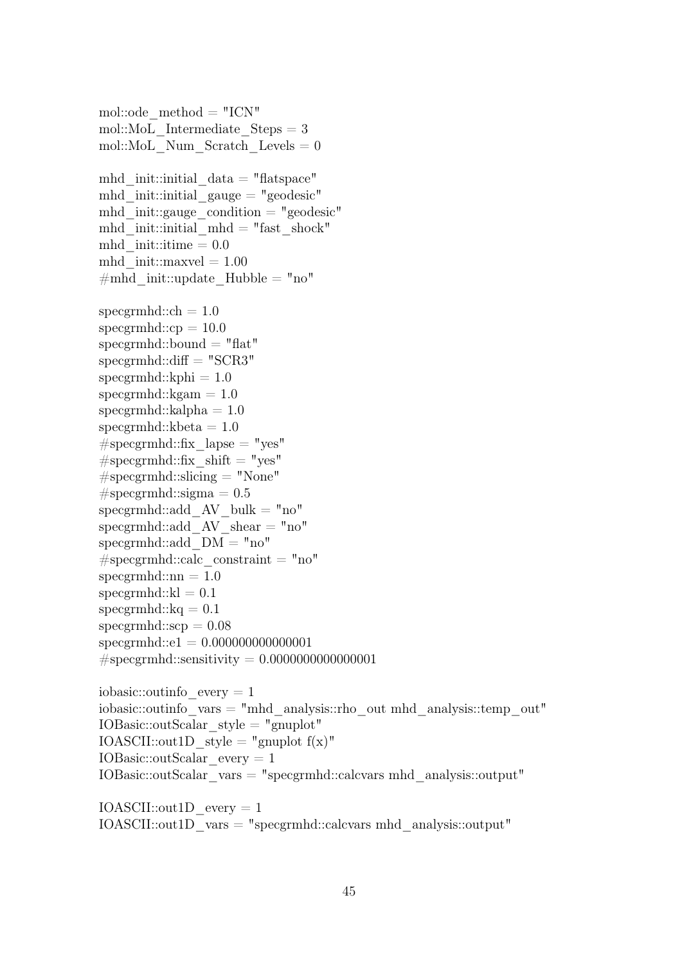mol::ode  $method = "ICN"$ mol::MoL Intermediate  $Steps = 3$ mol::MoL\_Num\_Scratch\_Levels =  $0$ mhd init::initial  $data = "flatspace"$ mhd init::initial gauge  $=$  "geodesic" mhd init::gauge condition  $=$  "geodesic" mhd init::initial mhd = "fast shock" mhd init::itime  $= 0.0$ mhd  $init::maxvel = 1.00$  $\#mhd$  init::update Hubble = "no" specgrmhd:: $ch = 1.0$  $specgrmhd::cp = 10.0$  $specgrmhd::bound = "flat"$  $specgrmhd::diff = "SCR3"$  $specgrmhd::kphi = 1.0$  $specgrmhd::kgam = 1.0$  $specgrmhd::kalpha = 1.0$ specgrmhd:: $kbeta = 1.0$  $#$ specgrmhd::fix lapse = "yes"  $\#$ specgrmhd::fix shift = "yes"  $#$ specgrmhd::slicing  $=$  "None"  $#$ specgrmhd::sigma = 0.5 specgrmhd::add  $AV$  bulk  $= "no"$ specgrmhd::add  $AV$  shear  $= "no"$ specgrmhd::add\_DM = "no"  $# \text{specermhd::calc constant} = "no"$  $specgrmhd:nn = 1.0$  $specgrmhd::kl = 0.1$ specgrmhd:: $kq = 0.1$  $specgrmhd::scp = 0.08$ specgrmhd::e1 = 0.000000000000001  $\# \text{specgrmhd::sensitivity} = 0.000000000000001$ iobasic:: $outinfo$  every  $= 1$ iobasic::outinfo\_vars = "mhd\_analysis::rho\_out mhd\_analysis::temp\_out" IOBasic::outScalar\_style = "gnuplot" IOASCII::out1D\_style = "gnuplot  $f(x)$ " IOBasic::outScalar\_every = 1 IOBasic::outScalar\_vars = "specgrmhd::calcvars mhd\_analysis::output"  $IOASCII::out1D$  every  $= 1$ 

IOASCII::out1D\_vars = "specgrmhd::calcvars mhd\_analysis::output"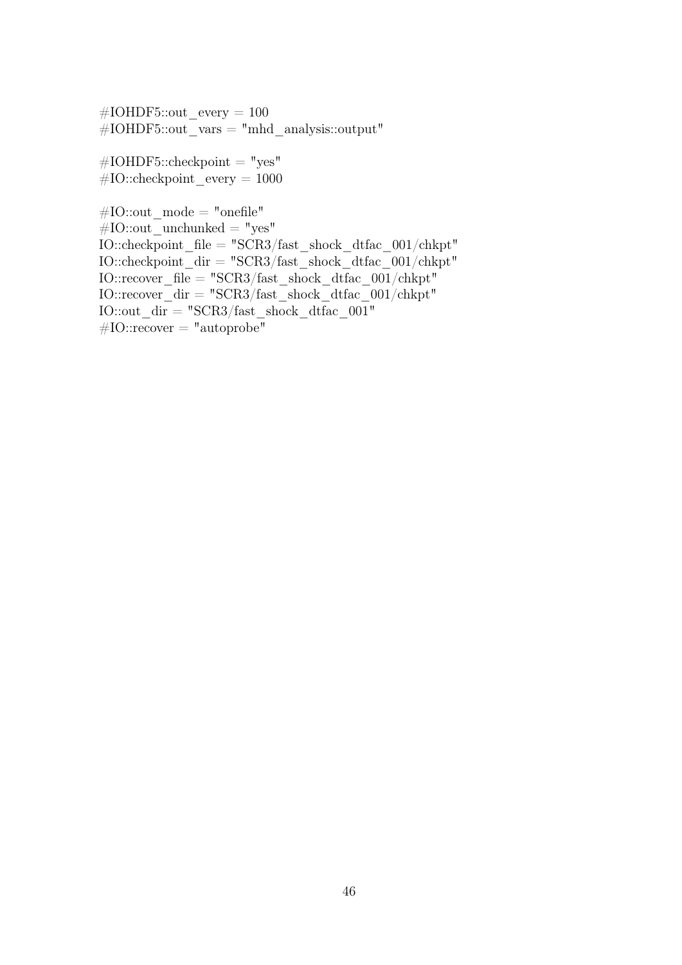$\text{\#IOHDF5::out}$  every = 100  $\#IOHDF5::out\_vars = "mhd\_analysis::output"$ 

 $#IOHDF5::checkpoint = "yes"$  $#IO::checkpoint$  every = 1000

 $\#\text{IO::out}\_\text{mode} = \text{"onefile"}$  $#IO::out$  unchunked = "yes" IO::checkpoint\_file = "SCR3/fast\_shock\_dtfac\_001/chkpt" IO::checkpoint\_dir = "SCR3/fast\_shock\_dtfac\_001/chkpt" IO::recover\_file = "SCR3/fast\_shock\_dtfac\_001/chkpt" IO::recover  $\text{dir} = "SCR3/\text{fast}$  shock dtfac  $001/\text{chkpt}$ " IO::out  $\overline{dir} = "SCR3/fast$  shock dtfac  $001"$  $#IO::recover = "autoprobe"$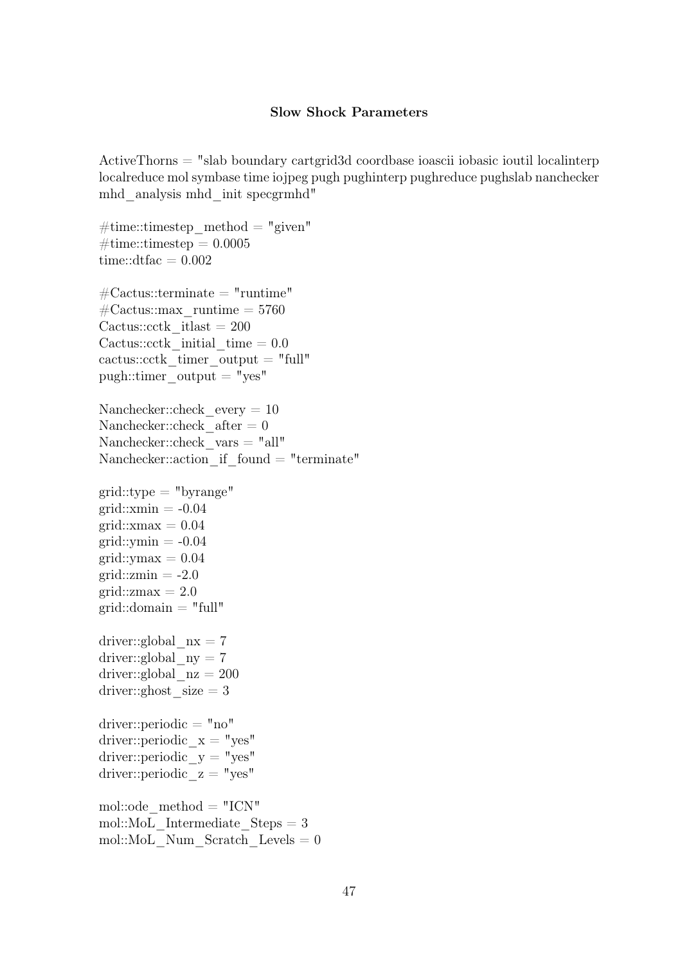#### Slow Shock Parameters

ActiveThorns = "slab boundary cartgrid3d coordbase ioascii iobasic ioutil localinterp localreduce mol symbase time iojpeg pugh pughinterp pughreduce pughslab nanchecker mhd\_analysis mhd\_init specgrmhd"

```
\#\text{time::times}timestep method = "given"
\#\text{time::times} = 0.0005time::dtfac = 0.002\text{\#Cactus::terminate = "runtime"}\text{\#Cactus::max} runtime = 5760
Cactus::\text{c}ctk itlast = 200
Cactus::cctk initial time = 0.0cactus::cctk timer output = "full"
pugh::time output = "yes"
Nanchecker::check every = 10Nanchecker::check after = 0Nanchecker::check_vars = "all"
Nanchecker::action if found = "terminate"grid::type = "byrange"grid::xmin = -0.04grid::xmax = 0.04grid::ymin = -0.04grid::vmax = 0.04grid::zmin = -2.0grid::zmax = 2.0grid::domain = "full"driver::global nx = 7driver::global ny = 7driver::global nz = 200driver::ghost size = 3driver::periodic = "no"
driver::periodic x = "yes"driver::periodic y = "yes"driver::periodic z = "yes"mol::ode method = "ICN"mol::MoL Intermediate Steps = 3mol::MoL Num Scratch Levels = 0
```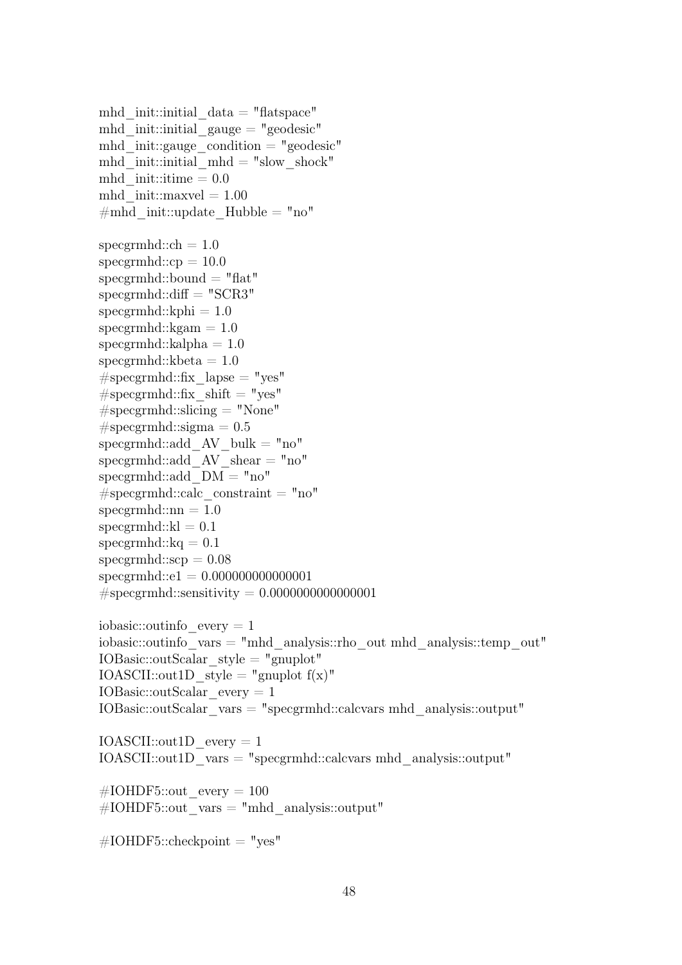mhd init::initial  $data = "flatspace"$ mhd init::initial gauge  $=$  "geodesic" mhd init::gauge condition  $=$  "geodesic" mhd init::initial  $mhd = "slow shock"$ mhd  $init::time = 0.0$ mhd  $init::maxvel = 1.00$  $\#mhd$  init::update Hubble = "no" specgrmhd:: $ch = 1.0$  $specgrmhd::cp = 10.0$  $specgrmhd::bound = "flat"$  $specgrmhd::diff = "SCR3"$  $specgrmhd::kphi = 1.0$  $specgrmhd::kgam = 1.0$  $specgrmhd::kalpha = 1.0$ specgrmhd:: $kbeta = 1.0$  $#$ specgrmhd::fix lapse = "yes"  $#$ specgrmhd::fix shift = "yes"  $#$ specgrmhd::slicing  $=$  "None"  $# \text{specgrmhd::sigma} = 0.5$ specgrmhd::add  $AV$  bulk = "no" specgrmhd::add  $AV\$ shear = "no" specgrmhd::add  $DM = "no"$  $#$ specgrmhd::calc constraint = "no"  $specgrmhd::nn = 1.0$  $specgrmhd::kl = 0.1$ specgrmhd:: $kq = 0.1$  $specgrmhd::scp = 0.08$ specgrmhd::e1 = 0.000000000000001  $#$ specgrmhd::sensitivity = 0.00000000000000000001 iobasic:: $outinfo$  every  $= 1$ iobasic::outinfo\_vars = "mhd\_analysis::rho\_out mhd\_analysis::temp\_out" IOBasic::outScalar\_style = "gnuplot" IOASCII::out1D\_style = "gnuplot  $f(x)$ " IOBasic::outScalar\_every = 1 IOBasic::outScalar\_vars = "specgrmhd::calcvars mhd\_analysis::output" IOASCII::out1D\_every = 1 IOASCII::out1D\_vars = "specgrmhd::calcvars mhd\_analysis::output" #IOHDF5::out every =  $100$  $\text{\#IOHDF5::out}$  vars = "mhd\_analysis::output"

 $\text{\#IOHDF5::checkpoint} = "yes"$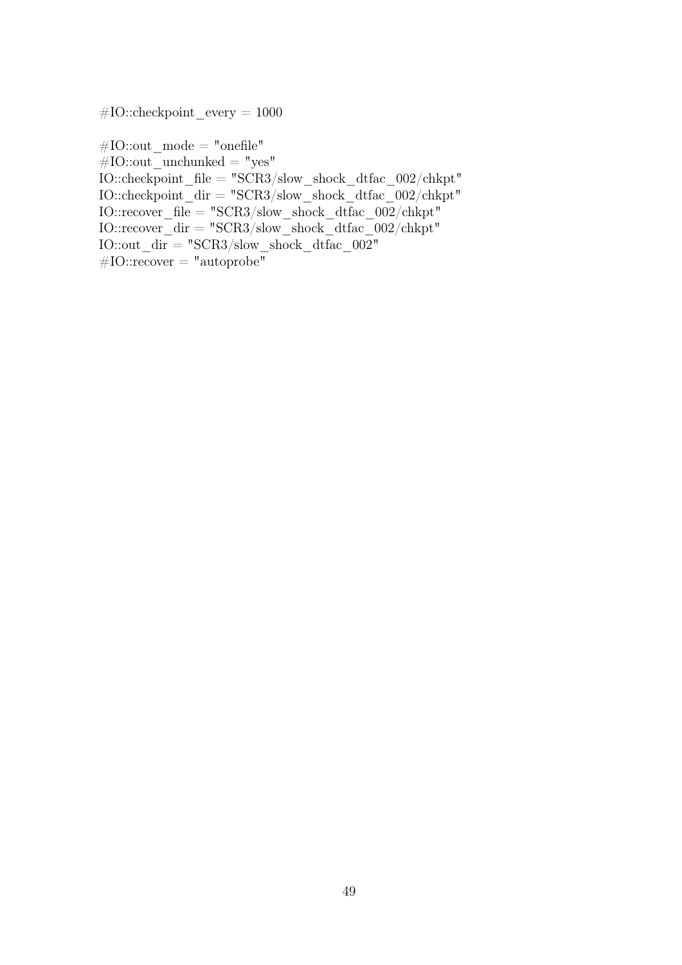$#IO::checkpoint$  every = 1000

 $\#\text{IO::out}$  mode = "onefile"  $#IO::out\_unchunked = "yes"$ IO::checkpoint\_file = "SCR3/slow\_shock\_dtfac\_002/chkpt" IO::checkpoint  $\text{dir} = "SCR3/\text{slow}$  shock dtfac  $002/\text{chkpt}$ "  $IO::recover\_file = "SCR3/slow\_shock\_dtfac\_002/chkpt"$  $IO::recover\_dir = "SCR3/slow\_shock\_dtfac\_002/chkpt"$ IO::out  $\text{dir} = "SCR3/\text{slow shock}$  dtfac  $002"$  $\overline{\text{\#IO::recover}} = \text{"autoprobe"}$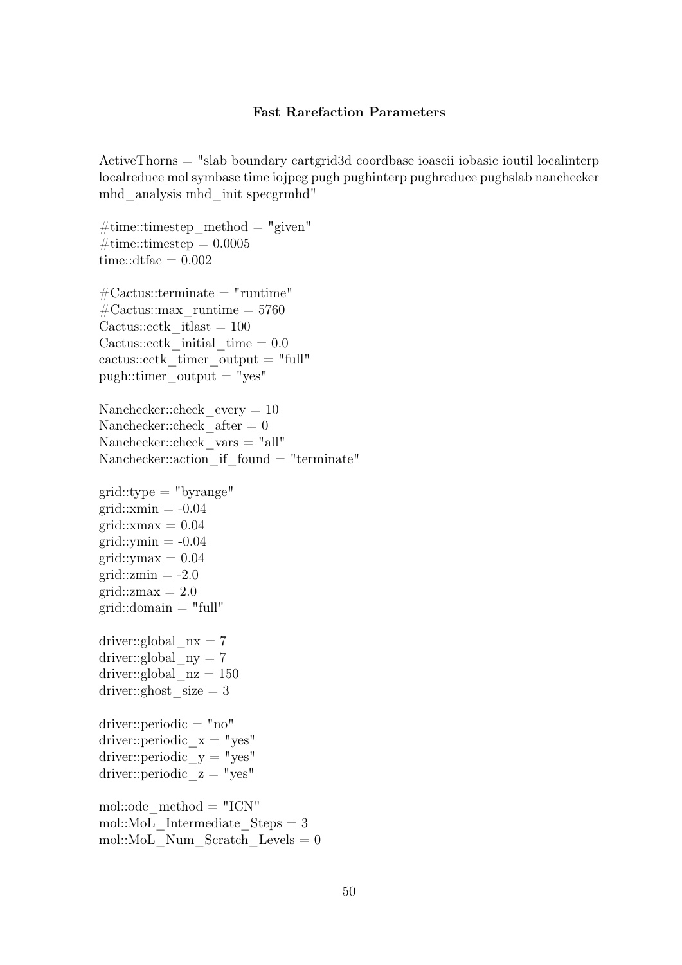#### Fast Rarefaction Parameters

ActiveThorns = "slab boundary cartgrid3d coordbase ioascii iobasic ioutil localinterp localreduce mol symbase time iojpeg pugh pughinterp pughreduce pughslab nanchecker mhd\_analysis mhd\_init specgrmhd"

 $\#\text{time::times}$ timestep method = "given"  $\#\text{time::times} = 0.0005$ time::dtfac  $= 0.002$  $\text{\#Cactus::terminate = "runtime"}$  $\text{\#Cactus::max}$  runtime = 5760 Cactus:: $\text{c}$ ctk itlast = 100 Cactus::cctk initial time  $= 0.0$ cactus::cctk timer output  $=$  "full" pugh::timer\_output = "yes" Nanchecker::check every  $= 10$ Nanchecker::check  $after = 0$ Nanchecker::check\_vars = "all" Nanchecker::action if  $found = "terminate"$  $grid::type = "byrange"$  $grid::xmin = -0.04$  $grid::xmax = 0.04$  $grid::ymin = -0.04$  $grid::vmax = 0.04$  $grid::zmin = -2.0$ grid:: $zmax = 2.0$  $grid::domain = "full"$ driver::global  $nx = 7$ driver::global  $ny = 7$ driver::global  $nz = 150$ driver::ghost  $size = 3$ driver::periodic = "no" driver::periodic  $x = "yes"$ driver::periodic\_y = "yes" driver::periodic  $z = "yes"$ mol::ode  $method = "ICN"$ mol::MoL Intermediate  $Steps = 3$ mol::MoL Num Scratch Levels  $= 0$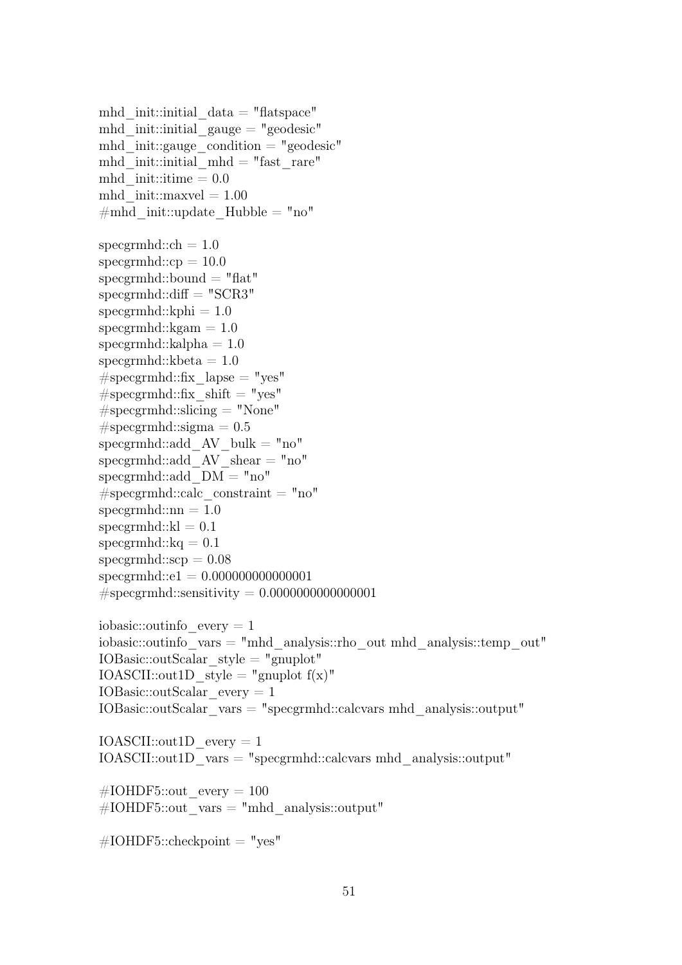mhd init::initial  $data = "flatspace"$ mhd init::initial gauge  $=$  "geodesic" mhd init::gauge condition  $=$  "geodesic" mhd init::initial mhd = "fast rare" mhd  $init::time = 0.0$ mhd  $init::maxvel = 1.00$  $\#mhd$  init::update Hubble = "no" specgrmhd:: $ch = 1.0$  $specgrmhd::cp = 10.0$  $specgrmhd::bound = "flat"$  $specgrmhd::diff = "SCR3"$  $specgrmhd::kphi = 1.0$  $specgrmhd::kgam = 1.0$  $specgrmhd::kalpha = 1.0$  $specgrmhd::kbeta = 1.0$  $#$ specgrmhd::fix lapse = "yes"  $#$ specgrmhd::fix shift = "yes"  $#$ specgrmhd::slicing  $=$  "None"  $# \text{specgrmhd::sigma} = 0.5$ specgrmhd::add  $AV$  bulk = "no" specgrmhd::add  $AV\$ shear = "no" specgrmhd::add  $DM = "no"$  $#$ specgrmhd::calc constraint = "no"  $specgrmhd::nn = 1.0$  $specgrmhd::kl = 0.1$ specgrmhd:: $kq = 0.1$  $specgrmhd::scp = 0.08$ specgrmhd::e1 = 0.000000000000001  $#$ specgrmhd::sensitivity = 0.00000000000000000001 iobasic:: $outinfo$  every  $= 1$ iobasic::outinfo\_vars = "mhd\_analysis::rho\_out mhd\_analysis::temp\_out" IOBasic::outScalar\_style = "gnuplot" IOASCII::out1D\_style = "gnuplot  $f(x)$ " IOBasic::outScalar\_every = 1 IOBasic::outScalar\_vars = "specgrmhd::calcvars mhd\_analysis::output" IOASCII::out1D\_every = 1 IOASCII::out1D\_vars = "specgrmhd::calcvars mhd\_analysis::output" #IOHDF5::out every =  $100$  $\text{\#IOHDF5::out}$  vars = "mhd\_analysis::output"

 $\text{\#IOHDF5::checkpoint} = "yes"$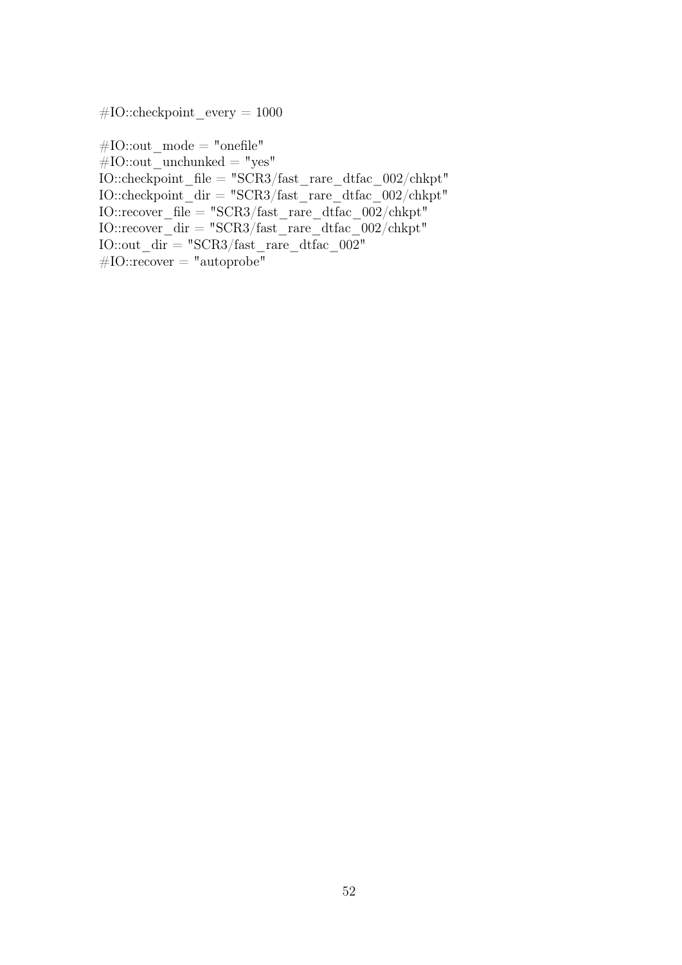$#IO::checkpoint$  every = 1000

 $#IO::out\_mode = "onefile"$  $#IO::out\_unchunked = "yes"$ IO::checkpoint\_file = "SCR3/fast\_rare\_dtfac\_002/chkpt" IO::checkpoint  $\text{dir} = "SCR3/\text{fast}$  rare dtfac  $002/\text{chkpt}$ "  $IO::recover\_file = "SCR3/fast\_rare\_dtfac\_002/chkpt"$ IO::recover\_dir = "SCR3/fast\_rare\_dtfac\_002/chkpt" IO::out  $\text{dir} = "SCR3/\text{fast}$  rare dtfac  $002"$  $#IO::recover = "autoprole"$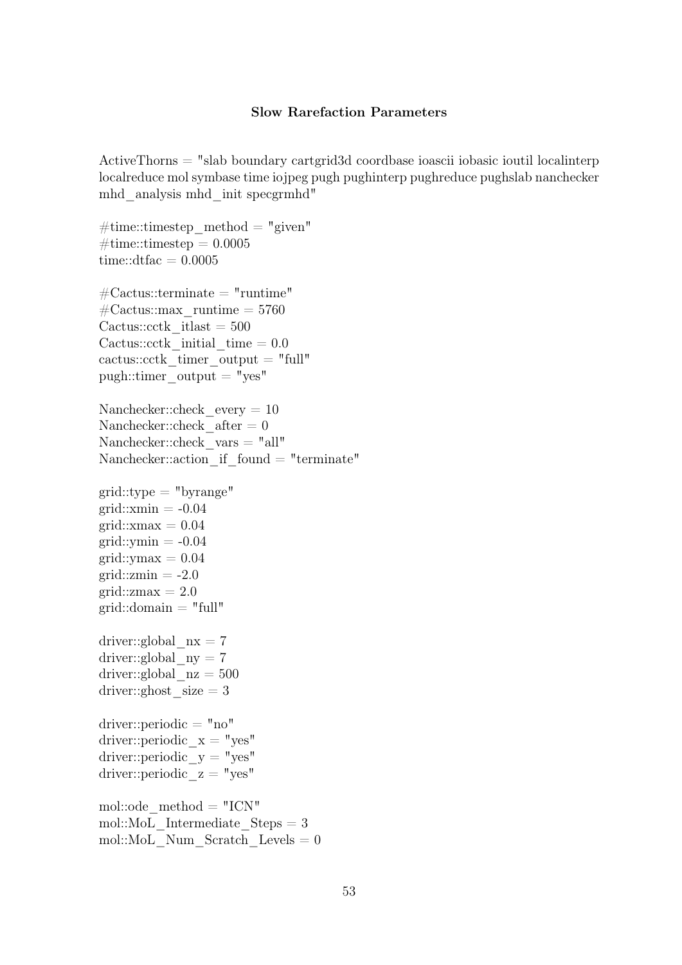#### Slow Rarefaction Parameters

ActiveThorns = "slab boundary cartgrid3d coordbase ioascii iobasic ioutil localinterp localreduce mol symbase time iojpeg pugh pughinterp pughreduce pughslab nanchecker mhd\_analysis mhd\_init specgrmhd"

 $\#\text{time::times}$ timestep method = "given"  $\#\text{time::times} = 0.0005$ time::dtfac  $= 0.0005$  $\text{\#Cactus::terminate = "runtime"}$  $\text{\#Cactus::max}$  runtime = 5760 Cactus:: $\text{c}$ ctk itlast = 500 Cactus::cctk initial time  $= 0.0$ cactus::cctk timer output  $=$  "full" pugh::timer\_output = "yes" Nanchecker::check every  $= 10$ Nanchecker::check  $after = 0$ Nanchecker::check\_vars = "all" Nanchecker::action if  $found = "terminate"$  $grid::type = "byrange"$  $grid::xmin = -0.04$  $grid::xmax = 0.04$  $grid::ymin = -0.04$  $grid::vmax = 0.04$  $grid::zmin = -2.0$ grid:: $zmax = 2.0$  $grid::domain = "full"$ driver::global  $nx = 7$ driver::global  $ny = 7$ driver::global  $nz = 500$ driver::ghost  $size = 3$ driver::periodic = "no" driver::periodic  $x = "yes"$ driver::periodic  $y = "yes"$ driver::periodic  $z = "yes"$ mol::ode  $method = "ICN"$ mol::MoL Intermediate  $Steps = 3$ mol::MoL Num Scratch Levels  $= 0$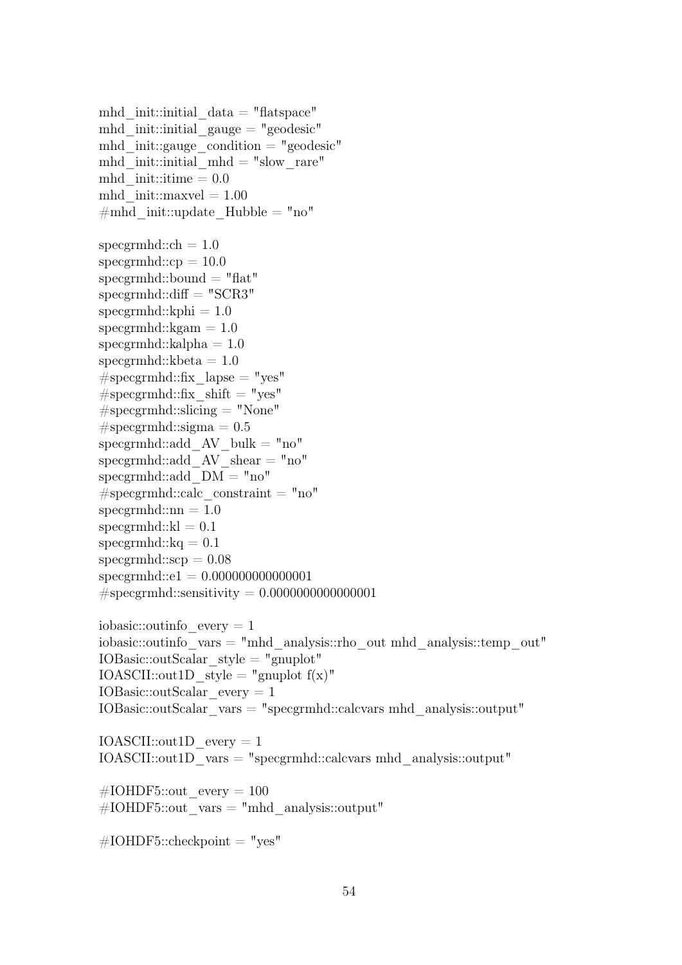mhd init::initial  $data = "flatspace"$ mhd init::initial gauge  $=$  "geodesic" mhd init::gauge condition  $=$  "geodesic" mhd init::initial mhd = "slow rare" mhd  $init::time = 0.0$ mhd  $init::maxvel = 1.00$  $\#mhd$  init::update Hubble = "no" specgrmhd:: $ch = 1.0$  $specgrmhd::cp = 10.0$  $specgrmhd::bound = "flat"$  $specgrmhd::diff = "SCR3"$  $specgrmhd::kphi = 1.0$  $specgrmhd::kgam = 1.0$  $specgrmhd::kalpha = 1.0$ specgrmhd:: $kbeta = 1.0$  $#$ specgrmhd::fix lapse = "yes"  $#$ specgrmhd::fix shift = "yes"  $#$ specgrmhd::slicing = "None"  $# \text{specgrmhd::sigma} = 0.5$ specgrmhd::add  $AV$  bulk = "no" specgrmhd::add  $AV\$ shear = "no" specgrmhd::add  $DM = "no"$  $#$ specgrmhd::calc constraint = "no"  $specgrmhd::nn = 1.0$  $specgrmhd::kl = 0.1$ specgrmhd:: $kq = 0.1$  $specgrmhd::scp = 0.08$ specgrmhd::e1 = 0.000000000000001  $#$ specgrmhd::sensitivity = 0.00000000000000000001 iobasic:: $outinfo$  every  $= 1$ iobasic::outinfo\_vars = "mhd\_analysis::rho\_out mhd\_analysis::temp\_out" IOBasic::outScalar\_style = "gnuplot" IOASCII::out1D\_style = "gnuplot  $f(x)$ " IOBasic::outScalar\_every = 1 IOBasic::outScalar\_vars = "specgrmhd::calcvars mhd\_analysis::output" IOASCII::out1D\_every = 1 IOASCII::out1D\_vars = "specgrmhd::calcvars mhd\_analysis::output" #IOHDF5::out every =  $100$  $\text{\#IOHDF5::out}$  vars = "mhd\_analysis::output"

 $\text{\#IOHDF5::checkpoint} = "yes"$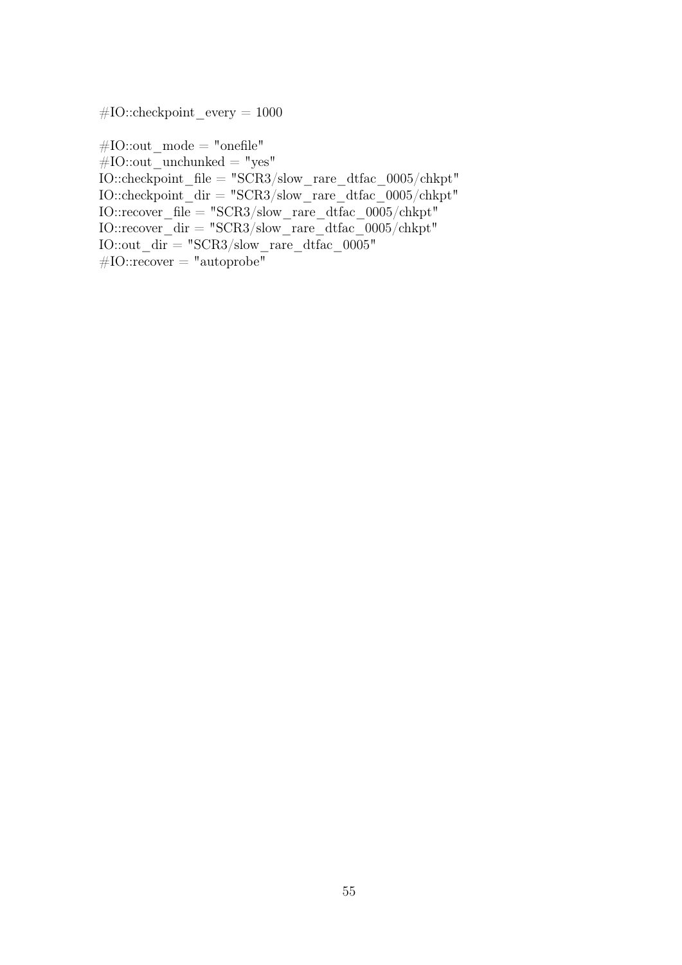$#IO::checkpoint$  every = 1000

 $\#\text{IO::out}$  mode = "onefile"  $#IO::out\_unchunked = "yes"$ IO::checkpoint\_file = "SCR3/slow\_rare\_dtfac\_0005/chkpt" IO::checkpoint  $\text{dir} = "SCR3/\text{slow}\ \text{rare}\ \text{difac}\ 0005/\text{chkpt"}$  $IO::recover\_file = "SCR3/slow\_rare\_dtfac\_0005/chkpt"$ IO::recover\_dir = "SCR3/slow\_rare\_dtfac\_0005/chkpt" IO::out  $\text{dir} = "SCR3/\text{slow}$  rare dtfac  $0005"$  $\#IO::recover = "autoprole"$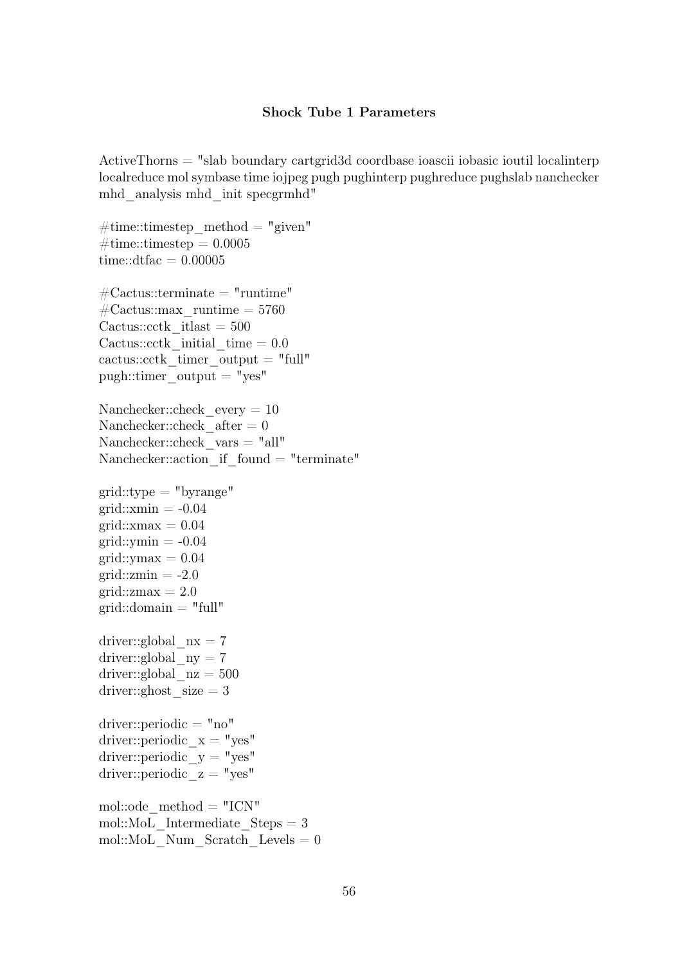#### Shock Tube 1 Parameters

ActiveThorns = "slab boundary cartgrid3d coordbase ioascii iobasic ioutil localinterp localreduce mol symbase time iojpeg pugh pughinterp pughreduce pughslab nanchecker mhd\_analysis mhd\_init specgrmhd"

 $\#\text{time::times}$ timestep method = "given"  $\#\text{time::times} = 0.0005$ time::dtfac  $= 0.00005$  $\text{\#Cactus::terminate = "runtime"}$  $\text{\#Cactus::max}$  runtime = 5760 Cactus:: $\text{c}$ ctk itlast = 500 Cactus::cctk initial time  $= 0.0$ cactus::cctk timer output  $=$  "full"  $pugh::time$  output = "yes" Nanchecker::check every  $= 10$ Nanchecker::check  $after = 0$ Nanchecker::check\_vars = "all" Nanchecker::action if  $found = "terminate"$  $grid::type = "byrange"$  $grid::xmin = -0.04$  $grid::xmax = 0.04$  $grid::ymin = -0.04$  $grid::vmax = 0.04$  $grid::zmin = -2.0$ grid:: $zmax = 2.0$  $grid::domain = "full"$ driver::global  $nx = 7$ driver::global  $ny = 7$ driver::global  $nz = 500$ driver::ghost  $size = 3$ driver::periodic = "no" driver::periodic  $x = "yes"$ driver::periodic  $y = "yes"$ driver::periodic  $z = "yes"$ mol::ode  $method = "ICN"$ mol::MoL Intermediate  $Steps = 3$ mol::MoL Num Scratch Levels  $= 0$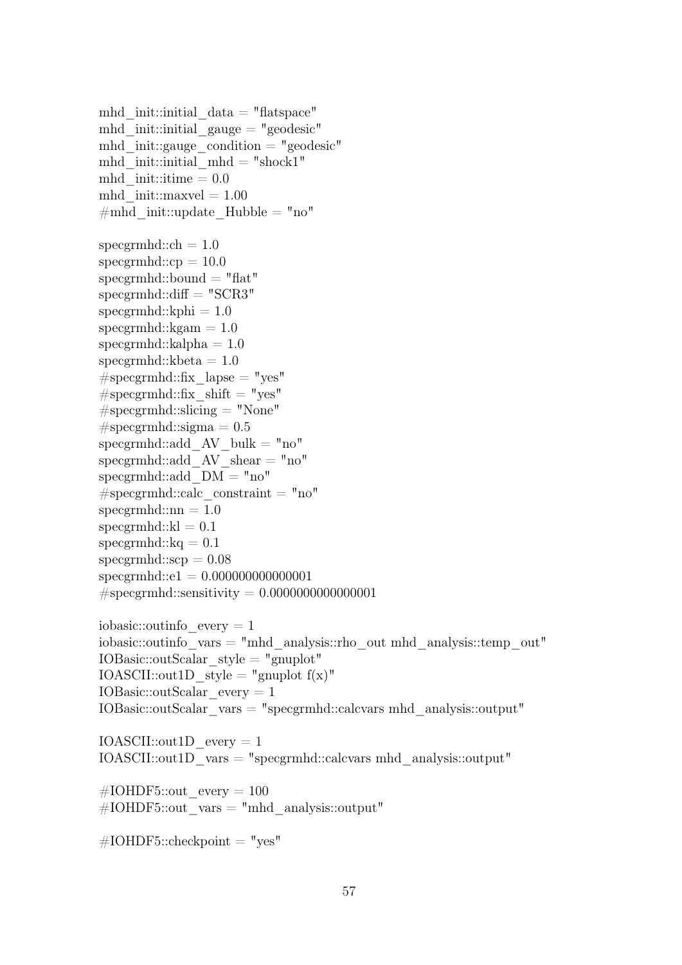mhd init::initial  $data = "flatspace"$ mhd init::initial gauge  $=$  "geodesic" mhd init::gauge condition  $=$  "geodesic" mhd init::initial mhd = "shock1" mhd init::itime  $= 0.0$ mhd  $init::maxvel = 1.00$  $\#mhd$  init::update Hubble = "no" specgrmhd:: $ch = 1.0$  $specgrmhd::cp = 10.0$  $specgrmhd::bound = "flat"$  $specgrmhd::diff = "SCR3"$  $specgrmhd::kphi = 1.0$  $specgrmhd::kgam = 1.0$  $specgrmhd::kalpha = 1.0$ specgrmhd:: $kbeta = 1.0$  $#$ specgrmhd::fix lapse = "yes"  $#$ specgrmhd::fix shift = "yes"  $#$ specgrmhd::slicing = "None"  $# \text{specgrmhd::sigma} = 0.5$ specgrmhd::add  $AV$  bulk = "no" specgrmhd::add  $AV\$ shear = "no"  $specgrmhd::add$   $DM = "no"$  $#$ specgrmhd::calc constraint = "no"  $specgrmhd::nn = 1.0$  $specgrmhd::kl = 0.1$  $specgrmhd::kq = 0.1$  $specgrmhd::scp = 0.08$ specgrmhd::e1 = 0.000000000000001  $#$ specgrmhd::sensitivity = 0.00000000000000000001 iobasic:: $outinfo$  every  $= 1$ iobasic::outinfo\_vars = "mhd\_analysis::rho\_out mhd\_analysis::temp\_out"  $IOBasic::outScalar$  style = "gnuplot" IOASCII::out1D\_style = "gnuplot  $f(x)$ " IOBasic::outScalar\_every = 1 IOBasic::outScalar\_vars = "specgrmhd::calcvars mhd\_analysis::output" IOASCII::out1D\_every = 1 IOASCII::out1D\_vars = "specgrmhd::calcvars mhd\_analysis::output" #IOHDF5::out every =  $100$  $\text{\#IOHDF5::out}$  vars = "mhd\_analysis::output"

 $\text{\#IOHDF5::checkpoint} = "yes"$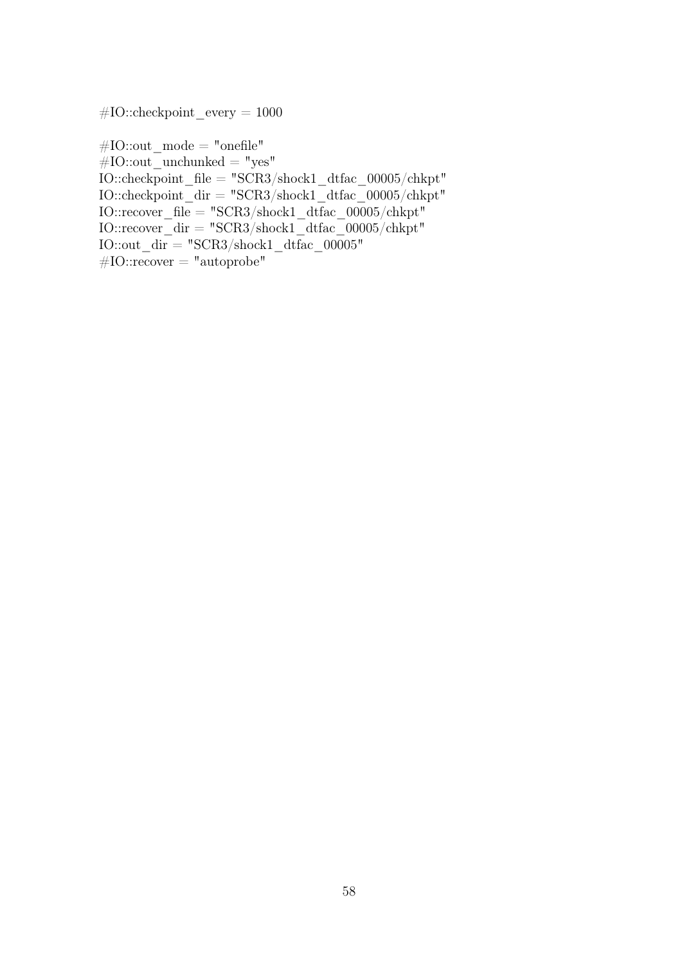$#IO::checkpoint$  every = 1000

 $\#\text{IO::out}$  mode = "onefile"  $#IO::out\_unchunked = "yes"$ IO::checkpoint\_file = "SCR3/shock1\_dtfac\_00005/chkpt"  $IO::checkpoint$  $dir = "SCR3/shock1$  $dtfac$  $00005/chkpt"$  $IO::recover_ffile = "SCR3/shock1_ftfiac_00005/chkpt"$ IO::recover\_dir = "SCR3/shock1\_dtfac\_00005/chkpt" IO::out  $dir = "SCR3/shock1$  dtfac  $00005"$  $\#IO::recover = "autoprole"$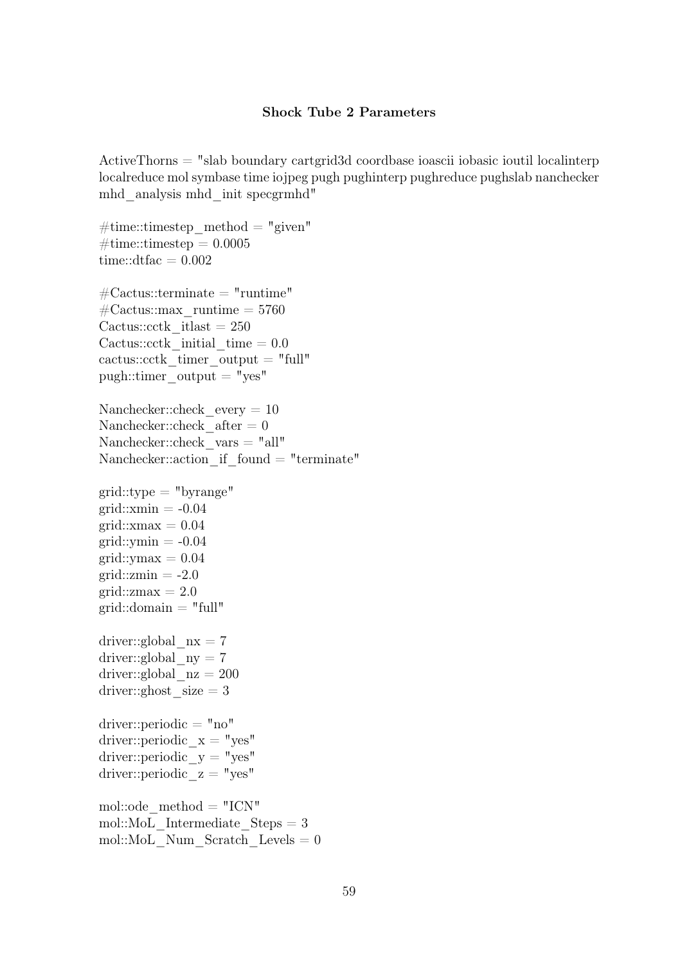## Shock Tube 2 Parameters

ActiveThorns = "slab boundary cartgrid3d coordbase ioascii iobasic ioutil localinterp localreduce mol symbase time iojpeg pugh pughinterp pughreduce pughslab nanchecker mhd\_analysis mhd\_init specgrmhd"

```
\#\text{time::times}timestep method = "given"
\#\text{time::times} = 0.0005time::dtfac = 0.002\text{\#Cactus::terminate = "runtime"}\text{\#Cactus::max} runtime = 5760
Cactus::\text{cctk} itlast = 250
Cactus::cctk initial time = 0.0cactus::cctk timer output = "full"
pugh::time output = "yes"
Nanchecker::check every = 10Nanchecker::check after = 0Nanchecker::check_vars = "all"
Nanchecker::action if found = "terminate"grid::type = "byrange"grid::xmin = -0.04grid::xmax = 0.04grid::ymin = -0.04grid::vmax = 0.04grid::zmin = -2.0grid::zmax = 2.0grid::domain = "full"driver::global nx = 7driver::global ny = 7driver::global nz = 200driver::ghost size = 3driver::periodic = "no"
driver::periodic x = "yes"driver::periodic y = "yes"driver::periodic z = "yes"mol::ode method = "ICN"mol::MoL Intermediate Steps = 3mol::MoL Num Scratch Levels = 0
```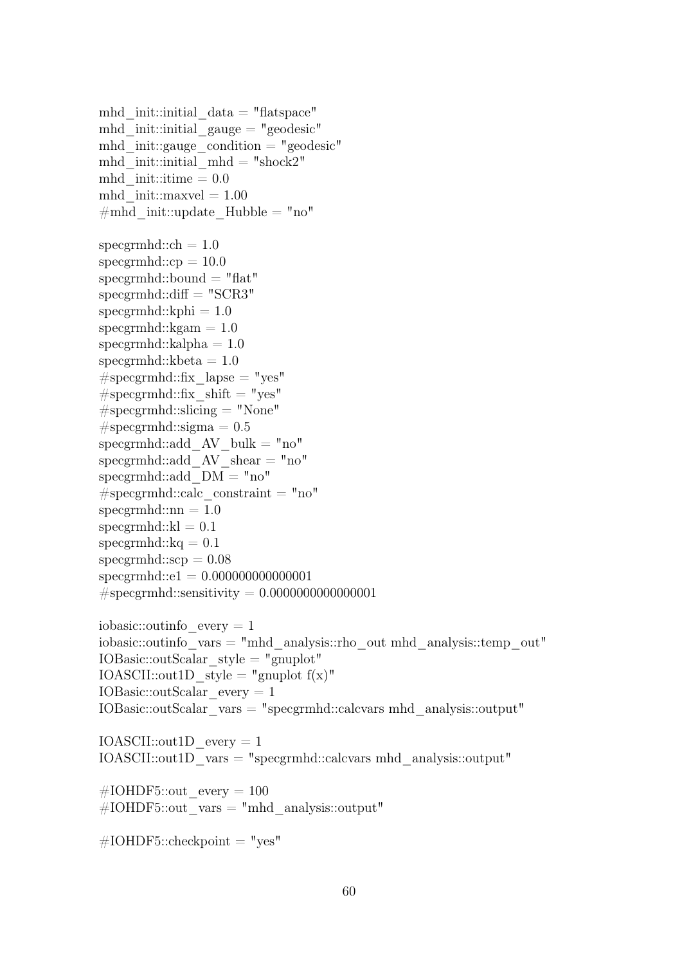mhd init::initial  $data = "flatspace"$ mhd init::initial gauge  $=$  "geodesic" mhd init::gauge condition  $=$  "geodesic" mhd\_init::initial\_mhd = "shock2" mhd  $init::time = 0.0$ mhd  $init::maxvel = 1.00$  $\#mhd$  init::update Hubble = "no" specgrmhd:: $ch = 1.0$  $specgrmhd::cp = 10.0$  $specgrmhd::bound = "flat"$  $specgrmhd::diff = "SCR3"$  $specgrmhd::kphi = 1.0$  $specgrmhd::kgam = 1.0$  $specgrmhd::kalpha = 1.0$ specgrmhd:: $kbeta = 1.0$  $#$ specgrmhd::fix lapse = "yes"  $#$ specgrmhd::fix shift = "yes"  $#$ specgrmhd::slicing = "None"  $# \text{specgrmhd::sigma} = 0.5$ specgrmhd::add  $AV$  bulk = "no" specgrmhd::add  $AV\$ shear = "no" specgrmhd::add  $DM = "no"$  $#$ specgrmhd::calc constraint = "no"  $specgrmhd::nn = 1.0$  $specgrmhd::kl = 0.1$ specgrmhd:: $kq = 0.1$  $specgrmhd::scp = 0.08$ specgrmhd::e1 = 0.000000000000001  $#$ specgrmhd::sensitivity = 0.00000000000000000001 iobasic:: $outinfo$  every  $= 1$ iobasic::outinfo\_vars = "mhd\_analysis::rho\_out mhd\_analysis::temp\_out" IOBasic::outScalar\_style = "gnuplot" IOASCII::out1D\_style = "gnuplot  $f(x)$ " IOBasic::outScalar\_every = 1 IOBasic::outScalar\_vars = "specgrmhd::calcvars mhd\_analysis::output" IOASCII::out1D\_every = 1 IOASCII::out1D\_vars = "specgrmhd::calcvars mhd\_analysis::output" #IOHDF5::out every =  $100$  $\text{\#IOHDF5::out}$  vars = "mhd\_analysis::output"

 $\text{\#IOHDF5::checkpoint} = "yes"$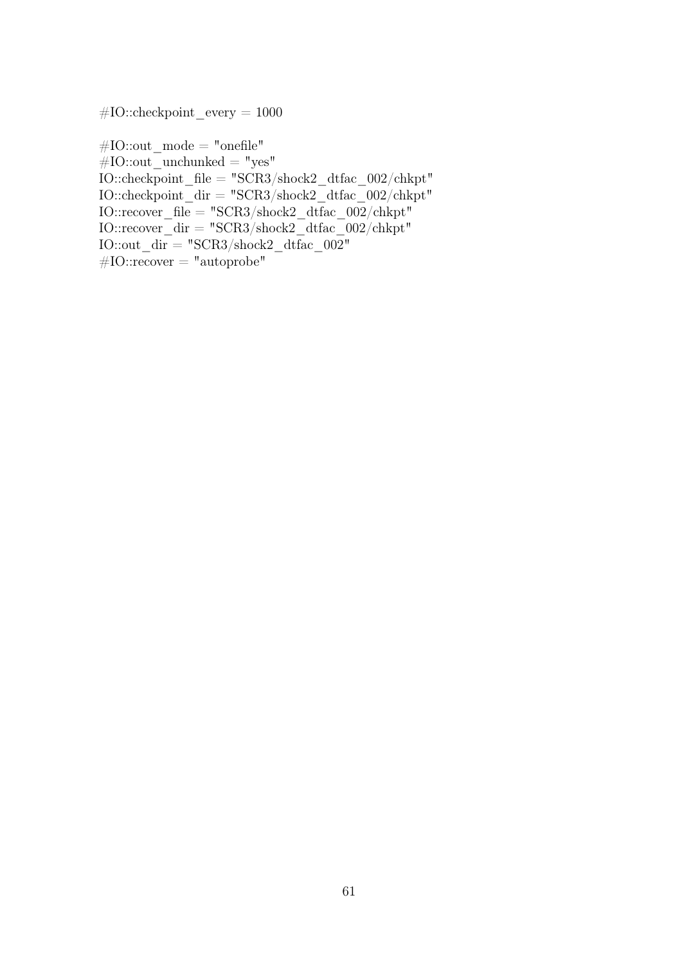$#IO::checkpoint$  every = 1000

 $#IO::out\_mode = "onefile"$  $#IO::out\_unchunked = "yes"$  $\rm IO::checkpoint\_file = "SCR3/shock2\_dtfac\_002/chkpt"$ IO::checkpoint  $\text{dir} = "SCR3/\text{shock2}$  dtfac  $002/\text{chkpt}$ "  $IO::recover_ffile = "SCR3/shock2_fdfrac_002/chkpt"$ IO::recover\_dir = "SCR3/shock2\_dtfac\_002/chkpt" IO::out  $\text{dir} = "SCR3/\text{shock2}$  dtfac 002"  $#IO::recover = "autoprobe"$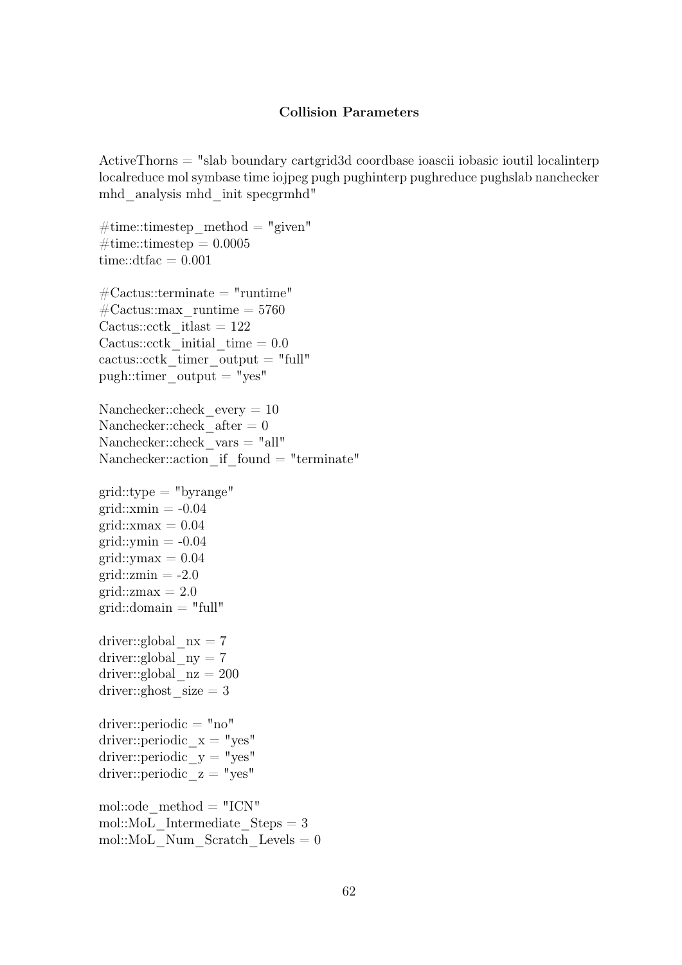#### Collision Parameters

ActiveThorns = "slab boundary cartgrid3d coordbase ioascii iobasic ioutil localinterp localreduce mol symbase time iojpeg pugh pughinterp pughreduce pughslab nanchecker mhd\_analysis mhd\_init specgrmhd"

```
\#\text{time::times}timestep method = "given"
\#\text{time::times} = 0.0005time::dtfac = 0.001\text{\#Cactus::terminate = "runtime"}\text{\#Cactus::max} runtime = 5760
Cactus::\text{cctk} itlast = 122
Cactus::cctk initial time = 0.0cactus::cctk timer output = "full"
pugh::time output = "yes"
Nanchecker::check every = 10Nanchecker::check after = 0Nanchecker::check_vars = "all"
Nanchecker::action if found = "terminate"grid::type = "byrange"grid::xmin = -0.04grid::xmax = 0.04grid::ymin = -0.04grid::vmax = 0.04grid::zmin = -2.0grid::zmax = 2.0grid::domain = "full"driver::global nx = 7driver::global ny = 7driver::global nz = 200driver::ghost size = 3driver::periodic = "no"
driver::periodic x = "yes"driver::periodic y = "yes"driver::periodic z = "yes"mol::ode method = "ICN"mol::MoL Intermediate Steps = 3mol::MoL Num Scratch Levels = 0
```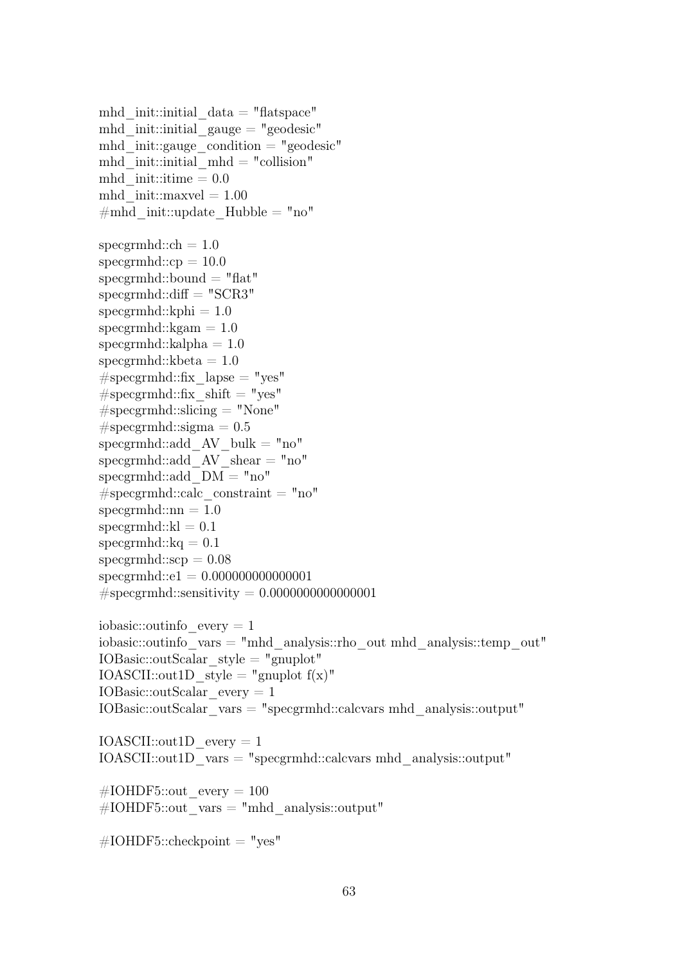mhd init::initial  $data = "flatspace"$ mhd init::initial gauge  $=$  "geodesic" mhd init::gauge condition  $=$  "geodesic" mhd\_init::initial\_mhd = "collision" mhd  $init::time = 0.0$ mhd  $init::maxvel = 1.00$  $\#mhd$  init::update Hubble = "no" specgrmhd:: $ch = 1.0$  $specgrmhd::cp = 10.0$  $specgrmhd::bound = "flat"$  $specgrmhd::diff = "SCR3"$  $specgrmhd::kphi = 1.0$  $specgrmhd::kgam = 1.0$  $specgrmhd::kalpha = 1.0$ specgrmhd:: $kbeta = 1.0$  $#$ specgrmhd::fix lapse = "yes"  $#$ specgrmhd::fix shift = "yes"  $#$ specgrmhd::slicing = "None"  $# \text{specgrmhd::sigma} = 0.5$ specgrmhd::add  $AV$  bulk = "no" specgrmhd::add  $AV\$ shear = "no" specgrmhd::add  $DM = "no"$  $#$ specgrmhd::calc constraint = "no"  $specgrmhd::nn = 1.0$  $specgrmhd::kl = 0.1$ specgrmhd:: $kq = 0.1$  $specgrmhd::scp = 0.08$ specgrmhd::e1 = 0.000000000000001  $#$ specgrmhd::sensitivity = 0.00000000000000000001 iobasic:: $outinfo$  every  $= 1$ iobasic::outinfo\_vars = "mhd\_analysis::rho\_out mhd\_analysis::temp\_out" IOBasic::outScalar\_style = "gnuplot" IOASCII::out1D\_style = "gnuplot  $f(x)$ " IOBasic::outScalar\_every = 1 IOBasic::outScalar\_vars = "specgrmhd::calcvars mhd\_analysis::output" IOASCII::out1D\_every = 1 IOASCII::out1D\_vars = "specgrmhd::calcvars mhd\_analysis::output" #IOHDF5::out every =  $100$  $\text{\#IOHDF5::out}$  vars = "mhd\_analysis::output"

 $\text{\#IOHDF5::checkpoint} = "yes"$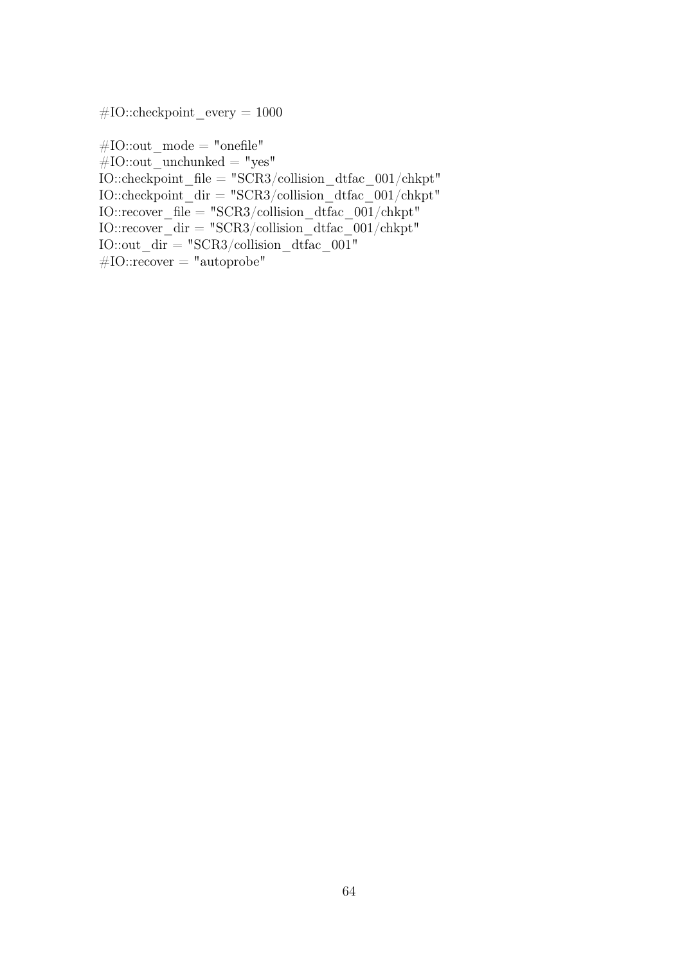$#IO::checkpoint$  every = 1000

 $#IO::out\_mode = "onefile"$  $#IO::out\_unchunked = "yes"$  $\rm IO::checkpoint\_file = "SCR3/collision\_dtfac\_001/chkpt"$ IO::checkpoint  $\text{dir} = "SCR3/collision \text{ difac } 001/\text{chkpt"}$ IO::recover\_file = "SCR3/collision\_dtfac\_001/chkpt" IO::recover\_dir = "SCR3/collision\_dtfac\_001/chkpt" IO::out  $\text{dir} = "SCR3/collision}$  dtfac 001"  $#IO::recover = "autoprole"$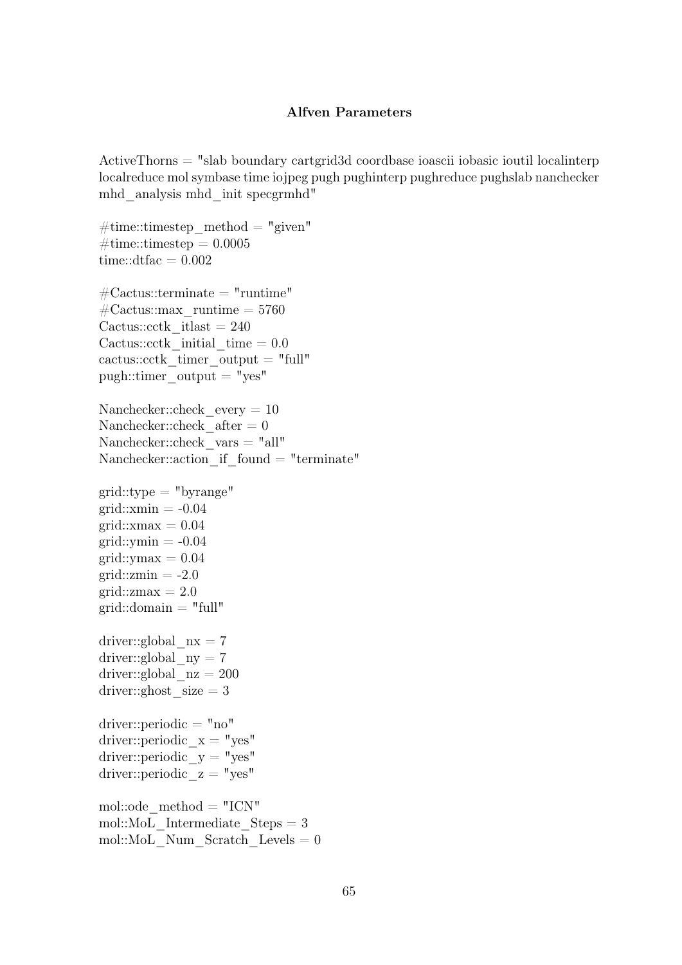## Alfven Parameters

ActiveThorns = "slab boundary cartgrid3d coordbase ioascii iobasic ioutil localinterp localreduce mol symbase time iojpeg pugh pughinterp pughreduce pughslab nanchecker mhd\_analysis mhd\_init specgrmhd"

 $\#\text{time::times}$ timestep method = "given"  $\#\text{time::times} = 0.0005$ time::dtfac  $= 0.002$  $\text{\#Cactus::terminate = "runtime"}$  $\text{\#Cactus::max}$  runtime = 5760 Cactus:: $\text{cctk}$  itlast = 240 Cactus::cctk initial time  $= 0.0$ cactus::cctk timer output  $=$  "full"  $pugh::time$  output = "yes" Nanchecker::check every  $= 10$ Nanchecker::check  $after = 0$ Nanchecker::check\_vars = "all" Nanchecker::action if  $found = "terminate"$  $grid::type = "byrange"$  $grid::xmin = -0.04$  $grid::xmax = 0.04$  $grid::ymin = -0.04$  $grid::vmax = 0.04$  $grid::zmin = -2.0$ grid:: $zmax = 2.0$  $grid::domain = "full"$ driver::global  $nx = 7$ driver::global  $ny = 7$ driver::global  $nz = 200$ driver::ghost  $size = 3$ driver::periodic = "no" driver::periodic  $x = "yes"$ driver::periodic  $y = "yes"$ driver::periodic  $z = "yes"$ mol::ode  $method = "ICN"$ mol::MoL Intermediate  $Steps = 3$ mol::MoL Num Scratch Levels  $= 0$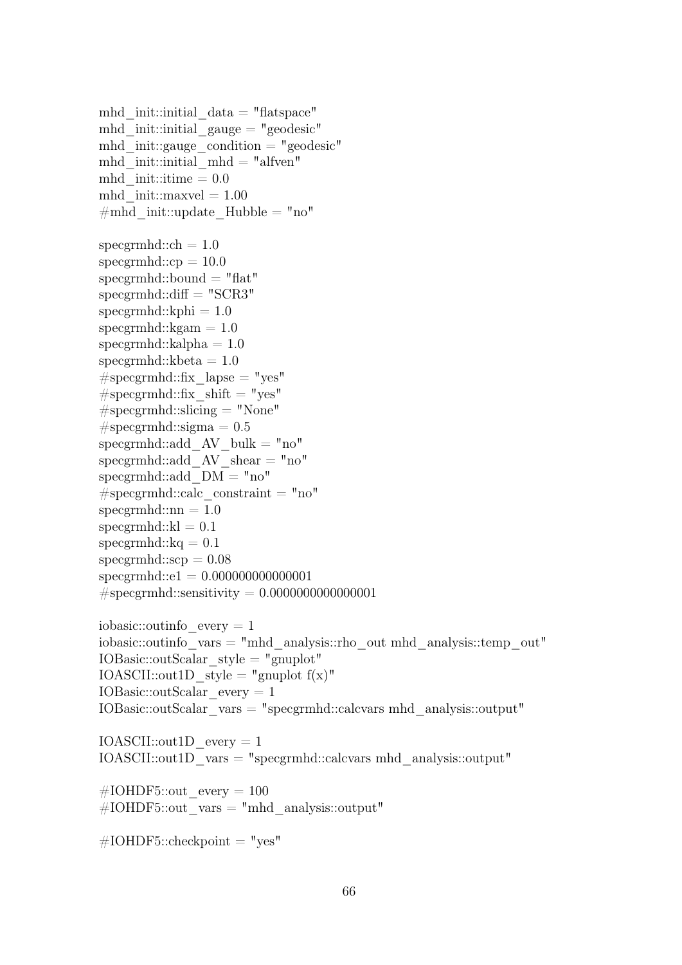mhd init::initial  $data = "flatspace"$ mhd init::initial gauge  $=$  "geodesic" mhd init::gauge condition  $=$  "geodesic" mhd init::initial  $mhd = "alfven"$ mhd  $init::time = 0.0$ mhd  $init::maxvel = 1.00$  $\#mhd$  init::update Hubble = "no" specgrmhd:: $ch = 1.0$  $specgrmhd::cp = 10.0$  $specgrmhd::bound = "flat"$  $specgrmhd::diff = "SCR3"$  $specgrmhd::kphi = 1.0$  $specgrmhd::kgam = 1.0$  $specgrmhd::kalpha = 1.0$ specgrmhd:: $kbeta = 1.0$  $#$ specgrmhd::fix lapse = "yes"  $#$ specgrmhd::fix shift = "yes"  $#$ specgrmhd::slicing = "None"  $# \text{specgrmhd::sigma} = 0.5$ specgrmhd::add  $AV$  bulk = "no" specgrmhd::add  $AV\$ shear = "no" specgrmhd::add  $DM = "no"$  $#$ specgrmhd::calc constraint = "no"  $specgrmhd::nn = 1.0$  $specgrmhd::kl = 0.1$ specgrmhd:: $kq = 0.1$  $specgrmhd::scp = 0.08$ specgrmhd::e1 = 0.000000000000001  $#$ specgrmhd::sensitivity = 0.00000000000000000001 iobasic:: $outinfo$  every  $= 1$ iobasic::outinfo\_vars = "mhd\_analysis::rho\_out mhd\_analysis::temp\_out"  $IOBasic::outScalar$  style = "gnuplot" IOASCII::out1D\_style = "gnuplot  $f(x)$ " IOBasic::outScalar\_every = 1 IOBasic::outScalar\_vars = "specgrmhd::calcvars mhd\_analysis::output" IOASCII::out1D\_every = 1 IOASCII::out1D\_vars = "specgrmhd::calcvars mhd\_analysis::output" #IOHDF5::out every =  $100$  $\text{\#IOHDF5::out}$  vars = "mhd\_analysis::output"

 $\text{\#IOHDF5::checkpoint} = "yes"$